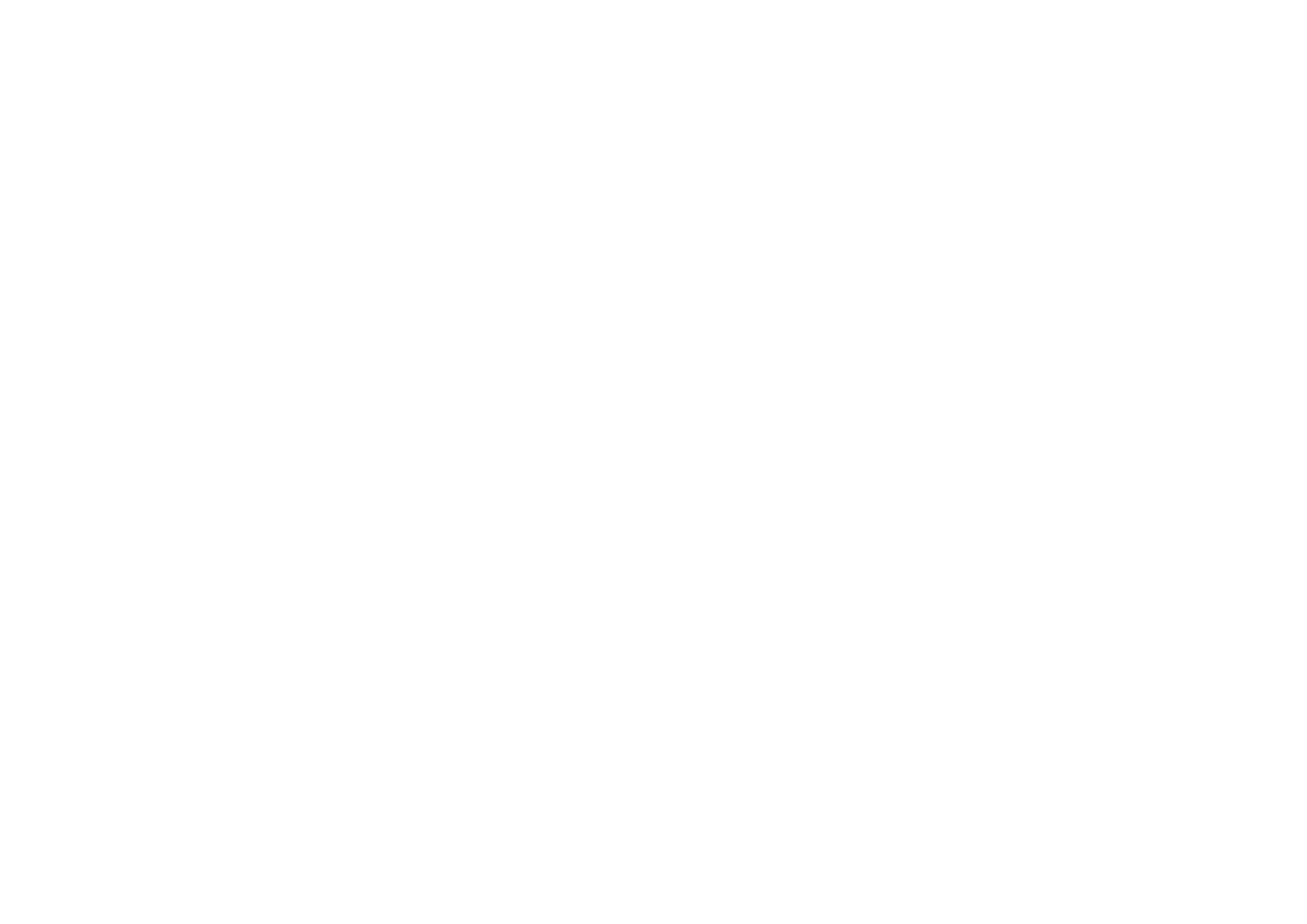# **YouGov / The Sunday Times Survey Results**

# **Sample Size: 1985 GB Adults**

|                                               |                        |          |                 |                  |             | <b>Voting intention</b> |                |             | <b>2010 Vote</b> |              |              | Gender         |                |                  | Age         |                         |                | <b>Social Grade</b> | Newspaper<br>Readership                    |
|-----------------------------------------------|------------------------|----------|-----------------|------------------|-------------|-------------------------|----------------|-------------|------------------|--------------|--------------|----------------|----------------|------------------|-------------|-------------------------|----------------|---------------------|--------------------------------------------|
|                                               |                        |          | Total           | Con              | Lab         | Lib<br>Dem              | <b>UKIP</b>    | Con         | Lab              | Lib<br>Dem   | Male         | Female         | 18-24          | 25-39            | 40-59       | 60+                     | ABC1           | C <sub>2</sub> DE   | Daily Mail / Scottish<br><b>Daily Mail</b> |
|                                               | <b>Weighted Sample</b> |          | 1985            | 532              | 612         | 168                     | 201            | 635         | 485              | 418          | 963          | 1022           | 236            | 502              | 679         | 568                     | 1131           | 854                 | 273                                        |
|                                               | Unweighted Sample      |          | 1985            | 512              | 622         | 153                     | 217            | 604         | 483              | 463          | 932          | 1053           | 162            | 512              | 767         | 544                     | 32             | 663                 | 316                                        |
|                                               |                        |          | $\%$            | %                | %           | $\%$                    | $\frac{9}{6}$  | %           | %                | $\%$         | $\%$         | %              | %              | $\%$             | %           | $\%$                    | $\%$           | $\%$                | $\%$                                       |
|                                               |                        |          |                 |                  |             |                         |                |             |                  |              |              |                |                |                  |             |                         |                |                     |                                            |
| <b>Headline Voting Intention</b>              |                        |          |                 |                  |             |                         |                |             |                  |              |              |                |                |                  |             |                         |                |                     |                                            |
| [Excluding Don't knows and Wouldn't votes]    |                        |          |                 |                  |             |                         |                |             |                  |              |              |                |                |                  |             |                         |                |                     |                                            |
|                                               | Con                    |          | 33              | 100              | 0           | 0                       | 0              | 76          | 5                | 11           | 33           | 34             | 28             | 33               | 31          | 39                      | 38             | 26                  | 55                                         |
|                                               | Lab                    |          | 38              | 0                | 100         | $\mathbf 0$             | 0              | 5           | 86               | 38           | 37           | 39             | 42             | 44               | 41          | 30                      | 34             | 44                  | 19                                         |
|                                               | Lib Dem                |          | 11              | $\mathbf 0$      | $\mathbf 0$ | 100                     | $\mathbf 0$    | $\sqrt{2}$  | $\mathbf 2$      | 37           | 12           | 10             | 18             | 12               | 8           | 10                      | 12             | 8                   | 5                                          |
|                                               | Other                  |          | 18              | $\mathbf 0$      | 0           | $\mathbf{0}$            | 100            | 17          | $\overline{7}$   | 15           | 18           | 17             | 12             | 11               | 20          | 22                      | 15             | 22                  | 21                                         |
| <b>Other Parties Voting Intention</b>         |                        |          |                 |                  |             |                         |                |             |                  |              |              |                |                |                  |             |                         |                |                     |                                            |
|                                               | <b>UKIP</b>            |          | 13              | 0                | 0           | 0                       | 100            | 16          | 5                | 8            | 13           | 13             | 4              | 7                | 14          | 18                      | 10             | 17                  | 20                                         |
|                                               | SNP/PCY                |          | $\mathbf 2$     | 0                | 0           | $\mathbf 0$             | $\mathbf 0$    | 0           | $\mathbf 0$      | $\mathbf{1}$ | 3            | $\mathbf{1}$   | 3              | $\mathbf 0$      | 3           | $\overline{\mathbf{c}}$ | $\sqrt{2}$     | 2                   | 0                                          |
|                                               | Green                  |          | $\mathbf 2$     | $\mathbf 0$      | 0           | $\mathbf 0$             | 0              | 0           | $\mathbf{1}$     | $\mathbf 5$  | 2            | $\mathbf{2}$   | $\overline{4}$ | $\boldsymbol{2}$ | $\mathbf 2$ | $\mathbf{1}$            | $\sqrt{2}$     | 2                   | 1                                          |
|                                               | <b>BNP</b>             |          | 0               | 0                | 0           | $\pmb{0}$               | 0              | 0           | 0                | $\mathbf 0$  | $\mathbf 0$  | $\mathbf 0$    | 0              | $\mathbf{1}$     | 0           | 0                       | $\mathbf 0$    | 0                   |                                            |
|                                               | Respect                |          | 0               | 0                | 0           | $\pmb{0}$               | 0              | 0           | 0                | $\pmb{0}$    | 0            | $\mathbf 0$    | $\mathbf 0$    | 0                | 0           | 0                       | $\mathbf 0$    | 0                   | 0                                          |
|                                               | Other                  |          | $\mathbf{1}$    | 0                | 0           | $\mathbf 0$             | $\mathbf 0$    | $\mathbf 0$ | $\mathbf 0$      | $\mathbf{1}$ | $\mathbf{1}$ | $\mathbf 0$    | $\mathbf 0$    | $\overline{1}$   | $\mathbf 0$ | $\mathbf{1}$            | $\overline{1}$ | $\mathbf{1}$        | 0                                          |
| <b>Non Voters</b>                             |                        |          |                 |                  |             |                         |                |             |                  |              |              |                |                |                  |             |                         |                |                     |                                            |
|                                               | <b>Would Not Vote</b>  |          | $\overline{7}$  | 0                | 0           | 0                       | 0              | 3           | 1                | 5            | 7            | $\overline{7}$ | 15             | 10               | 6           | $\overline{\mathbf{c}}$ | 6              | $\overline{7}$      | 5                                          |
|                                               | Don't know             |          | 13              | 0                | 0           | 0                       | 0              | 9           | 12               | 14           | 10           | 15             | 11             | 16               | 12          | 12                      | 12             | 14                  | 11                                         |
|                                               |                        |          |                 |                  |             |                         |                |             |                  |              |              |                |                |                  |             |                         |                |                     |                                            |
|                                               |                        |          | Oct 2-3 Oct 3-4 |                  |             |                         |                |             |                  |              |              |                |                |                  |             |                         |                |                     |                                            |
| Do you approve or disapprove of the           |                        |          |                 |                  |             |                         |                |             |                  |              |              |                |                |                  |             |                         |                |                     |                                            |
|                                               |                        |          |                 |                  |             |                         |                |             |                  |              |              |                |                |                  |             |                         |                |                     |                                            |
| Government's record to date?                  |                        |          |                 |                  |             |                         |                |             |                  |              |              |                |                |                  |             |                         |                |                     |                                            |
|                                               | Approve                | 30       | 33              | 85               | 3           | 48                      | 16             | 64          | 8                | 28           | 35           | 31             | 26             | 32               | 29          | 41                      | 37             | 27                  | 48                                         |
|                                               | Disapprove             | 55       | 55              | $\boldsymbol{7}$ | 90          | 39                      | 76             | 25          | 84               | 62           | 54           | 55             | 53             | 53               | 60          | 51                      | 50             | 61                  | 42                                         |
|                                               | Don't know             | 16       | 12              | 8                | 6           | 13                      | 9              | 11          | 8                | 10           | 11           | 14             | 21             | 16               | 10          | 8                       | 12             | 12                  | 10                                         |
|                                               |                        |          |                 |                  |             |                         |                |             |                  |              |              |                |                |                  |             |                         |                |                     |                                            |
|                                               |                        | Sept 26- | Oct 3 -4        |                  |             |                         |                |             |                  |              |              |                |                |                  |             |                         |                |                     |                                            |
|                                               |                        | 27       |                 |                  |             |                         |                |             |                  |              |              |                |                |                  |             |                         |                |                     |                                            |
| Do you think that David Cameron is doing well |                        |          |                 |                  |             |                         |                |             |                  |              |              |                |                |                  |             |                         |                |                     |                                            |
| or badly as Prime Minister?                   |                        |          |                 |                  |             |                         |                |             |                  |              |              |                |                |                  |             |                         |                |                     |                                            |
|                                               | Very well              | 5        | 5               | 16               | 0           | 8                       | 0              | 11          | $\mathbf{1}$     | 5            | 5            | 6              | 8              | 5                | 5           | 6                       | $\overline{7}$ | 3                   | 9                                          |
|                                               | Fairly well            | 33       | 36              | 77               | 10          | 52                      | 28             | 63          | 17               | 32           | 38           | 35             | 23             | 36               | 34          | 44                      | 40             | 31                  | 49                                         |
|                                               | <b>TOTAL WELL</b>      | 38       | 41              | 93               | 10          | 60                      | 28             | 74          | 18               | 37           | 43           | 41             | 31             | 41               | 39          | 50                      | 47             | 34                  | 58                                         |
|                                               | Fairly badly           | 32       | 29              | 5                | 41          | 26                      | 43             | 14          | 41               | 33           | 27           | 30             | 33             | 28               | 29          | 26                      | 28             | 29                  | 24                                         |
|                                               | Very badly             | 25       | 24              | $\mathbf 0$      | 45          | 13                      | 27             | 8           | 36               | 28           | 25           | 23             | 24             | 21               | 27          | 22                      | 19             | 30                  | 15                                         |
|                                               | <b>TOTAL BADLY</b>     | 57       | 53              | 5                | 86          | 39                      | 70             | 22          | 77               | 61           | 52           | 53             | 57             | 49               | 56          | 48                      | 47             | 59                  | 39                                         |
|                                               | Don't know             | 6        | 6               | $\overline{1}$   | 3           | 1                       | $\overline{2}$ | 3           | 5                | 3            | 5            | $\overline{7}$ | 12             | 9                | 5           | $\overline{2}$          | 6              | 6                   | 3                                          |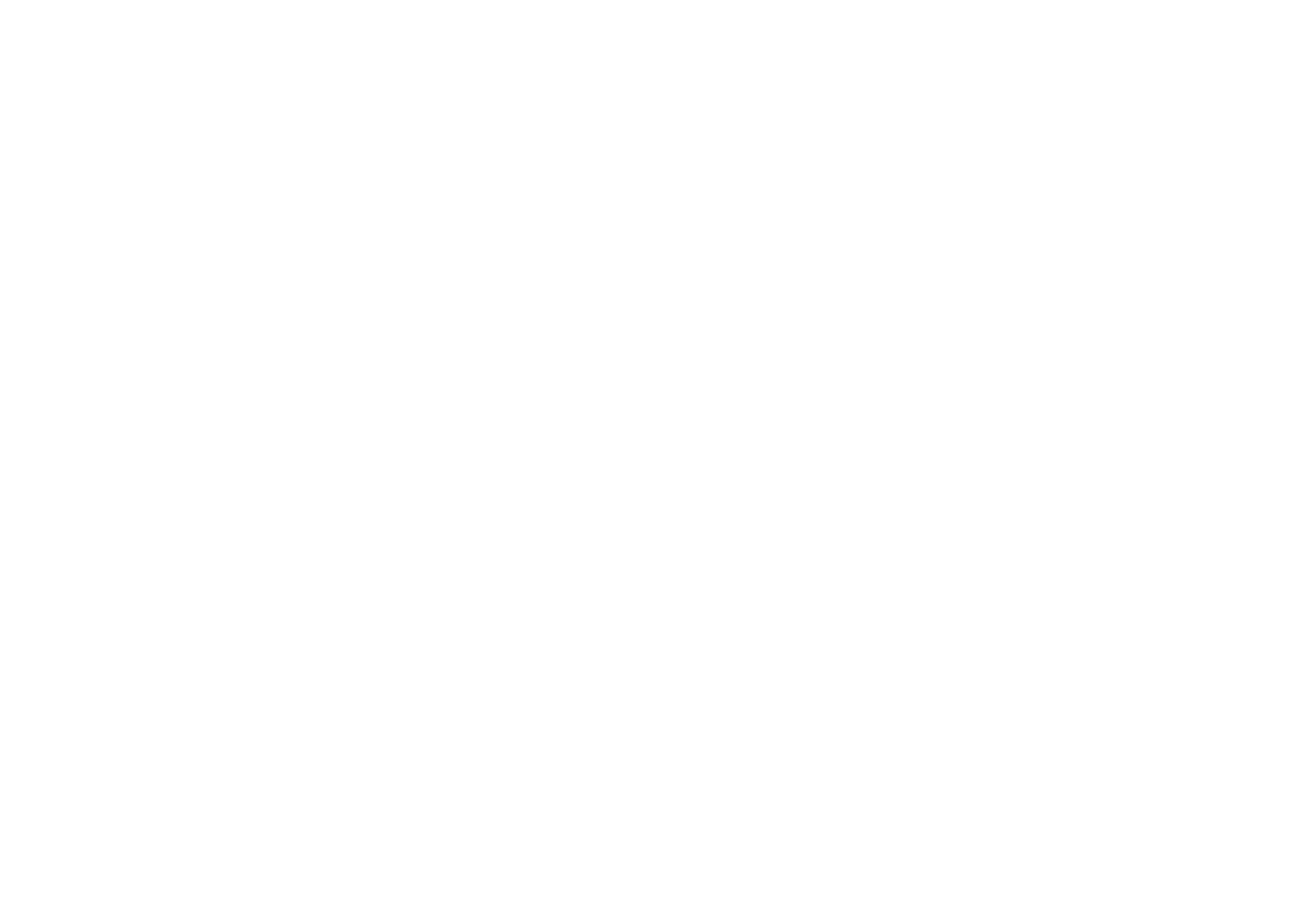# **YouGov / The Sunday Times Survey Re**

# **Sample Size: 1985 GB Adults**

**Fieldwork: 3rd - 4th October 2013**

|                                                                                |                        |              |                |                  | Region              |                |                |
|--------------------------------------------------------------------------------|------------------------|--------------|----------------|------------------|---------------------|----------------|----------------|
|                                                                                |                        | Total        | London         | Rest of<br>South | Midlands /<br>Wales | <b>North</b>   | Scotland       |
|                                                                                | <b>Weighted Sample</b> | 1985         | 254            | 645              | 425                 | 488            | 173            |
| Unweighted Sample                                                              |                        | 1985         | 269            | 650              | 385                 | 486            | 195            |
|                                                                                |                        | %            | $\%$           | $\%$             | $\%$                | %              | %              |
|                                                                                |                        |              |                |                  |                     |                |                |
| <b>Headline Voting Intention</b><br>[Excluding Don't knows and Wouldn't votes] |                        |              |                |                  |                     |                |                |
| Con                                                                            |                        | 33           | 34             | 41               | 35                  | 29             | 14             |
| Lab                                                                            |                        | 38           | 43             | 30               | 36                  | 47             | 44             |
| Lib Dem                                                                        |                        | 11           | 9              | 12               | 11                  | 9              | 11             |
| Other                                                                          |                        | 18           | 14             | 18               | 18                  | 14             | 31             |
| <b>Other Parties Voting Intention</b>                                          |                        |              |                |                  |                     |                |                |
| <b>UKIP</b>                                                                    |                        | 13           | 12             | 15               | 15                  | 11             | 6              |
| SNP / PCY                                                                      |                        | $\mathbf 2$  | 0              | 0                | 1                   | 0              | 21             |
| Green                                                                          |                        | $\mathbf{2}$ | $\overline{2}$ | $\overline{2}$   | 1                   | $\overline{2}$ | $\overline{2}$ |
| <b>BNP</b>                                                                     |                        | 0            | 0              | 0                | 1                   | 0              | $\mathbf 0$    |
| Respect                                                                        |                        | 0            | 0              | 0                | 0                   | 0              | $\mathbf 0$    |
| Other                                                                          |                        | 1            | 0              | 0                | 1                   | $\Omega$       | 3              |
| <b>Non Voters</b>                                                              |                        |              |                |                  |                     |                |                |
| <b>Would Not Vote</b>                                                          |                        | 7            | 8              | 8                | 6                   | $\overline{7}$ | 3              |
| Don't know                                                                     |                        | 13           | 12             | 14               | 11                  | 12             | 18             |
|                                                                                | Oct 2-3 Oct 3-4        |              |                |                  |                     |                |                |
| Do you approve or disapprove of the<br>Government's record to date?            |                        |              |                |                  |                     |                |                |
| Approve                                                                        | 30                     | 33           | 40             | 35               | 35                  | 29             | 20             |
| Disapprove                                                                     | 55                     | 55           | 48             | 50               | 50                  | 63             | 72             |
| Don't know                                                                     | 16                     | 12           | 12             | 15               | 15                  | 8              | 8              |
|                                                                                |                        |              |                |                  |                     |                |                |
|                                                                                | Sept 26-<br>27         | Oct 3-4      |                |                  |                     |                |                |
| Do you think that David Cameron is doing well                                  |                        |              |                |                  |                     |                |                |
| or badly as Prime Minister?                                                    |                        |              |                |                  |                     |                |                |
| Very well                                                                      | 5                      | 5            | 6              | 6                | 4                   | $\overline{7}$ | 1              |
| Fairly well                                                                    | 33                     | 36           | 39             | 40               | 42                  | 29             | 27             |
| <b>TOTAL WELL</b>                                                              | 38                     | 41           | 45             | 46               | 46                  | 36             | 28             |
| Fairly badly                                                                   | 32                     | 29           | 29             | 26               | 28                  | 32             | 33             |
| Very badly                                                                     | 25                     | 24           | 21             | 21               | 21                  | 27             | 35             |
| <b>TOTAL BADLY</b>                                                             | 57                     | 53           | 50             | 47               | 49                  | 59             | 68             |
| Don't know                                                                     | 6                      | 6            | 6              | 7                | 5                   | 5              | 5              |

 $\mathbf{r}$ 

▃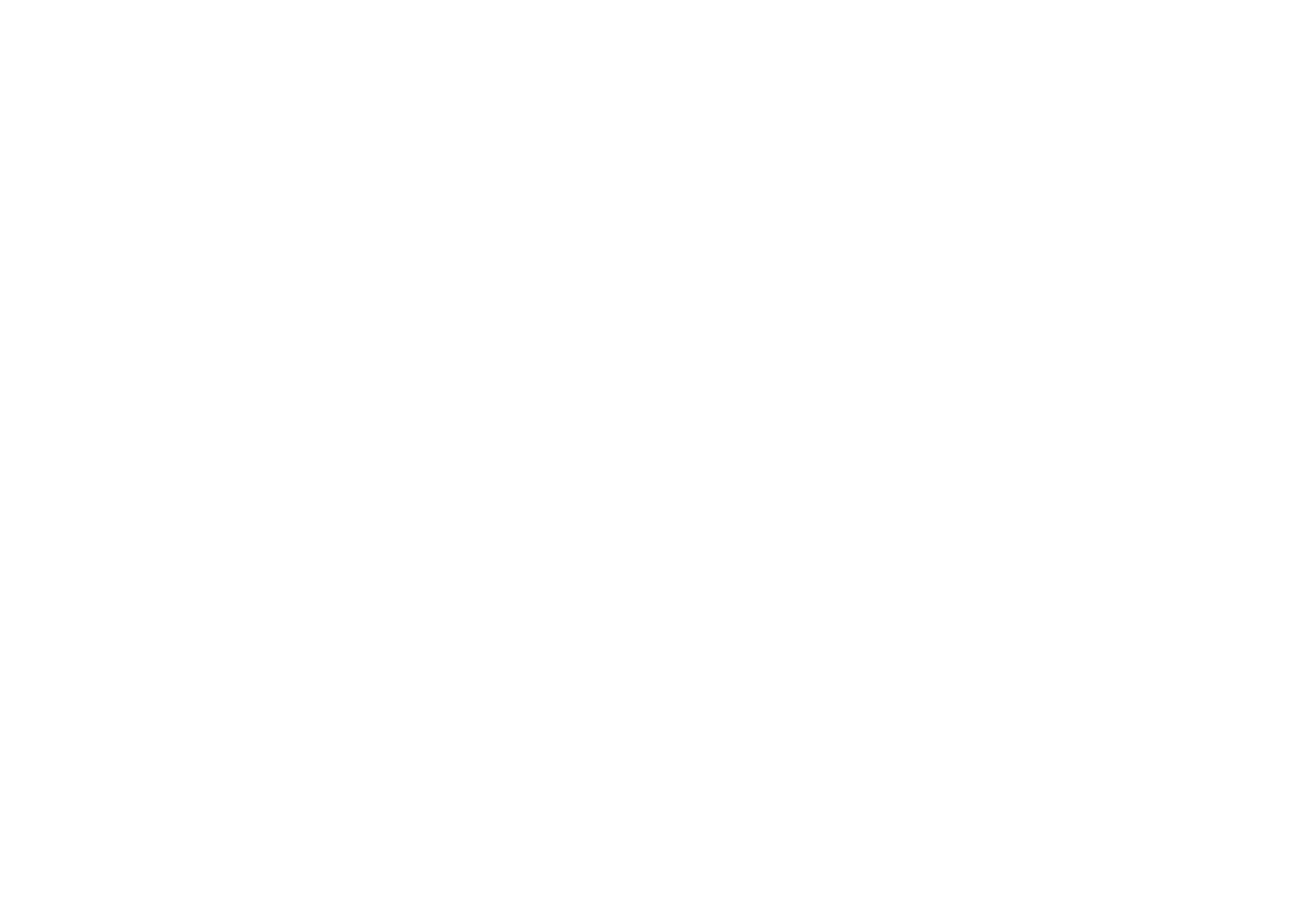|                                                                                                                        |                    |                    | <b>Voting intention</b><br>Lib |                    |                |                   | <b>2010 Vote</b>   |                   |                | Gender         |                      |                   | Age     |                |                      | <b>Social Grade</b>  | Newspaper<br>Readership |                                     |
|------------------------------------------------------------------------------------------------------------------------|--------------------|--------------------|--------------------------------|--------------------|----------------|-------------------|--------------------|-------------------|----------------|----------------|----------------------|-------------------|---------|----------------|----------------------|----------------------|-------------------------|-------------------------------------|
|                                                                                                                        |                    | Total              | Con                            | Lab                | Dem            | <b>UKIP</b>       | Con                | Lab               | Lib<br>Dem     | Male           | Female I             | 18-24             | 25-39   | 40-59          | 60+                  | ABC1                 | C <sub>2</sub> DE       | Daily Mail / Scottish<br>Daily Mail |
| <b>Weighted Sample</b>                                                                                                 |                    | 1985               | 532                            | 612                | 168            | 201               | 635                | 485               | 418            | 963            | 1022                 | 236               | 502     | 679            | 568                  | 1131                 | 854                     | 273                                 |
| Unweighted Sample                                                                                                      |                    | 1985               | 512                            | 622                | 153            | 217               | 604                | 483               | 463            | 932            | 1053                 | 162               | 512     | 767            | 544                  | 1322                 | 663                     | 316                                 |
|                                                                                                                        |                    | $\%$               | $\frac{9}{6}$                  | %                  | $\frac{9}{6}$  | $\frac{9}{6}$     | $\frac{0}{0}$      | %                 | %              | $\%$           | $\frac{9}{6}$        | %                 | %       | $\%$           | %                    | %                    | $\%$                    | $\%$                                |
|                                                                                                                        | Sept 26-<br>27     | Oct 3 -4           |                                |                    |                |                   |                    |                   |                |                |                      |                   |         |                |                      |                      |                         |                                     |
| Do you think Ed Miliband is doing well or badly<br>as leader of the Labour party?                                      |                    |                    |                                |                    |                |                   |                    |                   |                |                |                      |                   |         |                |                      |                      |                         |                                     |
| Very well                                                                                                              | 5                  | 4                  | $\mathbf 0$                    | 13                 | 3              | 0                 | 0                  | 11                | 5              | 5              | 4                    | 3                 | 3       | $\overline{7}$ | 4                    | $\overline{4}$       | 5                       | 2                                   |
| Fairly well                                                                                                            | 25                 | 25                 | 10                             | 54                 | 22             | 9                 | 10                 | 48                | 28             | 24             | 27                   | 24                | 28      | 25             | 24                   | 24                   | 28                      | 17                                  |
| <b>TOTAL WELL</b>                                                                                                      | 30                 | 29                 | 10                             | 67                 | 25             | 9                 | 10                 | 59                | 33             | 29             | 31                   | 27                | 31      | 32             | 28                   | 28                   | 33                      | 19                                  |
| Fairly badly                                                                                                           | 33                 | 34                 | 42                             | 22                 | 51             | 33                | 38                 | 25                | 42             | 33             | 35                   | 31                | 34      | 33             | 36                   | 35                   | 32                      | 35                                  |
| Very badly                                                                                                             | 27                 | 26                 | 44                             | $\overline{4}$     | 15             | 57                | 45                 | 9                 | 16             | 30             | 22                   | 23                | 20      | 27             | 31                   | 27                   | 25                      | 42                                  |
| <b>TOTAL BADLY</b>                                                                                                     | 60                 | 60                 | 86                             | 26                 | 66             | 90                | 83                 | 34                | 58             | 63             | 57                   | 54                | 54      | 60             | 67                   | 62                   | 57                      | 77                                  |
| Don't know                                                                                                             | 10 <sup>10</sup>   | 10                 | 5                              | $\overline{7}$     | 8              | $\mathbf{1}$      | $\overline{7}$     | $\overline{7}$    | 10             | 8              | 13                   | 20                | 15      | 8              | 5                    | 10                   | 10                      | $\overline{4}$                      |
| Do you think that Nick Clegg is doing well or<br>badly as leader of the Liberal Democrats?<br>Very well<br>Fairly well | $\mathbf{1}$<br>20 | $\mathbf{2}$<br>21 | $\overline{2}$<br>33           | $\mathbf{1}$<br>10 | 13<br>60       | $\mathbf 0$<br>11 | $\mathbf{1}$<br>28 | $\mathbf 0$<br>12 | 6<br>27        | 2<br>22        | $\overline{2}$<br>20 | $\mathbf 0$<br>21 | 2<br>21 | 3<br>19        | $\overline{2}$<br>23 | $\overline{2}$<br>23 | $\overline{2}$<br>18    | $\overline{2}$<br>15                |
| <b>TOTAL WELL</b>                                                                                                      | 21                 | 23                 | 35                             | 11                 | 73             | 11                | 29                 | 12                | 33             | 24             | 22                   | 21                | 23      | 22             | 25                   | 25                   | 20                      | 17                                  |
| Fairly badly                                                                                                           | 32                 | 31                 | 34                             | 31                 | 20             | 30                | 31                 | 30                | 35             | 30             | 32                   | 24                | 30      | 34             | 32                   | 34                   | 28                      | 34                                  |
| Very badly                                                                                                             | 37                 | 37                 | 25                             | 52                 | 5              | 58                | 31                 | 52                | 28             | 40             | 34                   | 37                | 32      | 38             | 40                   | 34                   | 41                      | 43                                  |
| <b>TOTAL BADLY</b>                                                                                                     | 69                 | 68                 | 59                             | 83                 | 25             | 88                | 62                 | 82                | 63             | 70             | 66                   | 61                | 62      | 72             | 72                   | 68                   | 69                      | 77                                  |
| Don't know                                                                                                             | 10                 | 9                  | 6                              | 6                  | $\overline{2}$ | $\overline{2}$    | 8                  | 5                 | $\overline{4}$ | 6              | 12                   | 19                | 15      | $\overline{7}$ | 3                    | 8                    | 11                      | 5                                   |
| Do you think the Conservative and Liberal<br>Democrat coalition partners are working<br>together well or badly?        | Sept 26-<br>27     | Oct 3 -4           |                                |                    |                |                   |                    |                   |                |                |                      |                   |         |                |                      |                      |                         |                                     |
| Verv well                                                                                                              | 2                  | $\mathbf{2}$       | 4                              | $\mathbf 0$        | $\overline{7}$ | $\mathbf 0$       | 3                  | 0                 | 4              | $\overline{2}$ | 2                    | $\mathbf 0$       | 2       | $\overline{2}$ | 2                    | $\overline{2}$       | $\mathbf{1}$            | 1                                   |
| Fairly well                                                                                                            | 31                 | 32                 | 64                             | 10                 | 63             | 16                | 51                 | 15                | 37             | 34             | 30                   | 28                | 31      | 31             | 36                   | 36                   | 27                      | 35                                  |
| <b>TOTAL WELL</b>                                                                                                      | 33                 | 34                 | 68                             | 10                 | 70             | 16                | 54                 | 15                | 41             | 36             | 32                   | 28                | 33      | 33             | 38                   | 38                   | 28                      | 36                                  |
| Fairly badly                                                                                                           | 35                 | 34                 | 23                             | 42                 | 22             | 45                | 29                 | 41                | 33             | 34             | 35                   | 27                | 36      | 35             | 35                   | 36                   | 33                      | 40                                  |
| Very badly                                                                                                             | 25                 | 25                 | 5                              | 45                 | $\overline{4}$ | 38                | 13                 | 41                | 22             | 24             | 26                   | 26                | 21      | 27             | 25                   | 19                   | 33                      | 21                                  |
| <b>TOTAL BADLY</b>                                                                                                     | 60                 | 59                 | 28                             | 87                 | 26             | 83                | 42                 | 82                | 55             | 58             | 61                   | 53                | 57      | 62             | 60                   | 55                   | 66                      | 61                                  |
| Don't know                                                                                                             | $\overline{7}$     | $\overline{7}$     | 4                              | 3                  | 4              | $\Omega$          | $\overline{4}$     | 3                 | 5              | 6              | 8                    | 18                | 10      | 5              | $\overline{2}$       | $\overline{7}$       | $\overline{7}$          | 3                                   |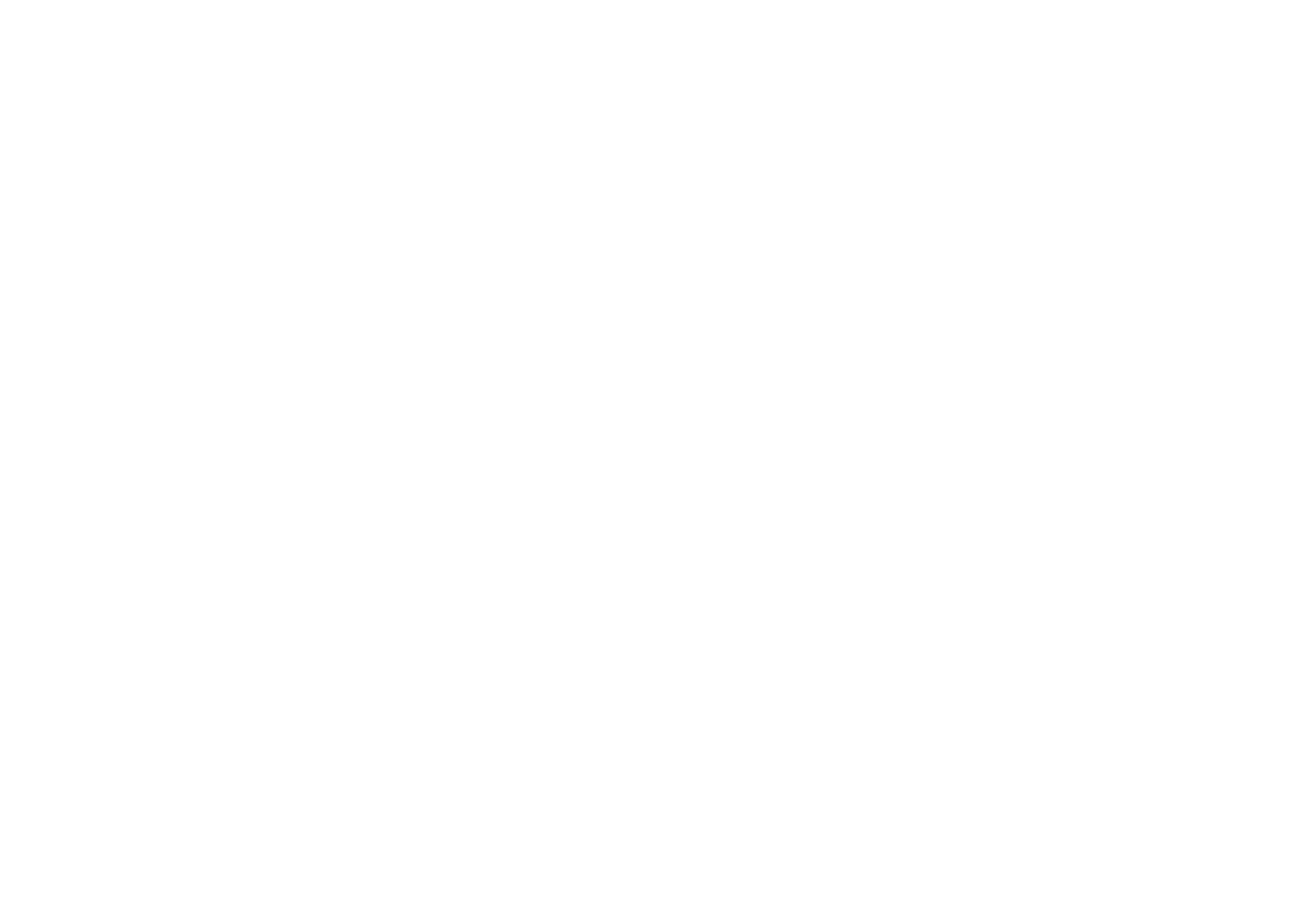|                                                                                                                                             |                          |                          |               |                          | Region              |               |                         |
|---------------------------------------------------------------------------------------------------------------------------------------------|--------------------------|--------------------------|---------------|--------------------------|---------------------|---------------|-------------------------|
|                                                                                                                                             |                          | Total                    | London        | Rest of<br>South         | Midlands /<br>Wales | <b>North</b>  | Scotland                |
|                                                                                                                                             | <b>Weighted Sample</b>   | 1985                     | 254           | 645                      | 425                 | 488           | 173                     |
| Unweighted Sample                                                                                                                           |                          | 1985                     | 269           | 650                      | 385                 | 486           | 195                     |
|                                                                                                                                             |                          | $\frac{9}{6}$            | $\%$          | $\%$                     | $\%$                | $\%$          | $\%$                    |
|                                                                                                                                             | Sept 26-<br>27           | Oct 3-4                  |               |                          |                     |               |                         |
| Do you think Ed Miliband is doing well or badly<br>as leader of the Labour party?                                                           |                          |                          |               |                          |                     |               |                         |
| Very well                                                                                                                                   | 5                        | 4                        | 3             | 3                        | 5                   | 6             | 6                       |
| Fairly well                                                                                                                                 | 25                       | 25                       | 26            | 21                       | 24                  | 30            | 33                      |
| <b>TOTAL WELL</b>                                                                                                                           | 30                       | 29                       | 29            | 24                       | 29                  | 36            | 39                      |
| Fairly badly                                                                                                                                | 33                       | 34                       | 32            | 38                       | 28                  | 34            | 36                      |
| Very badly                                                                                                                                  | 27                       | 26                       | 28            | 27                       | 32                  | 21            | 20                      |
| <b>TOTAL BADLY</b>                                                                                                                          | 60                       | 60                       | 60            | 65                       | 60                  | 55            | 56                      |
| Don't know                                                                                                                                  | 10                       | 10                       | 12            | 10                       | 12                  | 9             | 6                       |
| Do you think that Nick Clegg is doing well or<br>badly as leader of the Liberal Democrats?<br>Very well<br>Fairly well<br><b>TOTAL WELL</b> | $\mathbf{1}$<br>20<br>21 | $\mathbf{2}$<br>21<br>23 | 2<br>23<br>25 | $\mathbf{1}$<br>24<br>25 | 2<br>19<br>21       | 3<br>19<br>22 | $\mathbf 0$<br>17<br>17 |
| Fairly badly                                                                                                                                | 32                       | 31                       | 33            | 32                       | 30                  | 31            | 28                      |
| Very badly                                                                                                                                  | 37                       | 37                       | 32            | 31                       | 42                  | 38            | 47                      |
| <b>TOTAL BADLY</b>                                                                                                                          | 69                       | 68                       | 65            | 63                       | 72                  | 69            | 75                      |
| Don't know                                                                                                                                  | 10                       | 9                        | 10            | 11                       | 8                   | 8             | $\overline{7}$          |
| Do you think the Conservative and Liberal<br>Democrat coalition partners are working<br>together well or badly?                             | Sept 26-<br>27           | $Oct3 -4$                |               |                          |                     |               |                         |
| Very well                                                                                                                                   | 2                        | $\mathbf{2}$             | 1             | $\mathbf{1}$             | $\mathbf{1}$        | 3             | $\mathbf{1}$            |
| Fairly well                                                                                                                                 | 31                       | 32                       | 40            | 32                       | 33                  | 28            | 29                      |
| <b>TOTAL WELL</b>                                                                                                                           | 33                       | 34                       | 41            | 33                       | 34                  | 31            | 30                      |
| Fairly badly                                                                                                                                | 35                       | 34                       | 33            | 36                       | 34                  | 33            | 35                      |
| Very badly                                                                                                                                  | 25                       | 25                       | 21            | 21                       | 25                  | 30            | 31                      |
|                                                                                                                                             |                          |                          |               |                          |                     |               |                         |
| <b>TOTAL BADLY</b>                                                                                                                          | 60                       | 59                       | 54            | 57                       | 59                  | 63            | 66                      |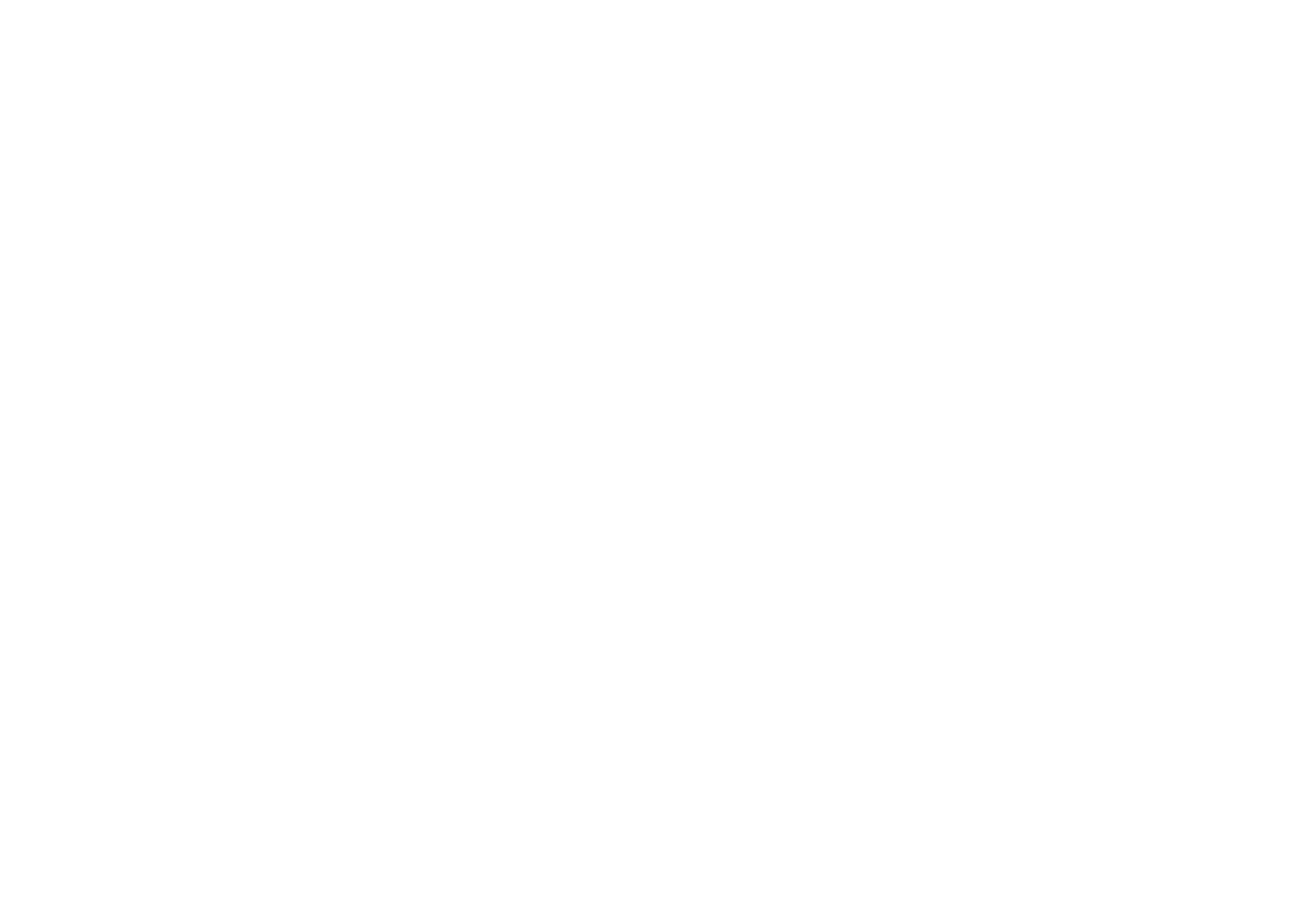|                                                                                     |                        |             | <b>Voting intention</b> |                         |              | <b>2010 Vote</b>        |                |                | Gender        |                |                | Age         |                |                | <b>Social Grade</b> | Newspaper<br>Readership |                   |                                            |
|-------------------------------------------------------------------------------------|------------------------|-------------|-------------------------|-------------------------|--------------|-------------------------|----------------|----------------|---------------|----------------|----------------|-------------|----------------|----------------|---------------------|-------------------------|-------------------|--------------------------------------------|
|                                                                                     |                        | Total       | Con                     | Lab                     | Lib<br>Dem   | <b>UKIP</b>             | Con            | Lab            | Lib<br>Dem    | Male           | Female         | 18-24       | 25-39          | 40-59          | $60+$               | ABC1                    | C <sub>2</sub> DE | Daily Mail / Scottish<br><b>Daily Mail</b> |
|                                                                                     | <b>Weighted Sample</b> | 1985        | 532                     | 612                     | 168          | 201                     | 635            | 485            | 418           | 963            | 1022           | 236         | 502            | 679            | 568                 | 1131                    | 854               | 273                                        |
| Unweighted Sample                                                                   |                        | 1985        | 512                     | 622                     | 153          | 217                     | 604            | 483            | 463           | 932            | 1053           | 162         | 512            | 767            | 544                 | 1322                    | 663               | 316                                        |
|                                                                                     |                        | %           | $\frac{9}{6}$           | %                       | %            | $\%$                    | $\frac{0}{0}$  | $\%$           | $\frac{9}{6}$ | %              | $\%$           | $\%$        | $\%$           | %              | $\frac{0}{0}$       | %                       | $\%$              | $\frac{9}{6}$                              |
|                                                                                     | Sept 26-<br>27         | Oct 3-4     |                         |                         |              |                         |                |                |               |                |                |             |                |                |                     |                         |                   |                                            |
| Do you think this coalition government is good<br>or bad for people like you?       |                        |             |                         |                         |              |                         |                |                |               |                |                |             |                |                |                     |                         |                   |                                            |
| Very good                                                                           | $\overline{2}$         | 3           | 4                       | 0                       | 17           | 0                       | 3              | $\mathbf 0$    | 6             | $\overline{2}$ | 3              | 3           | $\overline{2}$ | $\overline{c}$ | 4                   | 3                       | $\overline{c}$    | 2                                          |
| Fairly good                                                                         | 19                     | 20          | 41                      | 5                       | 43           | 11                      | 31             | 10             | 23            | 21             | 19             | 16          | 21             | 21             | 19                  | 23                      | 15                | 20                                         |
| <b>TOTAL GOOD</b>                                                                   | 21                     | 23          | 45                      | $5\phantom{.0}$         | 60           | 11                      | 34             | 10             | 29            | 23             | 22             | 19          | 23             | 23             | 23                  | 26                      | 17                | 22                                         |
| Fairly bad                                                                          | 28                     | 28          | 26                      | 31                      | 15           | 33                      | 28             | 31             | 24            | 27             | 28             | 27          | 24             | 29             | 30                  | 28                      | 27                | 33                                         |
| Very bad                                                                            | 27                     | 27          | 6                       | 51                      | 8            | 35                      | 13             | 44             | 25            | 27             | 27             | 28          | 22             | 29             | 28                  | 22                      | 33                | 23                                         |
| <b>TOTAL BAD</b>                                                                    | 55                     | 55          | 32                      | 82                      | 23           | 68                      | 41             | 75             | 49            | 54             | 55             | 55          | 46             | 58             | 58                  | 50                      | 60                | 56                                         |
| Doesn't make much difference either way                                             | 19                     | 18          | 22                      | 10                      | 16           | 20                      | 23             | 12             | 17            | 18             | 18             | 12          | 24             | 16             | 18                  | 19                      | 16                | 20                                         |
| Don't know                                                                          | 4                      | 5           | $\overline{2}$          | $\overline{2}$          | $\mathbf{1}$ | $\mathbf 0$             | $\overline{2}$ | 2              | 3             | $\overline{4}$ | 5              | 14          | $\overline{7}$ | 3              | $\mathbf{1}$        | $\overline{4}$          | 5                 | $\overline{2}$                             |
| Do you think the coalition government is<br>managing the economy well or badly?     |                        |             |                         |                         |              |                         |                |                |               |                |                |             |                |                |                     |                         |                   |                                            |
| Very well                                                                           | 5                      | 6           | 17                      | 0                       | 15           | $\mathbf{1}$            | 12             | 0              | 8             | 6              | 6              | 4           | 5              | 6              | 8                   | 7                       | 6                 | 8                                          |
| Fairly well                                                                         | 33                     | 33          | 70                      | 8                       | 49           | 28                      | 59             | 16             | 29            | 35             | 32             | 20          | 33             | 32             | 42                  | 39                      | 27                | 48                                         |
| <b>TOTAL WELL</b>                                                                   | 38                     | 39          | 87                      | 8                       | 64           | 29                      | 71             | 16             | 37            | 41             | 38             | 24          | 38             | 38             | 50                  | 46                      | 33                | 56                                         |
| Fairly badly                                                                        | 31                     | 31          | 6                       | 47                      | 25           | 38                      | 15             | 42             | 37            | 30             | 31             | 34          | 32             | 32             | 25                  | 31                      | 30                | 25                                         |
| Very badly                                                                          | 22                     | 21          | 2                       | 40                      | 5            | 25                      | 8              | 35             | 20            | 20             | 21             | 22          | 19             | 22             | 20                  | 16                      | 27                | 15                                         |
| <b>TOTAL BADLY</b>                                                                  | 53                     | 52          | 8                       | 87                      | 30           | 63                      | 23             | 77             | 57            | 50             | 52             | 56          | 51             | 54             | 45                  | 47                      | 57                | 40                                         |
| Don't know                                                                          | 10                     | 9           | 6                       | 5                       | 6            | 8                       | 6              | $\overline{7}$ | 6             | 8              | 10             | 21          | 11             | 8              | $\overline{4}$      | 8                       | 10                | $\overline{4}$                             |
| In your opinion how good or bad is the state of<br>Britain's economy at the moment? |                        |             |                         |                         |              |                         |                |                |               |                |                |             |                |                |                     |                         |                   |                                            |
| Very good                                                                           | $\mathbf{1}$           | $\mathbf 1$ | $\overline{c}$          | 0                       | 3            | 0                       | $\mathbf{1}$   | 0              | 1             | $\mathbf{1}$   | $\mathbf{1}$   | $\mathbf 0$ | $\mathbf{1}$   | 0              | 1                   |                         | $\mathbf 0$       | $\mathbf{1}$                               |
| Quite good                                                                          | 11                     | 12          | 33                      | 3                       | 13           | $\overline{4}$          | 24             | 6              | 8             | 14             | 11             | 12          | 10             | 11             | 16                  | 14                      | 11                | 20                                         |
| <b>TOTAL GOOD</b>                                                                   | 12                     | 13          | 35                      | $\overline{\mathbf{3}}$ | 16           | $\overline{\mathbf{4}}$ | 25             | 6              | 9             | 15             | 12             | 12          | 11             | 11             | 17                  | 15                      | 11                | 21                                         |
| Neither good nor bad                                                                | 31                     | 31          | 44                      | 20                      | 51           | 30                      | 42             | 23             | 32            | 32             | 30             | 27          | 33             | 31             | 32                  | 33                      | 29                | 34                                         |
| Quite bad                                                                           | 38                     | 35          | 17                      | 50                      | 26           | 43                      | 22             | 47             | 39            | 34             | 36             | 31          | 35             | 37             | 35                  | 35                      | 36                | 29                                         |
| Very bad                                                                            | 16                     | 17          | 3                       | 25                      | 6            | 23                      | 10             | 22             | 16            | 16             | 18             | 18          | 16             | 18             | 16                  | 14                      | 21                | 13                                         |
| <b>TOTAL BAD</b>                                                                    | 54                     | 52          | 20                      | 75                      | 32           | 66                      | 32             | 69             | 55            | 50             | 54             | 49          | 51             | 55             | 51                  | 49                      | 57                | 42                                         |
| Don't know                                                                          | 4                      | 3           | $\mathbf 1$             | $\overline{2}$          | 1            | 1                       | $\mathbf 1$    | 2              | 3             | 3              | $\overline{4}$ | 11          | 5              | $\overline{2}$ | 0                   | $\overline{4}$          | 3                 | $\overline{2}$                             |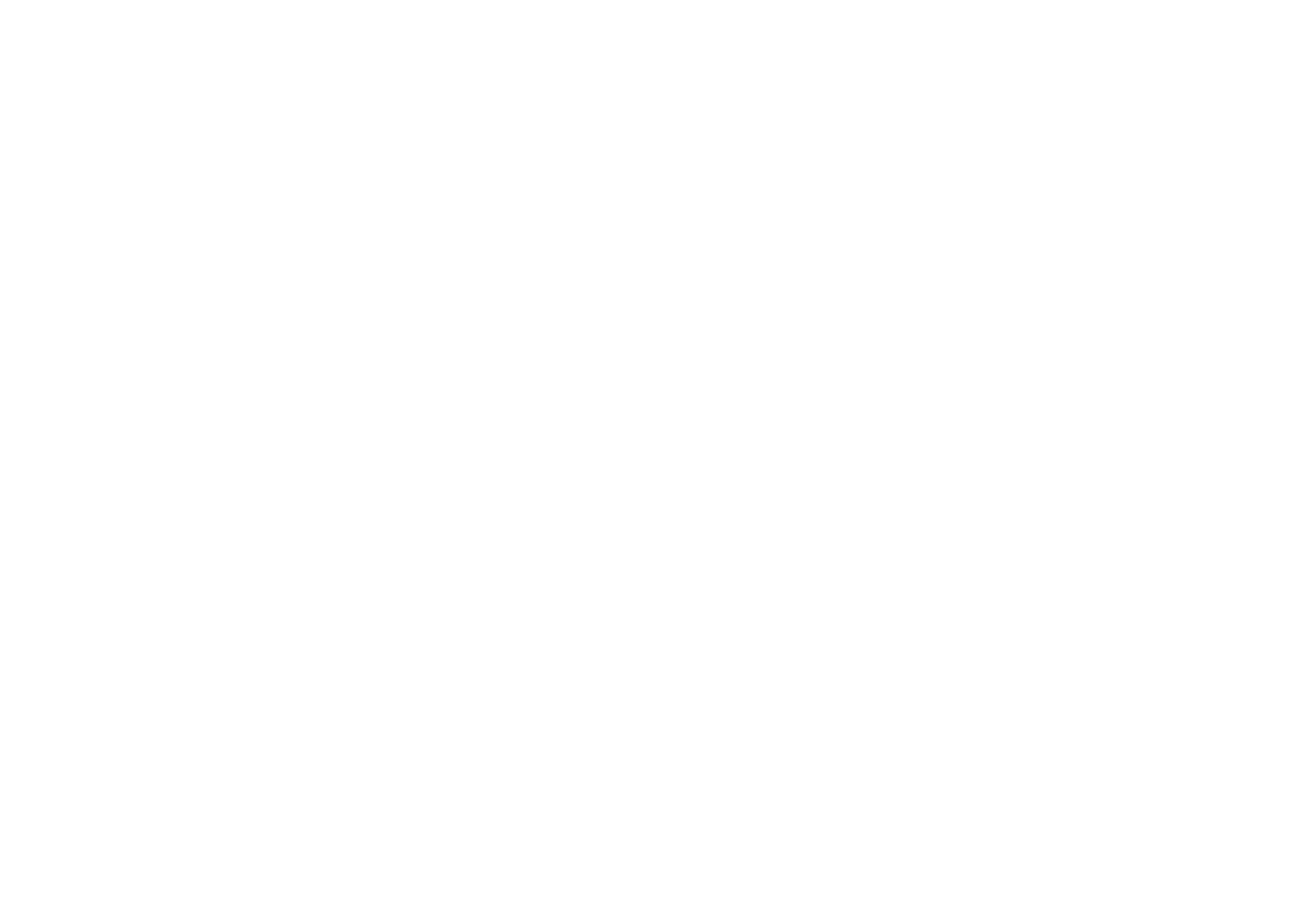|                                                                                     |                        |               |                |                  | Region              |                |                  |
|-------------------------------------------------------------------------------------|------------------------|---------------|----------------|------------------|---------------------|----------------|------------------|
|                                                                                     |                        | Total         | London         | Rest of<br>South | Midlands /<br>Wales | <b>North</b>   | Scotland         |
|                                                                                     | <b>Weighted Sample</b> | 1985          | 254            | 645              | 425                 | 488            | 173              |
| Unweighted Sample                                                                   |                        | 1985          | 269            | 650              | 385                 | 486            | 195              |
|                                                                                     |                        | $\frac{0}{0}$ | $\frac{9}{6}$  | $\frac{0}{0}$    | $\frac{0}{0}$       | $\frac{0}{0}$  | $\frac{9}{6}$    |
|                                                                                     | Sept 26-<br>27         | Oct 3 -4      |                |                  |                     |                |                  |
| Do you think this coalition government is good<br>or bad for people like you?       |                        |               |                |                  |                     |                |                  |
| Very good                                                                           | $\overline{2}$         | 3             | 2              | $\overline{2}$   | $\overline{2}$      | $\overline{4}$ | $\mathbf{1}$     |
| Fairly good                                                                         | 19                     | 20            | 23             | 22               | 21                  | 16             | 15               |
| <b>TOTAL GOOD</b>                                                                   | 21                     | 23            | 25             | 24               | 23                  | 20             | 16               |
| Fairly bad                                                                          | 28                     | 28            | 28             | 29               | 25                  | 29             | 27               |
| Very bad                                                                            | 27                     | 27            | 21             | 24               | 27                  | 31             | 37               |
| <b>TOTAL BAD</b>                                                                    | 55                     | 55            | 49             | 53               | 52                  | 60             | 64               |
| Doesn't make much difference either way                                             | 19                     | 18            | 21             | 18               | 19                  | 16             | 16               |
| Don't know                                                                          | 4                      | 5             | 6              | 6                | 5                   | 3              | 3                |
| Do you think the coalition government is<br>managing the economy well or badly?     |                        |               |                |                  |                     |                |                  |
| Very well                                                                           | 5                      | 6             | $\overline{7}$ | 5                | 8                   | 8              | $\overline{2}$   |
| Fairly well                                                                         | 33                     | 33            | 37             | 36               | 37                  | 29             | 24               |
| <b>TOTAL WELL</b>                                                                   | 38                     | 39            | 44             | 41               | 45                  | 37             | 26               |
| Fairly badly                                                                        | 31                     | 31            | 29             | 31               | 27                  | 30             | 39               |
| Very badly                                                                          | 22                     | 21            | 19             | 16               | 21                  | 26             | 26               |
| <b>TOTAL BADLY</b>                                                                  | 53                     | 52            | 48             | 47               | 48                  | 56             | 65               |
| Don't know                                                                          | 10                     | 9             | $\overline{7}$ | 12               | 8                   | 7              | 8                |
| In your opinion how good or bad is the state of<br>Britain's economy at the moment? |                        |               |                |                  |                     |                |                  |
| Very good                                                                           | $\mathbf 1$            | 1             | 1              | $\mathbf 0$      | 1                   | 1              | $\mathbf 0$      |
| Quite good                                                                          | 11                     | 12            | 12             | 13               | 12                  | 14             | 9                |
| <b>TOTAL GOOD</b>                                                                   | 12                     | 13            | 13             | 13               | 13                  | 15             | $\boldsymbol{9}$ |
| Neither good nor bad                                                                | 31                     | 31            | 38             | 33               | 32                  | 25             | 30               |
| Quite bad                                                                           | 38                     | 35            | 29             | 34               | 36                  | 37             | 40               |
| Very bad                                                                            | 16                     | 17            | 16             | 15               | 15                  | 21             | 20               |
| <b>TOTAL BAD</b>                                                                    | 54                     | 52            | 45             | 49               | 51                  | 58             | 60               |
| Don't know                                                                          | 4                      | 3             | 4              | 5                | 4                   | 2              | 1                |

 $\mathsf{r}$ 

ᅮ

 $\overline{\phantom{0}}$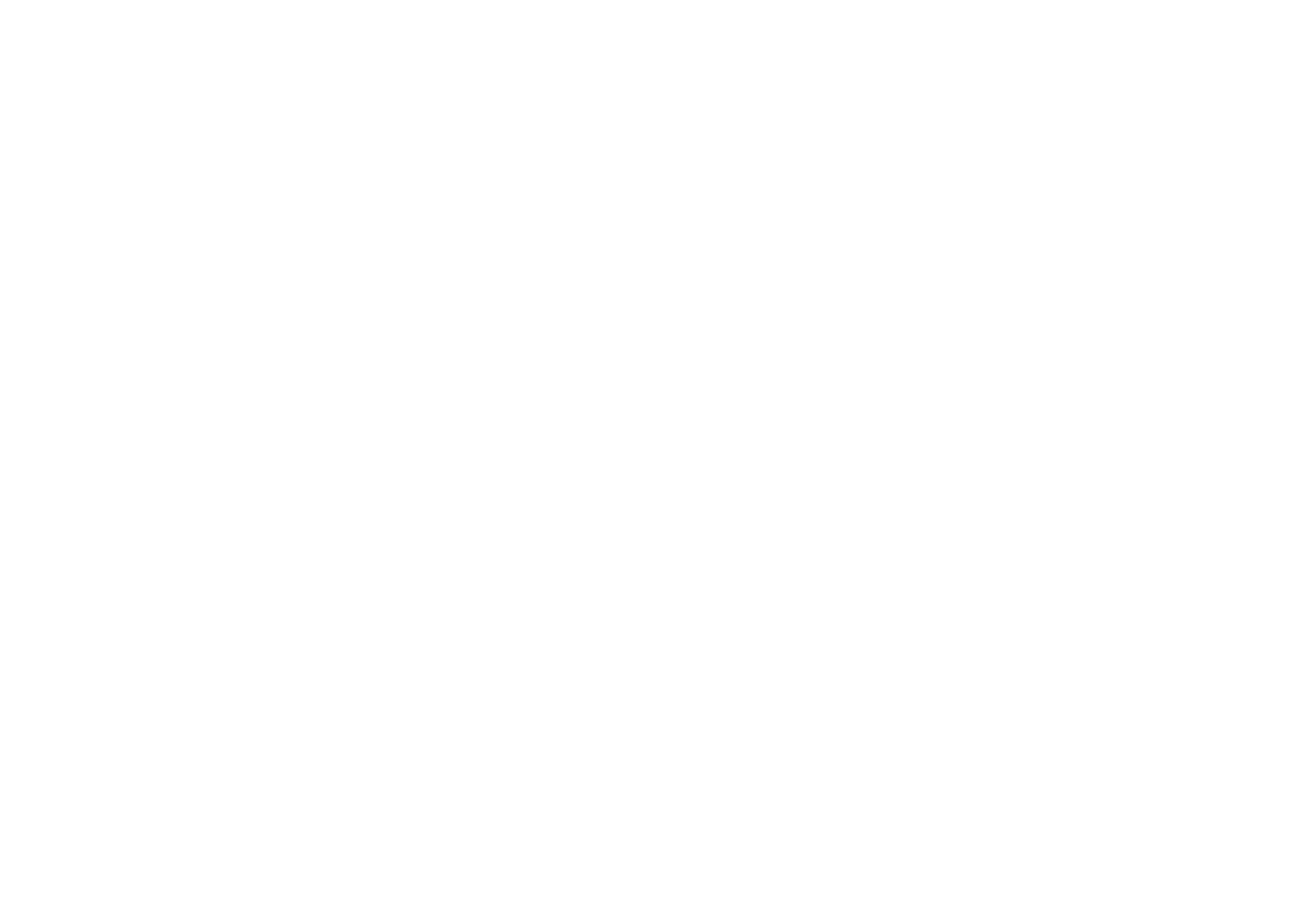|                                                                                                    |                        |                     |                         | <b>Voting intention</b>     |                                  |                     |                                 | <b>2010 Vote</b>             |                      |                     | Gender              |                     |                     | Age                           |                     | <b>Social Grade</b> |                     | Newspaper<br>Readership             |
|----------------------------------------------------------------------------------------------------|------------------------|---------------------|-------------------------|-----------------------------|----------------------------------|---------------------|---------------------------------|------------------------------|----------------------|---------------------|---------------------|---------------------|---------------------|-------------------------------|---------------------|---------------------|---------------------|-------------------------------------|
|                                                                                                    |                        | Total               | Con                     | Lab                         | Lib<br>Dem                       | <b>UKIP</b>         | Con                             | Lab                          | Lib<br>Dem           | Male                | Female              |                     | $18-24$ 25-39       | 40-59                         | $60+$               | ABC1                | C <sub>2</sub> DE   | Daily Mail / Scottish<br>Daily Mail |
|                                                                                                    | <b>Weighted Sample</b> | 1985                | 532                     | 612                         | 168                              | 201                 | 635                             | 485                          | 418                  | 963                 | 1022                | 236                 | 502                 | 679                           | 568                 | 1131                | 854                 | 273                                 |
| Unweighted Sample                                                                                  |                        | 1985                | 512                     | 622                         | 153                              | 217                 | 604                             | 483                          | 463                  | 932                 | 1053                | 162                 | 512                 | 767                           | 544                 | 132                 | 663                 | 316                                 |
|                                                                                                    |                        | $\%$                | $\%$                    | %                           | $\%$                             | $\%$                | $\frac{9}{6}$                   | %                            | %                    | %                   | $\%$                | %                   | $\%$                | %                             | %                   | $\%$                | %                   | %                                   |
|                                                                                                    | Sept 26-<br>27         | Oct 3 -4            |                         |                             |                                  |                     |                                 |                              |                      |                     |                     |                     |                     |                               |                     |                     |                     |                                     |
| How do you think the financial situation of your<br>household will change over the next 12 months? |                        |                     |                         |                             |                                  |                     |                                 |                              |                      |                     |                     |                     |                     |                               |                     |                     |                     |                                     |
| Get a lot better                                                                                   | $\overline{2}$         | $\mathbf{2}$        | 3                       |                             | $\overline{2}$                   | 0                   | 3                               | 1                            | $\overline{2}$       | $\overline{2}$      | 2                   |                     | 4                   | 2                             | 0                   | 2                   |                     | 3                                   |
| Get a little better                                                                                | 14                     | 14                  | 28                      | $\overline{7}$              | 19                               | 8                   | 21                              | 8                            | 11                   | 18                  | 10                  | 20                  | 21                  | 12                            | $\overline{7}$      | 18                  | 8                   | 14                                  |
| <b>TOTAL BETTER</b>                                                                                | 16                     | 16                  | 31                      | 8                           | 21                               | 8                   | 24                              | 9                            | 13                   | 20                  | 12                  | 21                  | 25                  | 14                            | $\overline{7}$      | 20                  | 9                   | 17                                  |
| Stay about the same                                                                                | 37                     | 39                  | 50                      | 29                          | 53                               | 34                  | 45                              | 31                           | 41                   | 35                  | 42                  | 37                  | 36                  | 36                            | 45                  | 41                  | 36                  | 39                                  |
| Get a little worse                                                                                 | 32                     | 26                  | 13                      | 38                          | 18                               | 33                  | 19                              | 35                           | 29                   | 27                  | 25                  | 16                  | 23                  | 28                            | 31                  | 25                  | 29                  | 27                                  |
| Get a lot worse                                                                                    | 11                     | 15                  | 3                       | 22                          | $\overline{4}$                   | 23                  | 9                               | 23                           | 13                   | 13                  | 16                  | 12                  | 10                  | 19                            | 15                  | 10                  | 21                  | 13                                  |
| <b>TOTAL WORSE</b>                                                                                 | 43                     | 41                  | 16                      | 60                          | 22                               | 56                  | 28                              | 58                           | 42                   | 40                  | 41                  | 28                  | 33                  | 47                            | 46                  | 35                  | 50                  | 40                                  |
| Don't know                                                                                         | 4                      | 5                   | 3                       | 3                           | 4                                | $\overline{2}$      | 3                               | 3                            | 4                    | 5                   | 5                   | 14                  | $\overline{7}$      | 3                             |                     | 5                   | 5                   | $\overline{4}$                      |
| Which of these would make the best Prime<br>Minister?                                              | Sept 24-<br>25         | Oct 3 -4            |                         |                             |                                  |                     |                                 |                              |                      |                     |                     |                     |                     |                               |                     |                     |                     |                                     |
| David Cameron<br><b>Ed Miliband</b><br>Nick Clegg<br>Don't know                                    | 35<br>26<br>5<br>34    | 34<br>25<br>6<br>35 | 93<br>$\mathbf{1}$<br>5 | 3<br>68<br>$\sqrt{2}$<br>28 | 19<br>$\overline{7}$<br>52<br>22 | 30<br>11<br>3<br>55 | 75<br>3<br>$\overline{2}$<br>20 | 9<br>56<br>$\mathbf 2$<br>33 | 18<br>24<br>18<br>40 | 36<br>27<br>8<br>29 | 33<br>23<br>4<br>40 | 24<br>27<br>8<br>41 | 33<br>26<br>8<br>33 | 30<br>27<br>$\,$ 5 $\,$<br>38 | 44<br>21<br>6<br>29 | 39<br>21<br>8<br>32 | 27<br>29<br>5<br>38 | 54<br>11<br>5<br>29                 |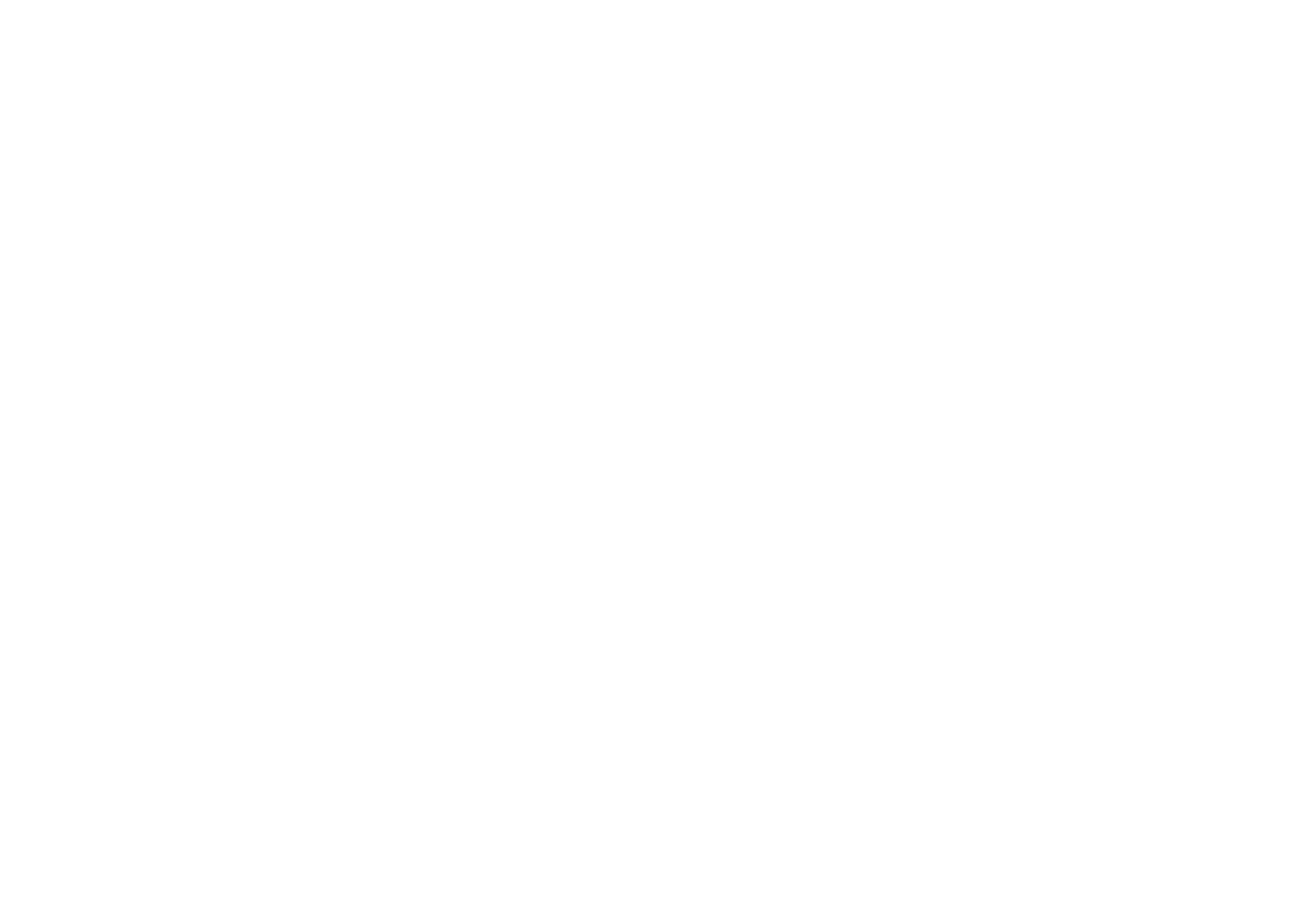|                        |              |        |                         | Region              |              |          |
|------------------------|--------------|--------|-------------------------|---------------------|--------------|----------|
|                        | <b>Total</b> | London | <b>Rest of</b><br>South | Midlands /<br>Wales | <b>North</b> | Scotland |
| <b>Weighted Sample</b> | 1985         | 254    | 645                     | 425                 | 488          | 173      |
| Unweighted Sample      | 1985         | 269    | 650                     | 385                 | 486          | 195      |
|                        | %            | %      | %                       | %                   | $\%$         | %        |
| Sept 26-<br>27         | Oct 3-4      |        |                         |                     |              |          |

**How do you think the financial situation of your household will change over the next 12 months?**

| Get a lot better                         | $\overline{2}$ | 2        | 3  | 1  | 2  | 2  | 0  |
|------------------------------------------|----------------|----------|----|----|----|----|----|
| Get a little better                      | 14             | 14       | 17 | 15 | 13 | 11 | 17 |
| <b>TOTAL BETTER</b>                      | 16             | 16       | 20 | 16 | 15 | 13 | 17 |
| Stay about the same                      | 37             | 39       | 38 | 39 | 40 | 36 | 40 |
| Get a little worse                       | 32             | 26       | 24 | 26 | 24 | 30 | 26 |
| Get a lot worse                          | 11             | 15       | 11 | 13 | 16 | 17 | 13 |
| <b>TOTAL WORSE</b>                       | 43             | 41       | 35 | 39 | 40 | 47 | 39 |
| Don't know                               | 4              | 5        | 6  | 6  | 5  | 3  | 3  |
|                                          | Sept 24-<br>25 | Oct 3 -4 |    |    |    |    |    |
| Which of these would make the best Prime |                |          |    |    |    |    |    |
| Minister?                                |                |          |    |    |    |    |    |
| David Cameron                            | 35             | 34       | 36 | 38 | 37 | 32 | 21 |
| Ed Miliband                              | 26             | 25       | 23 | 19 | 23 | 31 | 36 |
| Nick Clegg                               | 5              | 6        | 6  | 8  | 7  | 4  | 7  |
| Don't know                               | 34             | 35       | 35 | 36 | 34 | 33 | 37 |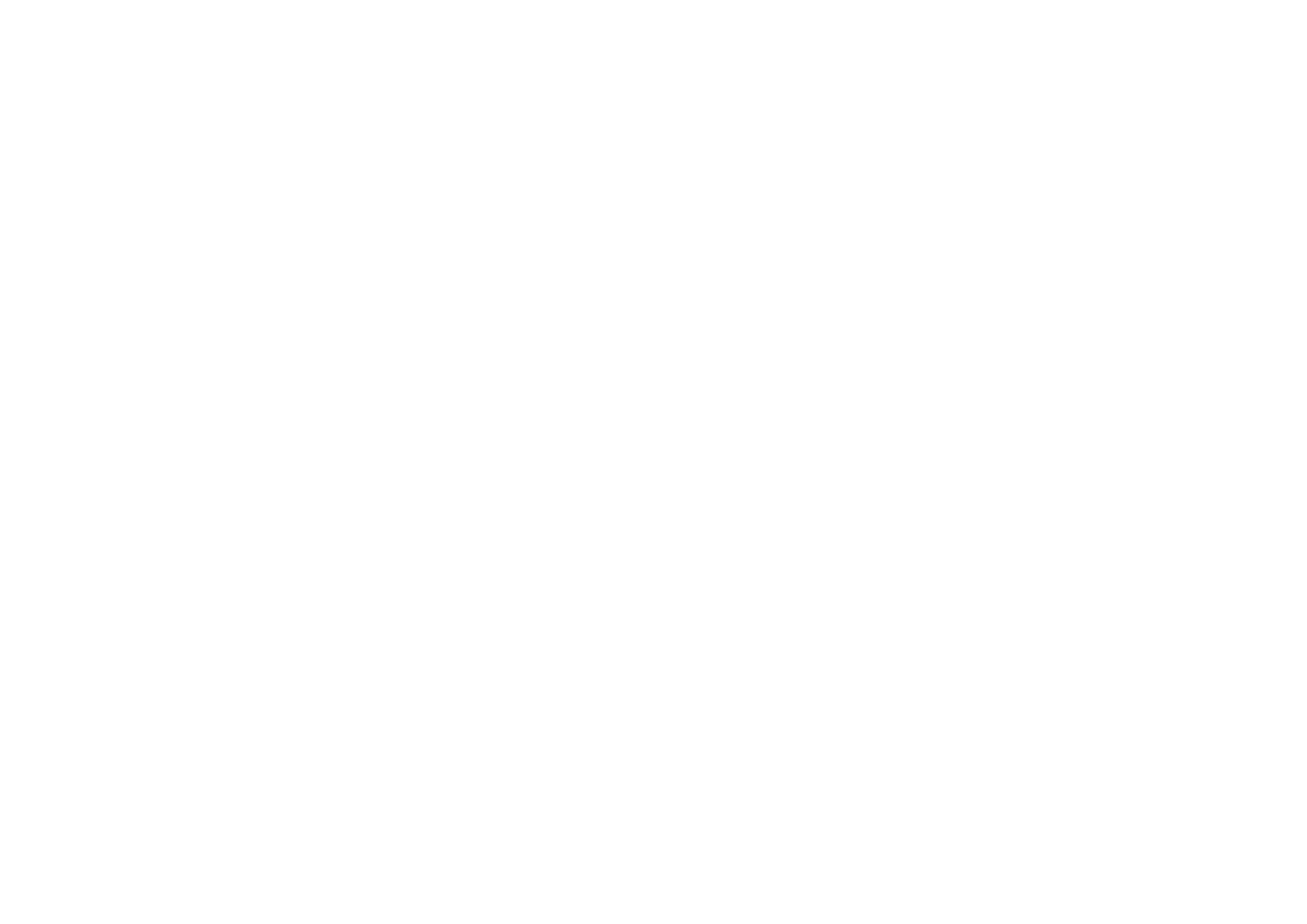|                                                                                                                                                                                                                               |                        |               |                | <b>Voting intention</b> |                |                |               | <b>2010 Vote</b> |            |      | Gender        |               |       | Age            |       |      | <b>Social Grade</b> | Newspaper<br>Readership                    |
|-------------------------------------------------------------------------------------------------------------------------------------------------------------------------------------------------------------------------------|------------------------|---------------|----------------|-------------------------|----------------|----------------|---------------|------------------|------------|------|---------------|---------------|-------|----------------|-------|------|---------------------|--------------------------------------------|
|                                                                                                                                                                                                                               |                        | Total         | Con            | Lab                     | Lib<br>Dem     | <b>UKIP</b>    | Con           | Lab              | Lib<br>Dem | Male | Female        | 18-24         | 25-39 | 40-59          | $60+$ | ABC1 | C <sub>2</sub> DE   | Daily Mail / Scottish<br><b>Daily Mail</b> |
|                                                                                                                                                                                                                               | <b>Weighted Sample</b> | 1985          | 532            | 612                     | 168            | 201            | 635           | 485              | 418        | 963  | 1022          | 236           | 502   | 679            | 568   | 1131 | 854                 | 273                                        |
| Unweighted Sample                                                                                                                                                                                                             |                        | 1985          | 512            | 622                     | 153            | 217            | 604           | 483              | 463        | 932  | 1053          | 162           | 512   | 767            | 544   | 1322 | 663                 | 316                                        |
|                                                                                                                                                                                                                               |                        | $\frac{0}{0}$ | $\%$           | $\frac{0}{0}$           | $\frac{0}{0}$  | %              | $\frac{9}{6}$ | $\%$             | $\%$       | $\%$ | $\frac{0}{0}$ | $\frac{0}{0}$ | %     | $\%$           | $\%$  | $\%$ | %                   | $\frac{9}{6}$                              |
|                                                                                                                                                                                                                               | Sept 24-<br>25         | Oct 3 -4      |                |                         |                |                |               |                  |            |      |               |               |       |                |       |      |                     |                                            |
| If you could choose, which of the following<br>would you most like to see after the next<br>election?                                                                                                                         |                        |               |                |                         |                |                |               |                  |            |      |               |               |       |                |       |      |                     |                                            |
| A majority Conservative government                                                                                                                                                                                            | 27                     | 30            | 84             | $\mathbf 1$             | $\overline{7}$ | 37             | 70            | 5                | 9          | 31   | 28            | 22            | 23    | 28             | 40    | 33   | 25                  | 52                                         |
| A coalition between the Conservatives and Liberal<br>Democrats                                                                                                                                                                | 12                     | 9             | 12             | $\mathbf{1}$            | 38             | 6              | 10            | 3                | 16         | 10   | 8             | 5             | 11    | $\overline{7}$ | 10    | 10   | 6                   | $\overline{7}$                             |
| A coalition between Labour and the Liberal<br>Democrats                                                                                                                                                                       | 14                     | 12            | $\Omega$       | 13                      | 42             | $\overline{7}$ | 2             | 11               | 27         | 12   | 11            | 22            | 10    | 12             | 9     | 13   | 9                   | 6                                          |
| A majority Labour government                                                                                                                                                                                                  | 30                     | 31            | $\mathbf 0$    | 82                      | 4              | 15             | 5             | 70               | 27         | 31   | 30            | 26            | 34    | 34             | 26    | 26   | 37                  | 17                                         |
| Don't know                                                                                                                                                                                                                    | 17                     | 19            | $\overline{4}$ | 3                       | 8              | 35             | 12            | 11               | 20         | 15   | 23            | 25            | 23    | 19             | 15    | 17   | 22                  | 18                                         |
| And regardless of what you would like to see,<br>what do you think is the most LIKELY result of                                                                                                                               | May 2 - 3 Oct 3 -4     |               |                |                         |                |                |               |                  |            |      |               |               |       |                |       |      |                     |                                            |
| the next election?<br>A majority Conservative government                                                                                                                                                                      | 13                     | 15            | 31             | $\overline{7}$          | $\overline{7}$ | 12             | 23            | 10               | 12         | 15   | 16            | 14            | 17    | 14             | 15    | 19   | 11                  | 22                                         |
| A coalition between the Conservatives and Liberal                                                                                                                                                                             |                        |               |                |                         |                |                |               |                  |            |      |               |               |       |                |       |      |                     |                                            |
| Democrats                                                                                                                                                                                                                     | 10                     | 17            | 29             | 8                       | 41             | 12             | 25            | 11               | 21         | 22   | 14            | 13            | 20    | 13             | 22    | 20   | 14                  | 20                                         |
| A coalition between Labour and the Liberal<br>Democrats                                                                                                                                                                       | 19                     | 17            | 14             | 22                      | 16             | 19             | 16            | 21               | 17         | 21   | 14            | 18            | 12    | 19             | 20    | 18   | 16                  | 17                                         |
| A majority Labour government                                                                                                                                                                                                  | 30                     | 23            | $\overline{7}$ | 43                      | 19             | 27             | 13            | 35               | 24         | 23   | 23            | 26            | 23    | 24             | 20    | 19   | 28                  | 15                                         |
| Don't know                                                                                                                                                                                                                    | 28                     | 27            | 19             | 19                      | 17             | 30             | 23            | 23               | 26         | 19   | 34            | 29            | 28    | 29             | 23    | 24   | 31                  | 25                                         |
|                                                                                                                                                                                                                               | Sept 26-<br>27         | Oct 3-4       |                |                         |                |                |               |                  |            |      |               |               |       |                |       |      |                     |                                            |
| If at the next election there is another hung<br>Parliament and both Labour and the<br>Conservatives only have enough seats to form a<br>government with the support of the Liberal<br>Democrats, which would you rather see? |                        |               |                |                         |                |                |               |                  |            |      |               |               |       |                |       |      |                     |                                            |
| A coalition between Labour and the Liberal<br>Democrats                                                                                                                                                                       | 42                     | 42            | 1              | 85                      | 46             | 30             | 8             | 74               | 59         | 43   | 40            | 46            | 42    | 46             | 35    | 40   | 43                  | 27                                         |
| A coalition between the Conservatives and the<br><b>Liberal Democrats</b>                                                                                                                                                     | 36                     | 40            | 93             |                         | 46             | 47             | 80            | 11               | 27         | 41   | 38            | 27            | 38    | 36             | 51    | 44   | 33                  | 60                                         |
| Don't know                                                                                                                                                                                                                    | 23                     | 19            | 6              | 12                      | 8              | 23             | 12            | 16               | 14         | 16   | 21            | 27            | 20    | 18             | 14    | 15   | 23                  | 14                                         |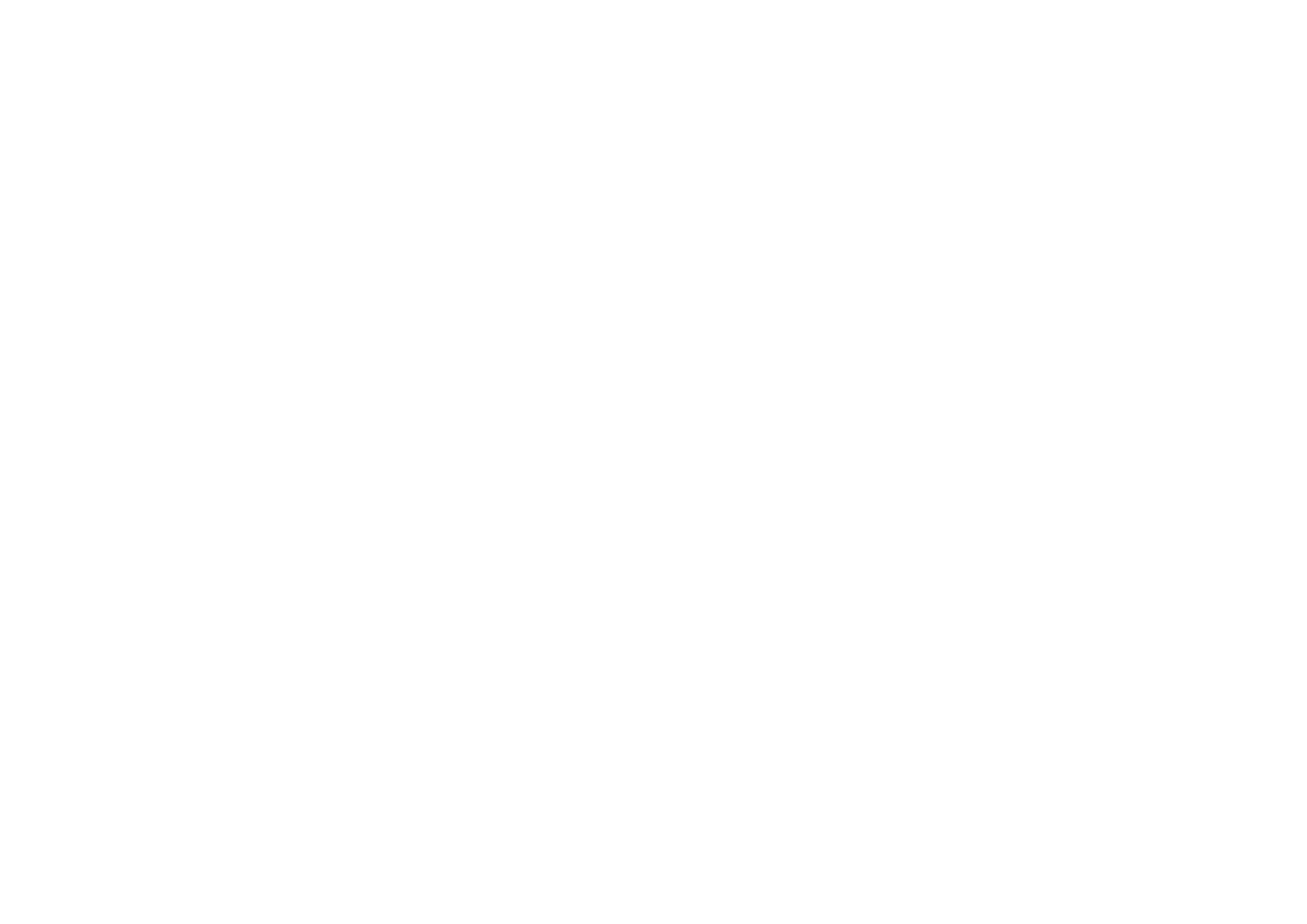|                                                                                                                                       |                        |          |                |                  | Region              |              |               |
|---------------------------------------------------------------------------------------------------------------------------------------|------------------------|----------|----------------|------------------|---------------------|--------------|---------------|
|                                                                                                                                       |                        | Total    | London         | Rest of<br>South | Midlands /<br>Wales | <b>North</b> | Scotland      |
|                                                                                                                                       | <b>Weighted Sample</b> | 1985     | 254            | 645              | 425                 | 488          | 173           |
| Unweighted Sample                                                                                                                     |                        | 1985     | 269            | 650              | 385                 | 486          | 195           |
|                                                                                                                                       |                        | %        | $\frac{9}{6}$  | %                | %                   | %            | $\frac{9}{6}$ |
|                                                                                                                                       | Sept 24-<br>25         | Oct 3 -4 |                |                  |                     |              |               |
| If you could choose, which of the following                                                                                           |                        |          |                |                  |                     |              |               |
| would you most like to see after the next<br>election?                                                                                |                        |          |                |                  |                     |              |               |
| A majority Conservative government                                                                                                    | 27                     | 30       | 33             | 33               | 33                  | 26           | 14            |
| A coalition between the Conservatives and Liberal<br>Democrats                                                                        | 12                     | 9        | $\overline{7}$ | 10               | 9                   | 8            | 11            |
| A coalition between Labour and the Liberal<br>Democrats                                                                               | 14                     | 12       | 15             | 11               | 11                  | 11           | 12            |
| A majority Labour government                                                                                                          | 30                     | 31       | 27             | 25               | 28                  | 37           | 42            |
| Don't know                                                                                                                            | 17                     | 19       | 18             | 21               | 20                  | 18           | 21            |
|                                                                                                                                       | May 2 - 3 Oct 3 -4     |          |                |                  |                     |              |               |
| And regardless of what you would like to see,<br>what do you think is the most LIKELY result of<br>the next election?                 |                        |          |                |                  |                     |              |               |
| A majority Conservative government                                                                                                    | 13                     | 15       | 20             | 15               | 18                  | 13           | 12            |
| A coalition between the Conservatives and Liberal                                                                                     |                        |          |                |                  |                     |              |               |
| Democrats<br>A coalition between Labour and the Liberal                                                                               | 10                     | 17       | 19             | 20               | 17                  | 14           | 18            |
| Democrats                                                                                                                             | 19                     | 17       | 14             | 17               | 16                  | 18           | 22            |
| A majority Labour government<br>Don't know                                                                                            | 30<br>28               | 23<br>27 | 20<br>27       | 19<br>29         | 23<br>26            | 28<br>27     | 29<br>19      |
|                                                                                                                                       |                        |          |                |                  |                     |              |               |
|                                                                                                                                       | Sept 26-<br>27         | Oct 3-4  |                |                  |                     |              |               |
| If at the next election there is another hung<br>Parliament and both Labour and the<br>Conservatives only have enough seats to form a |                        |          |                |                  |                     |              |               |
| government with the support of the Liberal<br>Democrats, which would you rather see?                                                  |                        |          |                |                  |                     |              |               |
| A coalition between Labour and the Liberal<br>Democrats                                                                               | 42                     | 42       | 44             | 34               | 39                  | 48           | 57            |
| A coalition between the Conservatives and the<br>Liberal Democrats                                                                    | 36                     | 40       | 39             | 45               | 43                  | 36           | 24            |
| Don't know                                                                                                                            | 23                     | 19       | 17             | 22               | 18                  | 16           | 19            |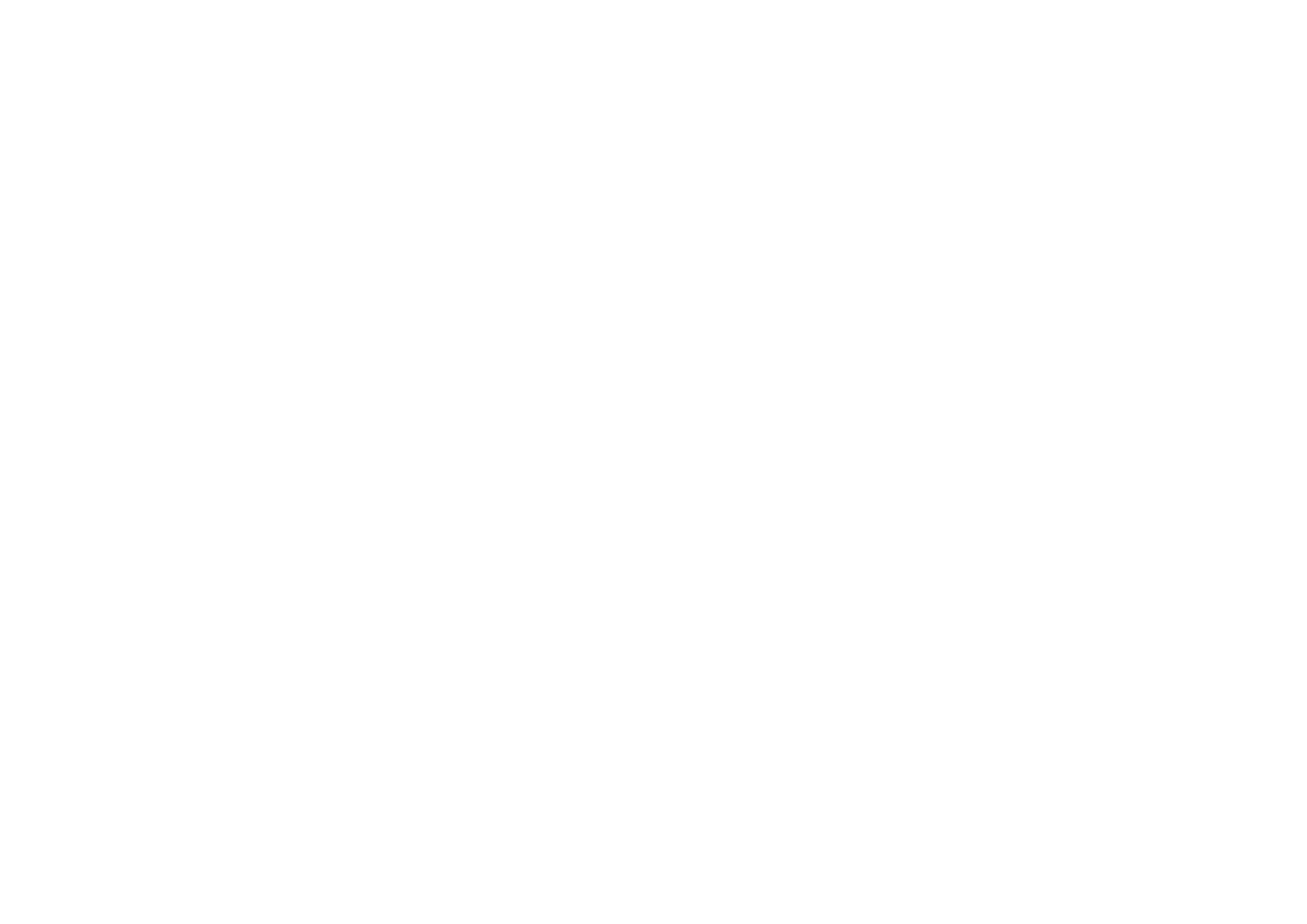|                                                                                                                                                                                                |                |                         | <b>Voting intention</b> |                |                  |                 | <b>2010 Vote</b> |            |                | Gender         |       |       | Age            |                |                  | <b>Social Grade</b> | Newspaper<br>Readership                    |
|------------------------------------------------------------------------------------------------------------------------------------------------------------------------------------------------|----------------|-------------------------|-------------------------|----------------|------------------|-----------------|------------------|------------|----------------|----------------|-------|-------|----------------|----------------|------------------|---------------------|--------------------------------------------|
|                                                                                                                                                                                                | Total          | Con                     | Lab                     | Lib<br>Dem     | <b>UKIP</b>      | Con             | Lab              | Lib<br>Dem | Male           | Female         | 18-24 | 25-39 | 40-59          | $60+$          | ABC1             | C <sub>2</sub> DE   | Daily Mail / Scottish<br><b>Daily Mail</b> |
| <b>Weighted Sample</b>                                                                                                                                                                         | 1985           | 532                     | 612                     | 168            | $\overline{201}$ | 635             | 485              | 418        | 963            | 1022           | 236   | 502   | 679            | 568            | 1131             | 854                 | 273                                        |
| Unweighted Sample                                                                                                                                                                              | 1985           | 512                     | 622                     | 153            | 217              | 604             | 483              | 463        | 932            | 1053           | 162   | 512   | 767            | 544            | 1322             | 663                 | 316                                        |
|                                                                                                                                                                                                | %              | $\%$                    | %                       | %              | $\%$             | $\%$            | $\%$             | %          | %              | %              | %     | %     | $\frac{0}{0}$  | $\frac{0}{0}$  | %                | $\%$                | $\%$                                       |
| Which party do you think has the best policies to<br>help ordinary hard-working people in Britain?                                                                                             |                |                         |                         |                |                  |                 |                  |            |                |                |       |       |                |                |                  |                     |                                            |
| Conservatives                                                                                                                                                                                  | 24             | 78                      | 0                       | $\sqrt{5}$     | 11               | 59              | 4                | 8          | 26             | 22             | 18    | 20    | 23             | 32             | 28               | 19                  | 42                                         |
| Labour                                                                                                                                                                                         | 33             | 3                       | 87                      | 12             | 13               | 5               | 75               | 33         | 34             | 33             | 33    | 34    | 38             | 28             | 31               | 36                  | 18                                         |
| <b>Liberal Democrats</b>                                                                                                                                                                       | 8              | $\overline{2}$          | $\overline{2}$          | 66             | $\mathbf{1}$     | 3               | 3                | 23         | 9              | 6              | 13    | 8     | $\overline{7}$ | 6              | $\boldsymbol{9}$ | 6                   | 5                                          |
| Other                                                                                                                                                                                          | 4              | $\mathbf 0$             | $\mathbf{1}$            | $\mathbf{1}$   | 24               | $\overline{4}$  | $\overline{2}$   | 3          | $\overline{4}$ | 3              | 3     | 3     | $\overline{4}$ | $\overline{4}$ | 3                | 4                   | 6                                          |
| None of them                                                                                                                                                                                   | 22             | 12                      | $\overline{7}$          | $\overline{7}$ | 49               | 23              | 12               | 26         | 19             | 25             | 14    | 20    | 23             | 27             | 20               | 25                  | 24                                         |
| Don't know                                                                                                                                                                                     | 8              | 5                       | $\overline{\mathbf{4}}$ | 9              | $\overline{2}$   | 5               | $\overline{4}$   | 8          | $\overline{7}$ | 10             | 19    | 15    | $\overline{4}$ | 3              | 8                | 9                   | 6                                          |
| Do you support or oppose the following<br>policies?<br>Forcing people who have been unemployed for<br>over two years to do community work or risk<br>losing their benefit?<br>Strongly support | 34             | 61                      | 14                      | 24             | 42               | 59              | 19               | 22         | 33             | 36             | 20    | 35    | 36             | 39             | 36               | 32                  | 50                                         |
| Tend to support                                                                                                                                                                                | 36             | 34                      | 34                      | 55             | 37               | 32              | 39               | 39         | 33             | 39             | 44    | 36    | 30             | 39             | 38               | 33                  | 35                                         |
| <b>TOTAL SUPPORT</b>                                                                                                                                                                           | 70             | 95                      | 48                      | 79             | 79               | 91              | 58               | 61         | 66             | 75             | 64    | 71    | 66             | 78             | 74               | 65                  | 85                                         |
| Tend to oppose                                                                                                                                                                                 | 13             | 3                       | 24                      | 12             | 12               | $\overline{4}$  | 18               | 20         | 13             | 13             | 13    | 12    | 15             | 10             | 12               | 14                  | 6                                          |
| Strongly oppose                                                                                                                                                                                | 10             | 1                       | 18                      | 5              | 6                | $\overline{2}$  | 17               | 13         | 14             | $\overline{7}$ | 12    | 9     | 13             | $\overline{7}$ | 8                | 13                  | 5                                          |
| <b>TOTAL OPPOSE</b>                                                                                                                                                                            | 23             | $\overline{\mathbf{4}}$ | 42                      | 17             | 18               | $6\phantom{1}6$ | 35               | 33         | 27             | 20             | 25    | 21    | 28             | 17             | 20               | 27                  | 11                                         |
| Not sure                                                                                                                                                                                       | $\overline{7}$ | $\overline{1}$          | 9                       | 3              | $\overline{4}$   | 3               | 8                | 6          | $\overline{7}$ | $\overline{7}$ | 11    | 8     | 6              | 5              | 6                | 8                   | 4                                          |
| Cutting or stopping benefits for people under<br>the age of twenty-five who are not in work,<br>training or education?                                                                         |                |                         |                         |                |                  |                 |                  |            |                |                |       |       |                |                |                  |                     |                                            |
| Strongly support                                                                                                                                                                               | 22             | 41                      | 8                       | 14             | 29               | 39              | 11               | 14         | 23             | 22             | 12    | 23    | 22             | 27             | 24               | 20                  | 36                                         |
| Tend to support                                                                                                                                                                                | 30             | 38                      | 24                      | 36             | 37               | 36              | 29               | 29         | 29             | 32             | 22    | 27    | 28             | 39             | 31               | 29                  | 37                                         |
| <b>TOTAL SUPPORT</b>                                                                                                                                                                           | 52             | 79                      | 32                      | 50             | 66               | 75              | 40               | 43         | 52             | 54             | 34    | 50    | 50             | 66             | 55               | 49                  | 73                                         |
| Tend to oppose                                                                                                                                                                                 | 21             | 12                      | 30                      | 25             | 10               | 12              | 26               | 25         | 21             | 21             | 24    | 20    | 22             | 19             | 20               | 22                  | 14                                         |
| Strongly oppose                                                                                                                                                                                | 18             | $\overline{2}$          | 32                      | 14             | 19               | 6               | 27               | 24         | 20             | 16             | 28    | 19    | 21             | 10             | 16               | 21                  | $\overline{7}$                             |
| <b>TOTAL OPPOSE</b>                                                                                                                                                                            | 39             | 14                      | 62                      | 39             | 29               | 18              | 53               | 49         | 41             | 37             | 52    | 39    | 43             | 29             | 36               | 43                  | 21                                         |
| Not sure                                                                                                                                                                                       | 9              | 6                       | $\overline{7}$          | 11             | 5                | $\overline{7}$  | 8                | 8          | $\overline{7}$ | 10             | 14    | 11    | 8              | 5              | 8                | 9                   | 5                                          |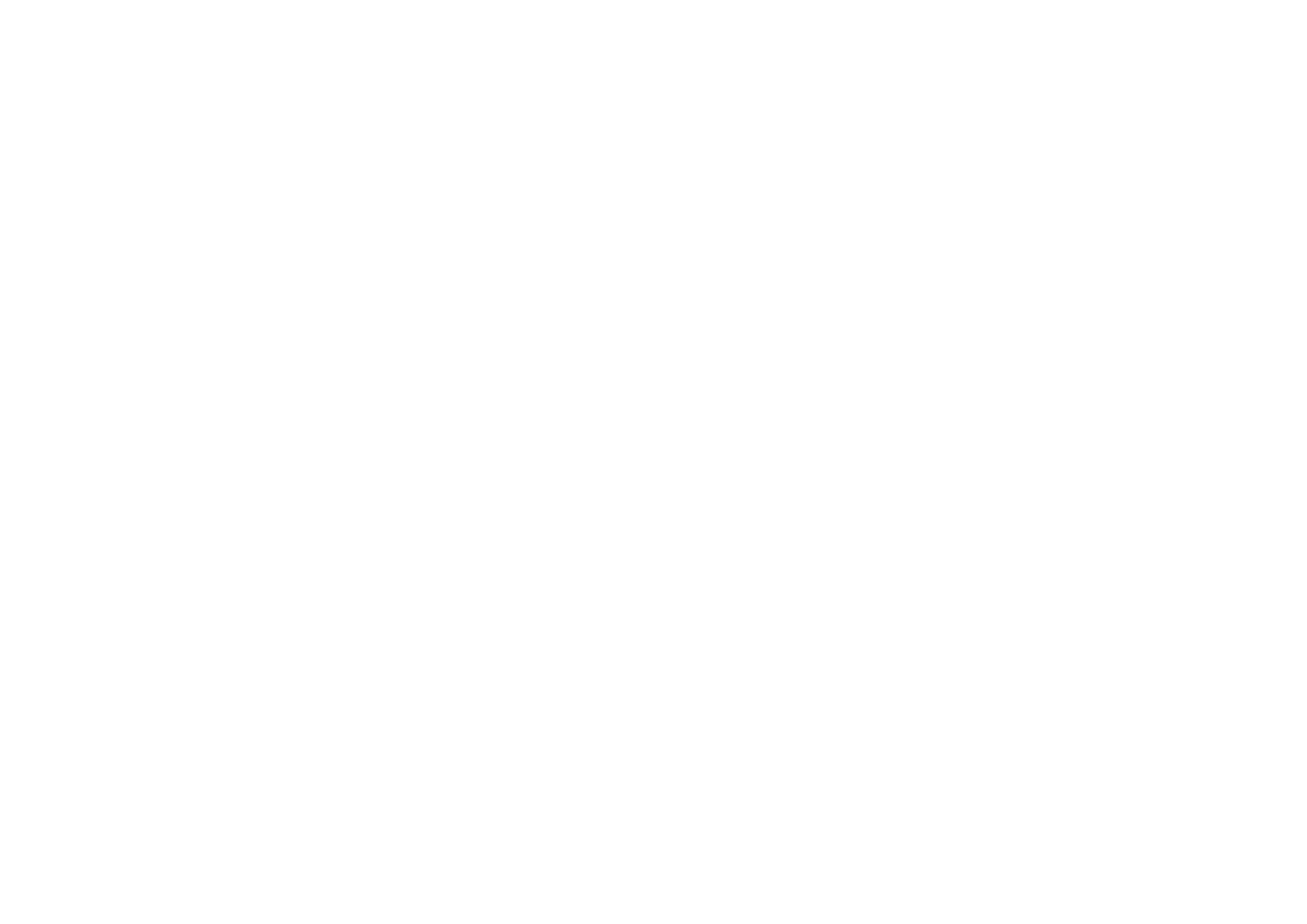|                                                                                                                                                       |                      |                      |                     | Region               |                      |                      |
|-------------------------------------------------------------------------------------------------------------------------------------------------------|----------------------|----------------------|---------------------|----------------------|----------------------|----------------------|
|                                                                                                                                                       | Total                | London               | Rest of<br>South    | Midlands /<br>Wales  | <b>North</b>         | <b>Scotland</b>      |
| <b>Weighted Sample</b>                                                                                                                                | 1985                 | 254                  | 645                 | 425                  | 488                  | 173                  |
| Unweighted Sample                                                                                                                                     | 1985                 | 269                  | 650                 | 385                  | 486                  | 195                  |
|                                                                                                                                                       | $\%$                 | $\%$                 | $\frac{0}{0}$       | %                    | $\%$                 | $\frac{0}{0}$        |
| Which party do you think has the best policies to<br>help ordinary hard-working people in Britain?                                                    |                      |                      |                     |                      |                      |                      |
| Conservatives                                                                                                                                         | 24                   | 27                   | 27                  | 25                   | 22                   | 13                   |
| Labour                                                                                                                                                | 33                   | 31                   | 26                  | 33                   | 41                   | 44                   |
| <b>Liberal Democrats</b>                                                                                                                              | 8                    | 8                    | 8                   | 8                    | 8                    | $\overline{7}$       |
| Other                                                                                                                                                 | 4                    | 2                    | 4                   | 4                    | 3                    | $\overline{7}$       |
| None of them                                                                                                                                          | 22                   | 23                   | 23                  | 21                   | 20                   | 26                   |
| Don't know                                                                                                                                            | 8                    | 8                    | 12                  | 10                   | 5                    | 4                    |
| over two years to do community work or risk<br>losing their benefit?<br>Strongly support<br>Tend to support<br><b>TOTAL SUPPORT</b><br>Tend to oppose | 34<br>36<br>70<br>13 | 32<br>37<br>69<br>14 | 38<br>37<br>75<br>9 | 36<br>35<br>71<br>14 | 33<br>36<br>69<br>15 | 25<br>35<br>60<br>16 |
| Strongly oppose                                                                                                                                       | 10                   | 9                    | 9                   | 9                    | 11                   | 16                   |
| <b>TOTAL OPPOSE</b>                                                                                                                                   | 23                   | 23                   | 18                  | 23                   | 26                   | 32                   |
| Not sure                                                                                                                                              | 7                    | 9                    | 8                   | 6                    | 5                    | 8                    |
| Cutting or stopping benefits for people under<br>the age of twenty-five who are not in work,<br>training or education?                                |                      |                      |                     |                      |                      |                      |
| Strongly support                                                                                                                                      | 22                   | 21                   | 24                  | 22                   | 22                   | 19                   |
| Tend to support                                                                                                                                       | 30                   | 28                   | 33                  | 29                   | 29                   | 28                   |
|                                                                                                                                                       | 52                   | 49                   | 57                  | 51                   | 51                   | 47                   |
| <b>TOTAL SUPPORT</b>                                                                                                                                  |                      | 21                   | 20                  | 21                   | 22                   | 22                   |
| Tend to oppose                                                                                                                                        | 21                   |                      |                     |                      |                      |                      |
| Strongly oppose                                                                                                                                       | 18                   | 18                   | 15                  | 18                   | 20                   | 24                   |
| <b>TOTAL OPPOSE</b>                                                                                                                                   | 39                   | 39                   | 35                  | 39                   | 42                   | 46                   |

 $\mathbf{r}$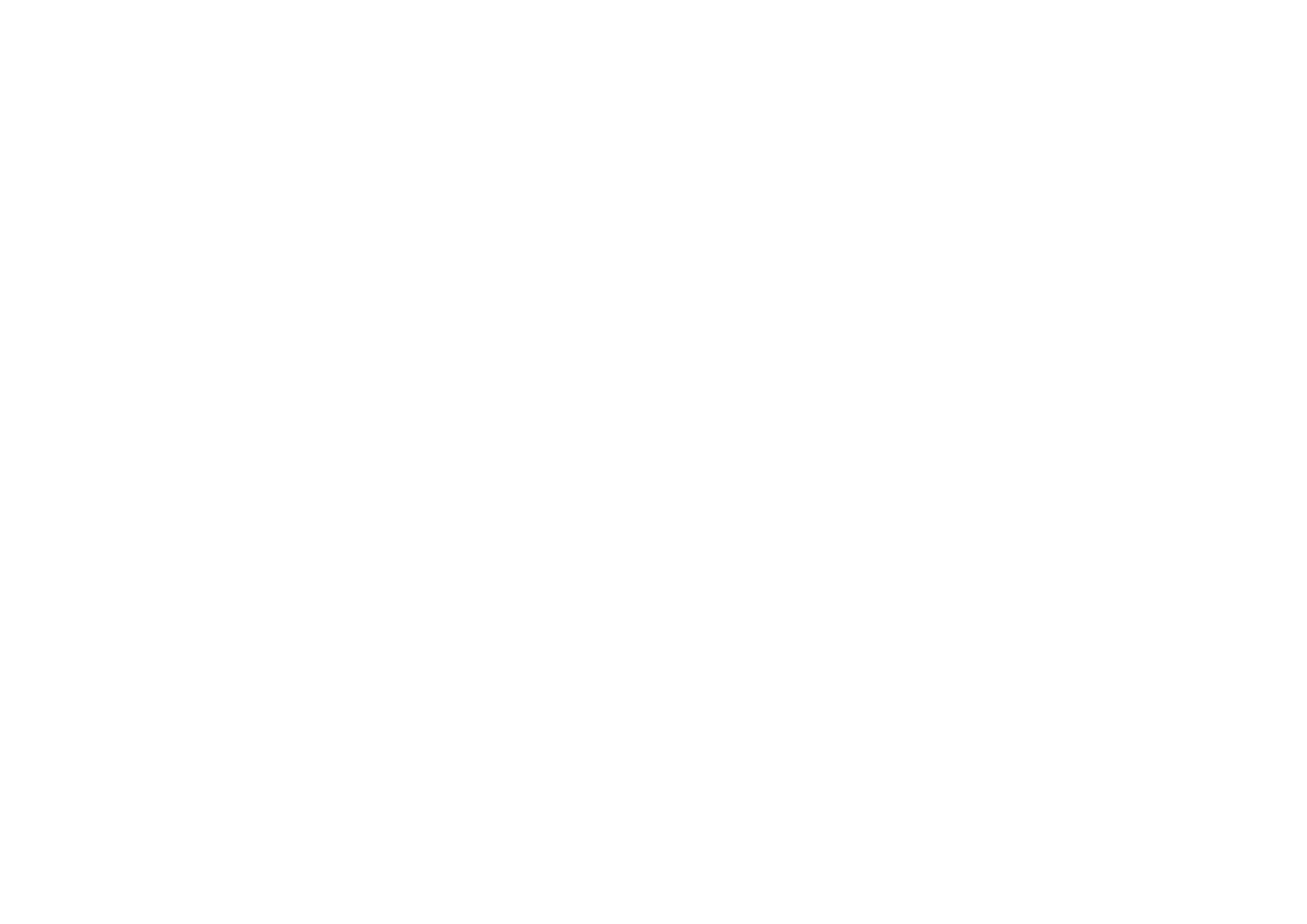|                                                                                                                                                                                                                                                                                               |              |                |                | <b>Voting intention</b> |                |                      | <b>2010 Vote</b> |                |          | Gender         |          |                | Age            |                | <b>Social Grade</b> |                   | Newspaper<br>Readership                    |
|-----------------------------------------------------------------------------------------------------------------------------------------------------------------------------------------------------------------------------------------------------------------------------------------------|--------------|----------------|----------------|-------------------------|----------------|----------------------|------------------|----------------|----------|----------------|----------|----------------|----------------|----------------|---------------------|-------------------|--------------------------------------------|
|                                                                                                                                                                                                                                                                                               | Total        | Con            | Lab            | Lib<br>Dem              | <b>UKIP</b>    | Con                  | Lab              | Lib<br>Dem     | Male     | Female         | 18-24    | 25-39          | 40-59          | $60+$          | ABC1                | C <sub>2</sub> DE | Daily Mail / Scottish<br><b>Daily Mail</b> |
| <b>Weighted Sample</b>                                                                                                                                                                                                                                                                        | 1985         | 532            | 612            | 168                     | 201            | 635                  | 485              | 418            | 963      | 1022           | 236      | 502            | 679            | 568            | 1131                | 854               | 273                                        |
| Unweighted Sample                                                                                                                                                                                                                                                                             | 1985         | 512            | 622            | 153                     | 217            | 604                  | 483              | 463            | 932      | 1053           | 162      | 512            | 767            | 544            | 322                 | 663               | 316                                        |
| Giving government mortgage guarantees to<br>banks to encourage them to offer 95%<br>mortgages on houses up to the value of<br>£600,000?                                                                                                                                                       | %            | $\%$           | %              | %                       | $\%$           | $\%$                 | $\%$             | %              | $\%$     | %              | $\%$     | %              | %              | %              | $\frac{9}{6}$       | %                 | $\frac{9}{6}$                              |
| Strongly support                                                                                                                                                                                                                                                                              | 12           | 22             | $\overline{7}$ | 8                       | 12             | 18                   | 6                | 10             | 11       | 12             | 18       | 15             | 8              | 10             | 14                  | 9                 | 16                                         |
| Tend to support                                                                                                                                                                                                                                                                               | 31           | 37             | 31             | 37                      | 24             | 35                   | 32               | 29             | 33       | 30             | 28       | 29             | 32             | 35             | 31                  | 32                | 35                                         |
| <b>TOTAL SUPPORT</b>                                                                                                                                                                                                                                                                          | 43           | 59             | 38             | 45                      | 36             | 53                   | 38               | 39             | 44       | 42             | 46       | 44             | 40             | 45             | 45                  | 41                | 51                                         |
| Tend to oppose                                                                                                                                                                                                                                                                                | 22           | 20             | 24             | 22                      | 29             | 22                   | 22               | 25             | 19       | 24             | 10       | 23             | 23             | 24             | 22                  | 21                | 22                                         |
| Strongly oppose                                                                                                                                                                                                                                                                               | 18           | 11             | 23             | 15                      | 20             | 14                   | 23               | 22             | 24       | 13             | 12       | 15             | 23             | 19             | 19                  | 18                | 16                                         |
| <b>TOTAL OPPOSE</b>                                                                                                                                                                                                                                                                           | 40           | 31             | 47             | 37                      | 49             | 36                   | 45               | 47             | 43       | 37             | 22       | 38             | 46             | 43             | 41                  | 39                | 38                                         |
| Not sure                                                                                                                                                                                                                                                                                      | 17           | 10             | 15             | 19                      | 15             | 11                   | 16               | 15             | 13       | 20             | 32       | 18             | 14             | 12             | 15                  | 19                | 11                                         |
| announced that the government would bring<br>forward plans to gives banks guarantees to<br>encourage them to offer more people 95%<br>mortgages on houses of up to £600,000<br>How likely do you think it is that this will<br>Make it easier for ordinary people to afford to<br>buy a home? |              |                |                |                         |                |                      |                  |                |          |                |          |                |                |                |                     |                   |                                            |
| Very likely                                                                                                                                                                                                                                                                                   | 9            | 20             | 3              | 9                       | $\overline{7}$ | 15                   | 3                | 8              | 8        | 10             | 15       | 9              | $\overline{7}$ | 9              | 11                  | 7                 | 15                                         |
| <b>Fairly likely</b>                                                                                                                                                                                                                                                                          | 42           | 55             | 38             | 47                      | 42             | 51                   | 40               | 39             | 42       | 43             | 38       | 50             | 40             | 41             | 43                  | 42                | 46                                         |
| <b>TOTAL LIKELY</b>                                                                                                                                                                                                                                                                           | 51           | 75             | 41             | 56                      | 49             | 66                   | 43               | 47             | 50       | 53             | 53       | 59             | 47             | 50             | 54                  | 49                | 61                                         |
| Fairly unlikely<br>Very unlikely                                                                                                                                                                                                                                                              | 25<br>11     | 16<br>3        | 35<br>15       | 21<br>10                | 26<br>19       | 19<br>$\overline{7}$ | 33<br>17         | 28<br>12       | 25<br>12 | 24<br>10       | 19<br>6  | 18<br>9        | 28<br>13       | 30<br>13       | 25<br>11            | 25<br>11          | 24<br>10                                   |
| <b>TOTAL UNLIKELY</b>                                                                                                                                                                                                                                                                         | 36           | 19             | 50             | 31                      | 45             | 26                   | 50               | 40             | 37       | 34             | 25       | 27             | 41             | 43             | 36                  | 36                | 34                                         |
| Don't know                                                                                                                                                                                                                                                                                    | 12           | 6              | 10             | 14                      | $\overline{7}$ | 8                    | 8                | 13             | 12       | 13             | 22       | 14             | 12             | 8              | 10                  | 16                | 5                                          |
| Make house prices rise?                                                                                                                                                                                                                                                                       |              |                |                |                         |                |                      |                  |                |          |                |          |                |                |                |                     |                   |                                            |
| Very likely<br><b>Fairly likely</b>                                                                                                                                                                                                                                                           | 27<br>43     | 20<br>55       | 32<br>40       | 27<br>39                | 34<br>42       | 23<br>54             | 33<br>41         | 29<br>40       | 31<br>42 | 23<br>44       | 20<br>30 | 26<br>39       | 28<br>43       | 29<br>52       | 25<br>44            | 29<br>42          | 24<br>51                                   |
| <b>TOTAL LIKELY</b>                                                                                                                                                                                                                                                                           | 70           | 75             | 72             | 66                      | 76             | 77                   | 74               | 69             | 73       | 67             | 50       | 65             | 71             | 81             | 69                  | 71                | 75                                         |
| Fairly unlikely                                                                                                                                                                                                                                                                               | 10           | 10             | 10             | 12                      | 9              | 9                    | 9                | 12             | 9        | 11             | 6        | 11             | 11             | 9              | 11                  | 8                 | 10                                         |
| Very unlikely                                                                                                                                                                                                                                                                                 | $\mathbf{2}$ | $\overline{1}$ | 2              | $\overline{4}$          | $\mathbf{1}$   | $\mathbf 1$          | $\overline{2}$   | $\overline{2}$ | 2        | $\overline{2}$ | 5        | $\overline{2}$ | $\overline{2}$ | $\overline{1}$ | 2                   |                   | 3                                          |
| <b>TOTAL UNLIKELY</b><br>Don't know                                                                                                                                                                                                                                                           | 12<br>18     | 11<br>14       | 12<br>16       | 16<br>18                | 10<br>15       | 10<br>13             | 11<br>15         | 14<br>17       | 11<br>15 | 13<br>21       | 11<br>40 | 13<br>23       | 13<br>15       | 10<br>9        | 13<br>17            | 9<br>19           | 13<br>13                                   |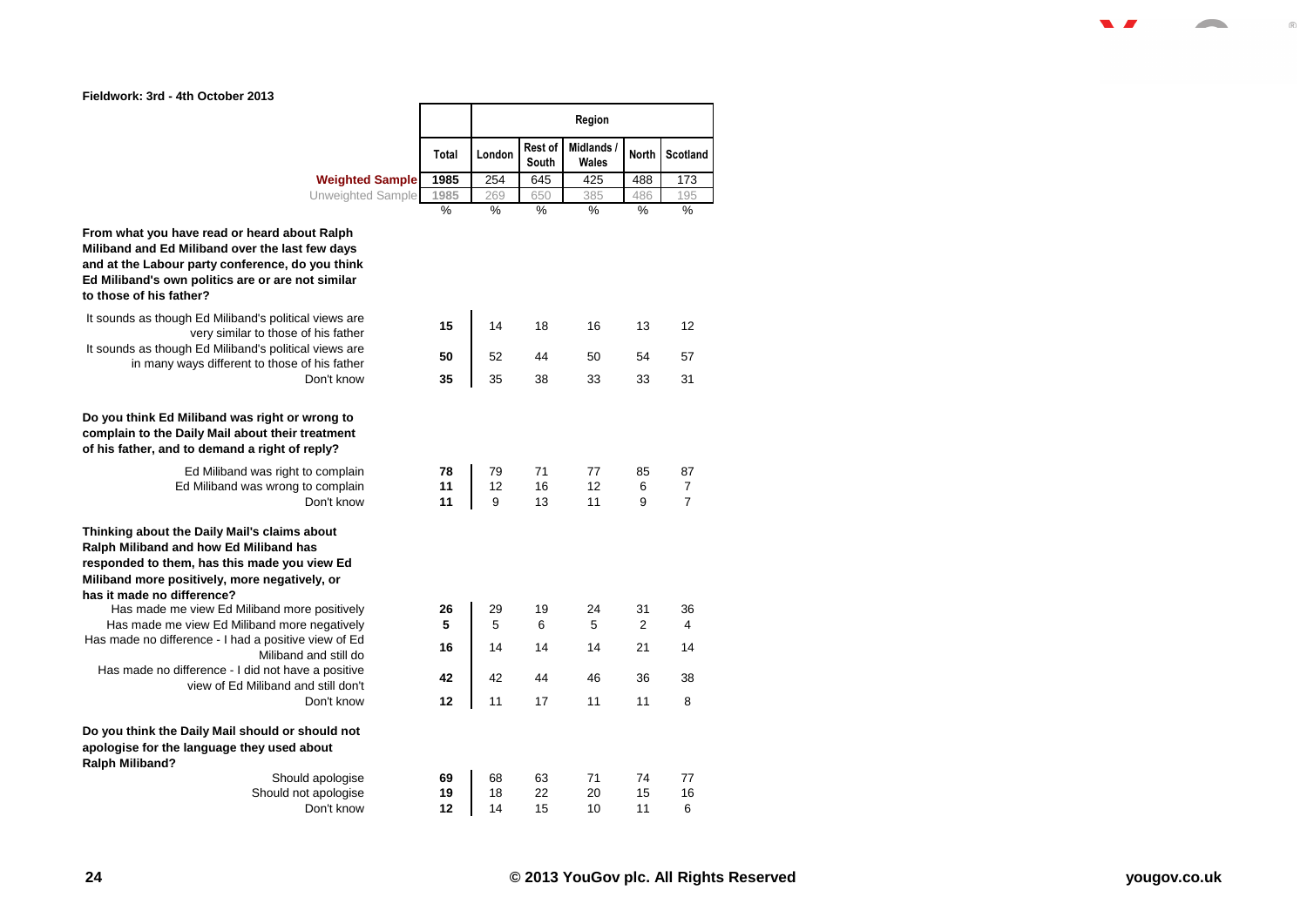|                        |              |        |                  | Region              |              |          |
|------------------------|--------------|--------|------------------|---------------------|--------------|----------|
|                        | <b>Total</b> | London | Rest of<br>South | Midlands /<br>Wales | <b>North</b> | Scotland |
| <b>Weighted Sample</b> | 1985         | 254    | 645              | 425                 | 488          | 173      |
| Unweighted Sample      | 1985         | 269    | 650              | 385                 | 486          | 195      |
|                        | %            | %      | %                | $\%$                | %            | %        |

 $\overline{a}$ 

**Giving government mortgage guarantees to banks to encourage them to offer 95% mortgages on houses up to the value of £600,000?**

| Strongly support     | 12 | 15 | 12 | 12 |    |    |
|----------------------|----|----|----|----|----|----|
| Tend to support      | 31 | 28 | 26 | 33 | 38 | 33 |
| <b>TOTAL SUPPORT</b> | 43 | 43 | 38 | 45 | 49 | 40 |
| Tend to oppose       | 22 | 20 | 26 | 20 | 19 | 20 |
| Strongly oppose      | 18 |    | 19 | 19 | 16 | 24 |
| <b>TOTAL OPPOSE</b>  | 40 | 37 | 45 | 39 | 35 | 44 |
| Not sure             | 17 | 20 | 17 | 15 | 17 | 15 |

**At the Conservative party conference it was announced that the government would bring forward plans to gives banks guarantees to encourage them to offer more people 95% mortgages on houses of up to £600,000**

**How likely do you think it is that this will... Make it easier for ordinary people to afford to buy a home?**

|                         | Very likely           | 9            | 12 | 9  | 10 | 8  | 5  |
|-------------------------|-----------------------|--------------|----|----|----|----|----|
|                         | <b>Fairly likely</b>  | 42           | 37 | 42 | 45 | 44 | 43 |
|                         | <b>TOTAL LIKELY</b>   | 51           | 49 | 51 | 55 | 52 | 48 |
|                         | Fairly unlikely       | 25           | 22 | 24 | 26 | 26 | 29 |
|                         | Very unlikely         | 11           | 17 | 10 | 9  | 10 | 12 |
|                         | <b>TOTAL UNLIKELY</b> | 36           | 39 | 34 | 35 | 36 | 41 |
|                         | Don't know            | 12           | 13 | 15 | 10 | 12 | 10 |
| Make house prices rise? |                       |              |    |    |    |    |    |
|                         | Very likely           | 27           | 36 | 26 | 24 | 24 | 32 |
|                         | <b>Fairly likely</b>  | 43           | 38 | 42 | 50 | 44 | 37 |
|                         | <b>TOTAL LIKELY</b>   | 70           | 74 | 68 | 74 | 68 | 69 |
|                         | Fairly unlikely       | 10           | 4  | 9  | 10 | 13 | 10 |
|                         | Very unlikely         | $\mathbf{2}$ | 2  | 2  | 1  | 2  | 2  |
|                         | <b>TOTAL UNLIKELY</b> | 12           | 6  | 11 | 11 | 15 | 12 |
|                         | Don't know            | 18           | 20 | 20 | 14 | 18 | 20 |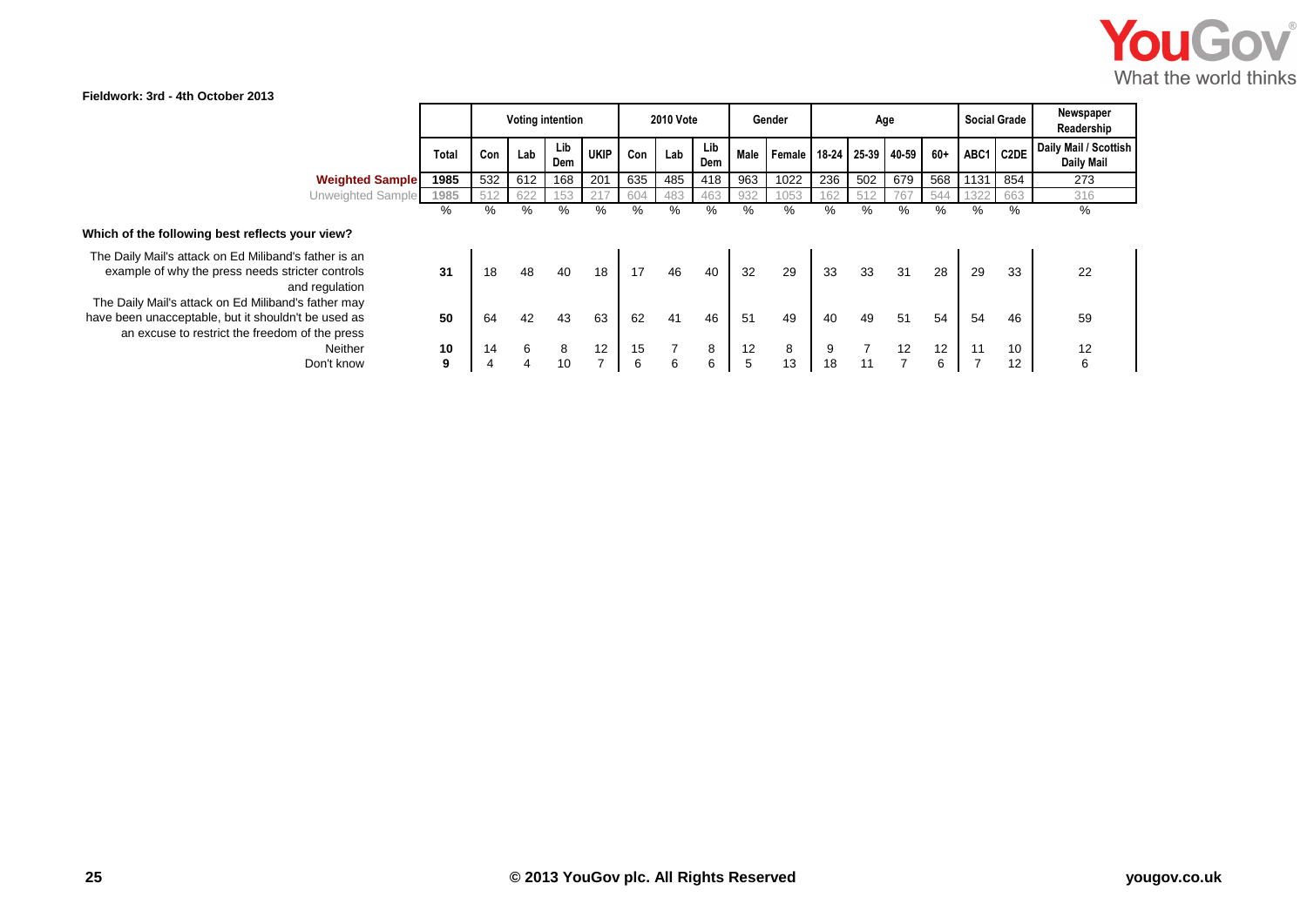|                                                                          |                        |              |     | <b>Voting intention</b> |            |                |               | <b>2010 Vote</b> |                |      | Gender        |       |       | Age            |       | <b>Social Grade</b> |     | Newspaper<br>Readership                    |
|--------------------------------------------------------------------------|------------------------|--------------|-----|-------------------------|------------|----------------|---------------|------------------|----------------|------|---------------|-------|-------|----------------|-------|---------------------|-----|--------------------------------------------|
|                                                                          |                        | <b>Total</b> | Con | Lab                     | Lib<br>Dem | <b>UKIP</b>    | Con           | Lab              | Lib<br>Dem     | Male | <b>Female</b> | 18-24 | 25-39 | 40-59          | $60+$ | ABC1 C2DE           |     | Daily Mail / Scottish<br><b>Daily Mail</b> |
|                                                                          | <b>Weighted Sample</b> | 1985         | 532 | 612                     | 168        | 201            | 635           | 485              | 418            | 963  | 1022          | 236   | 502   | 679            | 568   | 1131                | 854 | 273                                        |
|                                                                          | Unweighted Sample      | 1985         | 512 | 622                     | 153        | 217            | 604           | 483              | 463            | 932  | 1053          | 162   | 512   | 767            | 544   | 1322                | 663 | 316                                        |
| Help the economy recover?                                                |                        | %            | %   | %                       | %          | $\%$           | $\frac{9}{6}$ | %                | $\%$           | %    | $\%$          | %     | %     | %              | $\%$  | $\%$                | %   | %                                          |
|                                                                          | Very likely            | 4            | 10  |                         | 4          | $\overline{2}$ | 8             |                  | 3              | 3    | 5             | 5     | 4     | 4              | 5     | 5                   | 3   | $\overline{7}$                             |
|                                                                          | <b>Fairly likely</b>   | 25           | 49  | 15                      | 22         | 15             | 38            | 19               | 19             | 26   | 24            | 21    | 25    | 23             | 30    | 26                  | 24  | 31                                         |
|                                                                          | <b>TOTAL LIKELY</b>    | 29           | 59  | 16                      | 26         | 17             | 46            | 20               | 22             | 29   | 29            | 26    | 29    | 27             | 35    | 31                  | 27  | 38                                         |
|                                                                          | Fairly unlikely        | 32           | 22  | 40                      | 36         | 39             | 28            | 39               | 37             | 34   | 31            | 24    | 33    | 36             | 31    | 35                  | 29  | 31                                         |
|                                                                          | Very unlikely          | 19           | 5   | 26                      | 14         | 26             | 11            | 26               | 20             | 21   | 16            | 14    | 17    | 20             | 20    | 17                  | 21  | 15                                         |
|                                                                          | <b>TOTAL UNLIKELY</b>  | 51           | 27  | 66                      | 50         | 65             | 39            | 65               | 57             | 55   | 47            | 38    | 50    | 56             | 51    | 52                  | 50  | 46                                         |
|                                                                          | Don't know             | 20           | 13  | 18                      | 23         | 18             | 15            | 16               | 21             | 16   | 23            | 36    | 22    | 17             | 14    | 17                  | 24  | 16                                         |
| Risk another housing bubble?                                             |                        |              |     |                         |            |                |               |                  |                |      |               |       |       |                |       |                     |     |                                            |
|                                                                          | Very likely            | 25           | 17  | 34                      | 23         | 34             | 22            | 32               | 28             | 30   | 21            | 19    | 26    | 28             | 25    | 24                  | 27  | 24                                         |
|                                                                          | <b>Fairly likely</b>   | 33           | 33  | 35                      | 29         | 31             | 33            | 34               | 34             | 32   | 34            | 20    | 34    | 33             | 37    | 35                  | 30  | 33                                         |
|                                                                          | <b>TOTAL LIKELY</b>    | 58           | 50  | 69                      | 52         | 65             | 55            | 66               | 62             | 62   | 55            | 39    | 60    | 61             | 62    | 59                  | 57  | 57                                         |
|                                                                          | Fairly unlikely        | 15           | 28  | 9                       | 17         | 12             | 24            | 10               | 13             | 16   | 14            | 14    | 14    | 16             | 17    | 18                  | 12  | 20                                         |
|                                                                          | Very unlikely          | $\mathbf{2}$ | 4   | 2                       | 3          | 4              | 3             | 3                | $\overline{2}$ | 2    | 3             | 3     | -1    | 3              | 3     | $\overline{2}$      | 3   | 6                                          |
|                                                                          | <b>TOTAL UNLIKELY</b>  | 17           | 32  | 11                      | 20         | 16             | 27            | 13               | 15             | 18   | 17            | 17    | 15    | 19             | 20    | 20                  | 15  | 26                                         |
|                                                                          | Don't know             | 24           | 18  | 20                      | 28         | 19             | 19            | 21               | 23             | 19   | 29            | 44    | 26    | 21             | 18    | 21                  | 28  | 18                                         |
| Are you considering buying a house or flat in the<br>next twelve months? |                        |              |     |                         |            |                |               |                  |                |      |               |       |       |                |       |                     |     |                                            |
|                                                                          | Yes, I am              | 10           | 13  | 8                       | 16         | 9              | 11            | $\overline{7}$   | 13             | 11   | 9             | 17    | 17    | $\overline{7}$ | 5     | 14                  | 5   | 10                                         |
|                                                                          | No, I am not           | 83           | 82  | 84                      | 78         | 86             | 85            | 85               | 81             | 80   | 85            | 66    | 73    | 88             | 92    | 79                  | 87  | 85                                         |
|                                                                          | Not sure               | 7            | 5   | $\overline{7}$          | 6          | 6              | 4             | 8                | 6              | 9    | 6             | 17    | 10    | 5              | 3     | $\overline{7}$      | 8   | 6                                          |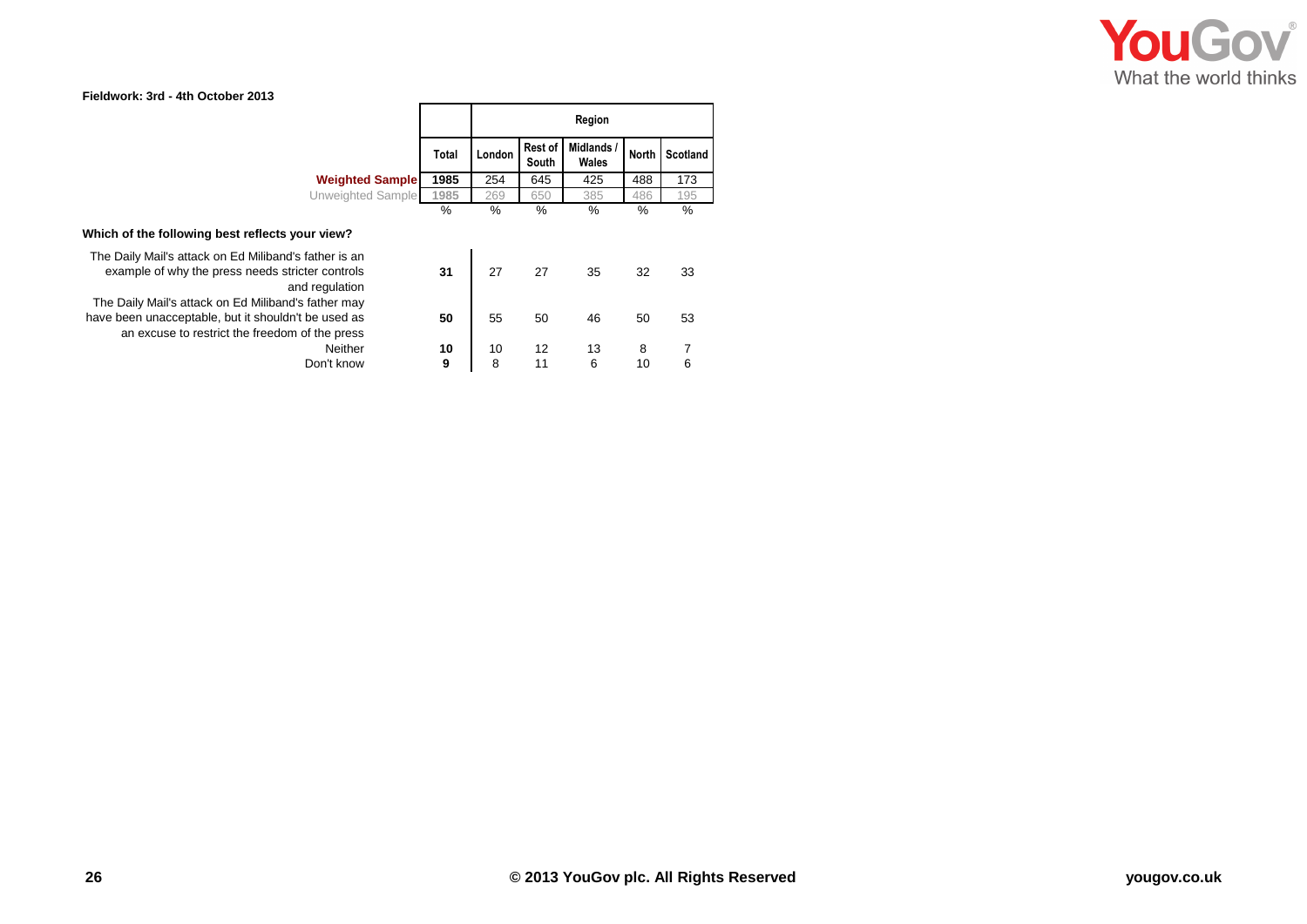|                                                                          |               | Region |                  |                     |              |                 |  |  |
|--------------------------------------------------------------------------|---------------|--------|------------------|---------------------|--------------|-----------------|--|--|
|                                                                          | Total         | London | Rest of<br>South | Midlands /<br>Wales | <b>North</b> | <b>Scotland</b> |  |  |
| <b>Weighted Sample</b>                                                   | 1985          | 254    | 645              | 425                 | 488          | 173             |  |  |
| Unweighted Sample                                                        | 1985          | 269    | 650              | 385                 | 486          | 195             |  |  |
|                                                                          | $\frac{0}{0}$ | $\%$   | $\%$             | $\%$                | %            | %               |  |  |
| Help the economy recover?                                                |               |        |                  |                     |              |                 |  |  |
| Very likely                                                              | 4             | 4      | 5                | 4                   | 5            | 3               |  |  |
| <b>Fairly likely</b>                                                     | 25            | 19     | 25               | 27                  | 30           | 18              |  |  |
| <b>TOTAL LIKELY</b>                                                      | 29            | 23     | 30               | 31                  | 35           | 21              |  |  |
| Fairly unlikely                                                          | 32            | 32     | 34               | 30                  | 29           | 41              |  |  |
| Very unlikely                                                            | 19            | 21     | 17               | 19                  | 18           | 21              |  |  |
| <b>TOTAL UNLIKELY</b>                                                    | 51            | 53     | 51               | 49                  | 47           | 62              |  |  |
| Don't know                                                               | 20            | 24     | 19               | 20                  | 18           | 18              |  |  |
| Risk another housing bubble?                                             |               |        |                  |                     |              |                 |  |  |
| Very likely                                                              | 25            | 31     | 25               | 23                  | 23           | 30              |  |  |
| <b>Fairly likely</b>                                                     | 33            | 33     | 35               | 35                  | 30           | 30              |  |  |
| <b>TOTAL LIKELY</b>                                                      | 58            | 64     | 60               | 58                  | 53           | 60              |  |  |
| Fairly unlikely                                                          | 15            | 10     | 14               | 16                  | 19           | 15              |  |  |
| Very unlikely                                                            | $\mathbf{2}$  | 2      | 3                | 2                   | 2            | 2               |  |  |
| <b>TOTAL UNLIKELY</b>                                                    | 17            | 12     | 17               | 18                  | 21           | 17              |  |  |
| Don't know                                                               | 24            | 24     | 23               | 25                  | 25           | 22              |  |  |
| Are you considering buying a house or flat in the<br>next twelve months? |               |        |                  |                     |              |                 |  |  |
| Yes, I am                                                                | 10            | 15     | 11               | 9                   | 8            | 8               |  |  |
| No, I am not                                                             | 83            | 71     | 81               | 85                  | 86           | 90              |  |  |

Not sure **7**

13 9 6 5 3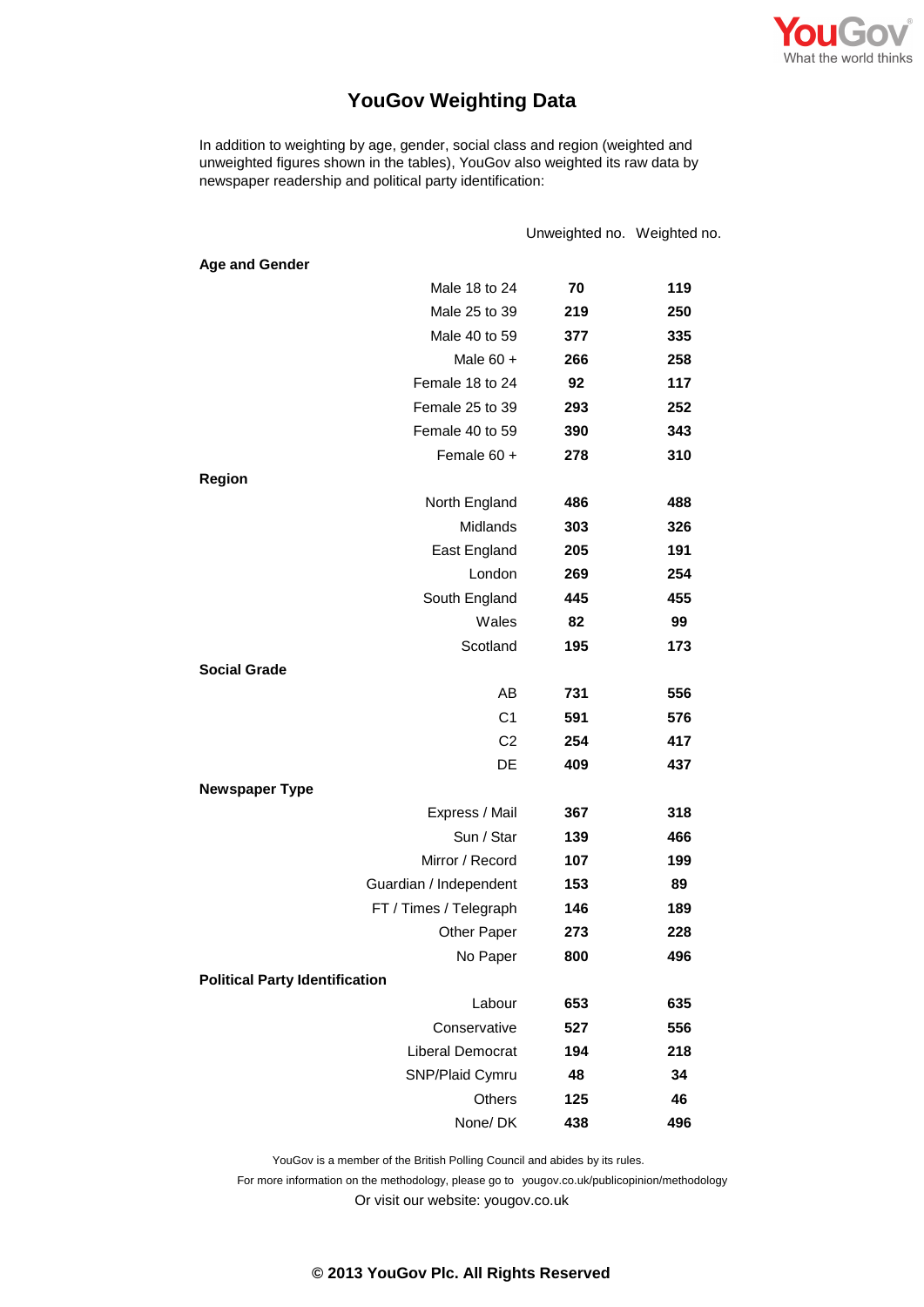|                                                                                                                                                                                                                                                                                                                              |                |               | Voting intention |                |                |                         | <b>2010 Vote</b> |              |              | Gender         |               |               | Age            |                | <b>Social Grade</b> |                   | Newspaper<br>Readership                    |
|------------------------------------------------------------------------------------------------------------------------------------------------------------------------------------------------------------------------------------------------------------------------------------------------------------------------------|----------------|---------------|------------------|----------------|----------------|-------------------------|------------------|--------------|--------------|----------------|---------------|---------------|----------------|----------------|---------------------|-------------------|--------------------------------------------|
|                                                                                                                                                                                                                                                                                                                              | Total          | Con           | Lab              | Lib<br>Dem     | <b>UKIP</b>    | Con                     | Lab              | Lib<br>Dem   | Male         | Female         | 18-24         | 25-39         | 40-59          | $60+$          | ABC1                | C <sub>2</sub> DE | Daily Mail / Scottish<br><b>Daily Mail</b> |
| <b>Weighted Sample</b>                                                                                                                                                                                                                                                                                                       | 1985           | 532           | 612              | 168            | 201            | 635                     | 485              | 418          | 963          | 1022           | 236           | 502           | 679            | 568            | 1131                | 854               | 273                                        |
| Unweighted Sample                                                                                                                                                                                                                                                                                                            | 1985           | 512           | 622              | 153            | 217            | 604                     | 483              | 463          | 932          | 1053           | 162           | 512           | 767            | 544            | 1322                | 663               | 316                                        |
|                                                                                                                                                                                                                                                                                                                              | $\%$           | $\frac{1}{2}$ | $\%$             | $\%$           | $\frac{9}{6}$  | $\%$                    | $\%$             | $\%$         | $\%$         | $\%$           | $\frac{6}{6}$ | $\frac{9}{6}$ | $\%$           | %              | $\frac{9}{6}$       | %                 | $\frac{9}{6}$                              |
| And if you do buy a house or flat in the next<br>twelve months, are you considering using the<br>government's Help to Buy scheme (either a 95%<br>mortgage, underwritten by the government's<br>mortgage guarantee or, for new build homes<br>only, a five year interest fee equity loan of 20% of<br>the cost of the home)? |                |               |                  |                |                |                         |                  |              |              |                |               |               |                |                |                     |                   |                                            |
| [Asked to those considering buying a house or flat<br>in the next twelve months, n=218]                                                                                                                                                                                                                                      |                |               |                  |                |                |                         |                  |              |              |                |               |               |                |                |                     |                   |                                            |
| Yes. I am                                                                                                                                                                                                                                                                                                                    | 32             | 34            | 36               | 37             | 15             | 22                      | 43               | 35           | 38           | 25             | 37            | 45            | 15             | 14             | 33                  | 28                | 43                                         |
| No, I am not                                                                                                                                                                                                                                                                                                                 | 57             | 60            | 52               | 50             | 51             | 65                      | 53               | 51           | 55           | 59             | 42            | 45            | 76             | 80             | 57                  | 57                | 49                                         |
| Not sure                                                                                                                                                                                                                                                                                                                     | 11             | 6             | 12               | 13             | 34             | 12                      | $\overline{4}$   | 14           | 8            | 16             | 21            | 10            | 9              | 6              | 10                  | 15                | 8                                          |
| Have you carried out any MAJOR home                                                                                                                                                                                                                                                                                          |                |               |                  |                |                |                         |                  |              |              |                |               |               |                |                |                     |                   |                                            |
| improvements to your home in the last twelve<br>months?                                                                                                                                                                                                                                                                      |                |               |                  |                |                |                         |                  |              |              |                |               |               |                |                |                     |                   |                                            |
| Yes. I have                                                                                                                                                                                                                                                                                                                  | 15             | 20            | 12               | 16             | 17             | 18                      | 14               | 15           | 18           | 13             | 3             | 13            | 19             | 18             | 16                  | 14                | 20                                         |
| Yes, as an alternative to moving house                                                                                                                                                                                                                                                                                       | $\overline{2}$ | $\mathbf{1}$  | 4                | $\overline{2}$ | 3              | $\overline{1}$          | $\overline{4}$   | $\mathbf{1}$ | 2            | $\mathbf{2}$   | 5             | $\,$ 5 $\,$   | $\mathbf{1}$   | $\mathbf{1}$   | $\overline{4}$      | $\mathbf 0$       | $\mathbf{1}$                               |
| No, I have not                                                                                                                                                                                                                                                                                                               | 80             | 78            | 83               | 80             | 80             | 81                      | 80               | 83           | 77           | 83             | 81            | 78            | 79             | 81             | 77                  | 83                | 78                                         |
| Not sure                                                                                                                                                                                                                                                                                                                     | 3              | $\mathbf{1}$  | $\mathbf{1}$     | $\mathbf{1}$   | $\mathbf{1}$   | $\overline{1}$          | $\overline{2}$   | $\mathbf{1}$ | $\mathbf{3}$ | $\overline{2}$ | 11            | 4             | $\mathbf{1}$   | $\mathbf 0$    | 3                   | 3                 | $\overline{2}$                             |
| Stamp duty is currently 1% of the cost of buying<br>property over £125,000, 3% of the cost of buying<br>property over £250,000, 4% of property over<br>£500,000, 5% of property over £1 million and 7%<br>of property over £2 million<br>Do you think this is<br>Too high, too low, or about right?                          |                |               |                  |                |                |                         |                  |              |              |                |               |               |                |                |                     |                   |                                            |
| Too high                                                                                                                                                                                                                                                                                                                     | 40             | 53            | 32               | 29             | 56             | 54                      | 35               | 34           | 41           | 40             | 18            | 36            | 41             | 53             | 42                  | 39                | 54                                         |
| Too low                                                                                                                                                                                                                                                                                                                      | $\overline{7}$ | 3             | 11               | 8              | $\overline{4}$ | $\overline{\mathbf{4}}$ | $\boldsymbol{9}$ | 6            | 9            | 5              | 11            | 8             | $\overline{7}$ | $\overline{4}$ | $\overline{7}$      | 6                 | 4                                          |
| About right                                                                                                                                                                                                                                                                                                                  | 35             | 38            | 36               | 47             | 22             | 33                      | 35               | 40           | 34           | 35             | 33            | 38            | 36             | 31             | 36                  | 33                | 32                                         |
| Don't know                                                                                                                                                                                                                                                                                                                   | 18             | 6             | 21               | 16             | 19             | $9$                     | 20               | 19           | 16           | 20             | 38            | 19            | 16             | 11             | 15                  | 22                | 11                                         |
| Fair or unfair?                                                                                                                                                                                                                                                                                                              |                |               |                  |                |                |                         |                  |              |              |                |               |               |                |                |                     |                   |                                            |
| Fair                                                                                                                                                                                                                                                                                                                         | 31             | 32            | 34               | 46             | 21             | 28                      | 33               | 36           | 33           | 29             | 30            | 30            | 35             | 28             | 31                  | 31                | 28                                         |
| Unfair                                                                                                                                                                                                                                                                                                                       | 47             | 57            | 41               | 35             | 60             | 58                      | 44               | 42           | 49           | 46             | 29            | 44            | 46             | 59             | 50                  | 43                | 58                                         |
| Don't know                                                                                                                                                                                                                                                                                                                   | 22             | 11            | 25               | 19             | 19             | 14                      | 23               | 22           | 19           | 25             | 41            | 26            | 19             | 14             | 19                  | 26                | 14                                         |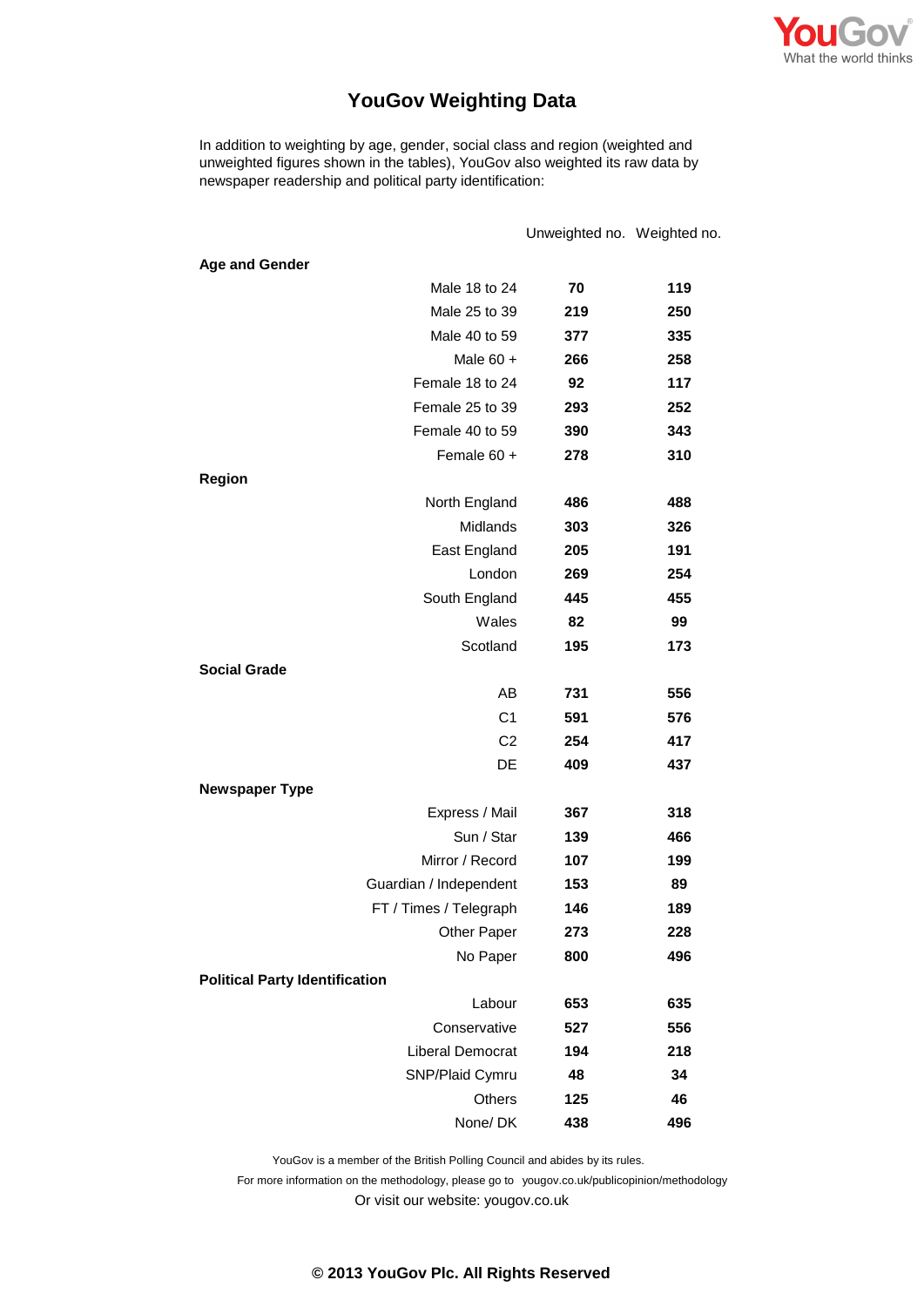|                        |       |        |                    | Region              |              |          |
|------------------------|-------|--------|--------------------|---------------------|--------------|----------|
|                        | Total | London | Rest of I<br>South | Midlands /<br>Wales | <b>North</b> | Scotland |
| <b>Weighted Sample</b> | 1985  | 254    | 645                | 425                 | 488          | 173      |
| Unweighted Sample      | 1985  | 269    | 650                | 385                 | 486          | 195      |
|                        | %     | %      | %                  | $\%$                | %            | %        |

**And if you do buy a house or flat in the next twelve months, are you considering using the government's Help to Buy scheme (either a 95% mortgage, underwritten by the government's mortgage guarantee or, for new build homes only, a five year interest fee equity loan of 20% of the cost of the home)?**

*[Asked to those considering buying a house or flat in the next twelve months, n=218]*

| 32           | 39                                     | 30                        | 19                  | 46                  | 16                  |
|--------------|----------------------------------------|---------------------------|---------------------|---------------------|---------------------|
| 57           | 44                                     | 62                        | 73                  | 48                  | 48                  |
| 11           | 17                                     | 8                         | $\overline{7}$      | $\overline{7}$      | 36                  |
|              |                                        |                           |                     |                     |                     |
|              |                                        |                           |                     |                     |                     |
|              |                                        |                           |                     |                     |                     |
|              |                                        |                           |                     |                     |                     |
| 15           | 17                                     | 15                        | 14                  | 16                  | 14                  |
| $\mathbf{2}$ | 1                                      | 3                         | 4                   | 1                   | $\overline{4}$      |
|              |                                        | 79                        | 80                  | 80                  | 81                  |
| 3            | 3                                      | 4                         | 2                   | 3                   | 1                   |
|              |                                        |                           |                     |                     |                     |
|              |                                        |                           |                     |                     |                     |
|              |                                        |                           |                     |                     | 28                  |
|              |                                        |                           |                     |                     | 12                  |
|              |                                        |                           |                     |                     | 38                  |
|              |                                        |                           |                     |                     | 22                  |
|              |                                        |                           |                     |                     |                     |
| 31           | 20                                     | 27                        | 39                  | 35                  | 34                  |
| 47           | 55                                     | 49                        | 45                  | 45                  | 38                  |
| 22           | 25                                     | 24                        | 16                  | 20                  | 27                  |
|              | 80<br>40<br>$\overline{7}$<br>35<br>18 | 79<br>48<br>9<br>22<br>20 | 43<br>6<br>32<br>19 | 40<br>6<br>39<br>14 | 37<br>6<br>40<br>17 |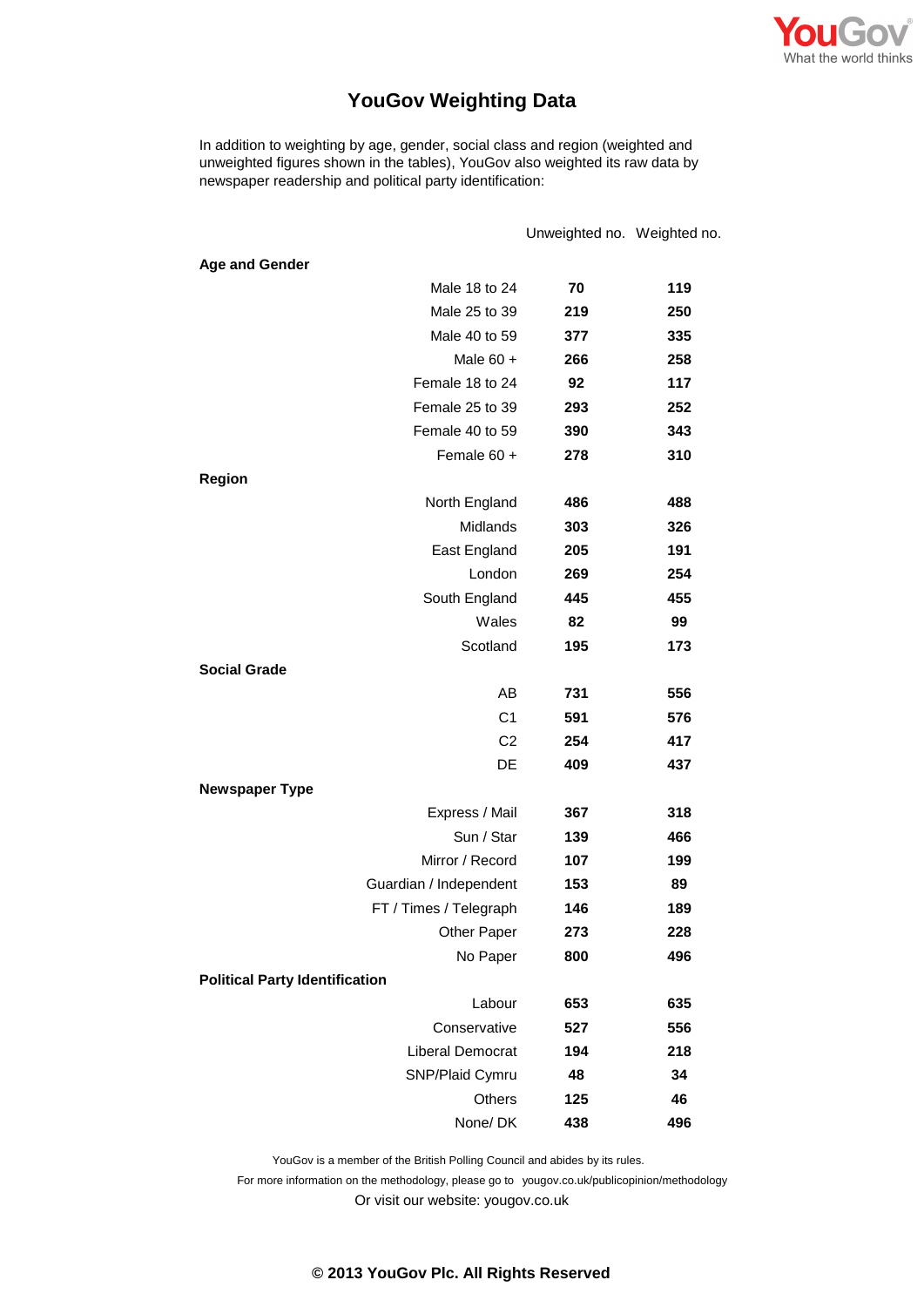|                                                                                                                                                                                                                         |                |                | <b>Voting intention</b> |                       |                |                | <b>2010 Vote</b> |                       |                | Gender   |               |                | Age            |                | <b>Social Grade</b> |                   | Newspaper<br>Readership                    |
|-------------------------------------------------------------------------------------------------------------------------------------------------------------------------------------------------------------------------|----------------|----------------|-------------------------|-----------------------|----------------|----------------|------------------|-----------------------|----------------|----------|---------------|----------------|----------------|----------------|---------------------|-------------------|--------------------------------------------|
|                                                                                                                                                                                                                         | Total          | Con            | Lab                     | Lib<br>Dem            | <b>UKIP</b>    | Con            | Lab              | Lib<br>Dem            | Male           | Female   | 18-24         | 25-39          | 40-59          | $60+$          | ABC1                | C <sub>2</sub> DE | Daily Mail / Scottish<br><b>Daily Mail</b> |
| <b>Weighted Sample</b>                                                                                                                                                                                                  | 1985           | 532            | 612                     | 168                   | 201            | 635            | 485              | 418                   | 963            | 1022     | 236           | 502            | 679            | 568            | 1131                | 854               | 273                                        |
| Unweighted Sample                                                                                                                                                                                                       | 1985           | 512            | 622                     | 153                   | 21             | 604            | 483              | 463                   | 932            | 1053     | 162           | 512            | 767            | 544            | 1322                | 663               | 316                                        |
|                                                                                                                                                                                                                         | $\%$           | $\frac{9}{6}$  | $\%$                    | $\%$                  | $\frac{9}{6}$  | $\frac{0}{0}$  | $\frac{0}{0}$    | $\%$                  | $\%$           | $\%$     | $\frac{6}{6}$ | %              | $\frac{9}{6}$  | $\%$           | $\%$                | %                 | $\frac{9}{6}$                              |
| Has the cost of stamp duty stopped you buying                                                                                                                                                                           |                |                |                         |                       |                |                |                  |                       |                |          |               |                |                |                |                     |                   |                                            |
| a property in the last five years?                                                                                                                                                                                      |                |                |                         |                       |                |                |                  |                       |                |          |               |                |                |                |                     |                   |                                            |
| Yes, I would have liked to buy a property but did not                                                                                                                                                                   | 5              | 8              | 5                       | $\overline{2}$        | 8              | $\overline{7}$ | 4                | 5                     | $\sqrt{5}$     | 5        | 3             | 8              | 6              | 4              | $\overline{7}$      | 3                 | 6                                          |
| because of the cost of stamp duty                                                                                                                                                                                       |                |                |                         |                       |                |                |                  |                       |                |          |               |                |                |                |                     |                   |                                            |
| No, I could not afford to buy a property anyway,                                                                                                                                                                        | 17             | 12             | 22                      | 13                    | 22             | 14             | 18               | 16                    | 16             | 17       | 25            | 23             | 16             | 8              | 16                  | 18                | 13                                         |
| regardless of stamp duty                                                                                                                                                                                                |                |                |                         |                       |                |                |                  |                       |                |          |               |                |                |                |                     |                   |                                            |
| No, I have bought a property in the last five years                                                                                                                                                                     | 21             | 21             | 20                      | 29                    | 13             | 21             | 22               | 23                    | 23             | 18       | 13            | 30             | 19             | 19             | 23                  | 18                | 20                                         |
| No, I have not bought a property in the last five                                                                                                                                                                       |                |                |                         |                       |                |                |                  |                       |                |          |               |                |                |                |                     |                   |                                            |
| years for some other reason (e.g. not wishing to                                                                                                                                                                        | 51             |                |                         |                       |                | 53             | 52               |                       | 49             |          | 43            |                |                |                | 49                  | 53                |                                            |
| move, not being interested in buying a property,                                                                                                                                                                        |                | 53             | 48                      | 53                    | 53             |                |                  | 50                    |                | 53       |               | 32             | 53             | 67             |                     |                   | 57                                         |
| being happy with your current home)                                                                                                                                                                                     |                |                |                         |                       |                |                |                  |                       |                |          |               |                |                |                |                     |                   |                                            |
| Not sure                                                                                                                                                                                                                | $\overline{7}$ | 5              | 5                       | $\boldsymbol{\Delta}$ | 4              | 5              | Δ                | $\overline{7}$        | $\overline{7}$ | 6        | 16            | 8              | 6              | $\overline{2}$ | 5                   | 8                 | 4                                          |
| Do you think it is or is not important for<br>politicians to be able to remember the cost of<br>basic grocery items, like a loaf of bread or a pint<br>of milk?<br>Is important - it is a good way of showing whether a |                |                |                         |                       |                |                |                  |                       |                |          |               |                |                |                |                     |                   |                                            |
| politician understands the realities of life for ordinary<br>people<br>Is not important - being able to recite the costs of<br>grocery items is not really a good test of                                               | 63<br>32       | 49<br>50       | 74<br>23                | 56<br>42              | 74<br>25       | 53<br>45       | 71<br>26         | 63<br>33              | 61<br>34       | 65<br>30 | 61<br>26      | 58<br>35       | 66<br>30       | 64<br>34       | 59<br>37            | 69<br>26          | 57<br>38                                   |
| understanding ordinary people                                                                                                                                                                                           |                |                |                         |                       |                |                |                  |                       |                |          |               |                |                |                |                     |                   |                                            |
| Don't know                                                                                                                                                                                                              | 5              | $\overline{2}$ | 3                       | $\overline{2}$        | $\overline{2}$ | $\overline{2}$ | Δ                | $\boldsymbol{\Delta}$ | 5              | 5        | 12            | $\overline{7}$ | $\overline{4}$ | $\overline{2}$ | 5                   | 5                 | 5                                          |
| Generally speaking, do you think it is or is not<br>acceptable for newspapers to criticise the<br>parents or relatives of politicians?                                                                                  |                |                |                         |                       |                |                |                  |                       |                |          |               |                |                |                |                     |                   |                                            |
| Acceptable - a politician's parents or relatives can be<br>an important influence on their thinking and it is<br>acceptable to                                                                                          | 19             | 31             | 9                       | 13                    | 32             | 31             | 11               | 11                    | 22             | 15       | 11            | 17             | 19             | 23             | 19                  | 17                | 31                                         |
| Unacceptable - politicians should be judged upon<br>their own views and beliefs, it is not acceptable to                                                                                                                | 72             | 62             | 86                      | 79                    | 58             | 62             | 84               | 80                    | 69             | 75       | 66            | 72             | 75             | 70             | 72                  | 71                | 62                                         |
| bring their parent<br>Don't know                                                                                                                                                                                        | 10             |                | 5                       | 8                     | 11             | $\overline{7}$ | 5                | 9                     | 10             | 10       | 23            | 11             | 6              | $\overline{7}$ | 8                   | 12                | 6                                          |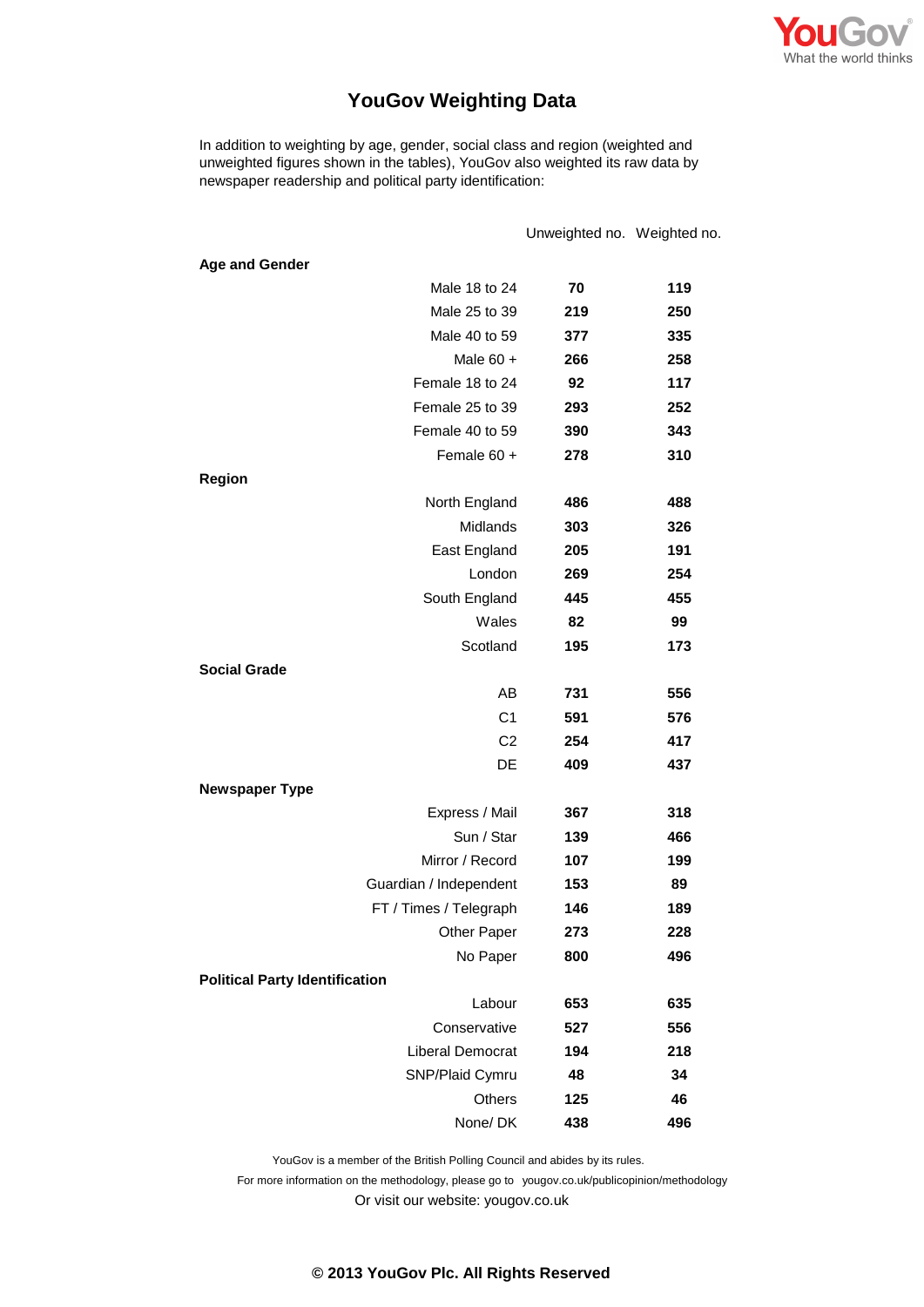|                                                                                                                                                                                                                                                                                                |                |                |                  | Region              |              |                 |
|------------------------------------------------------------------------------------------------------------------------------------------------------------------------------------------------------------------------------------------------------------------------------------------------|----------------|----------------|------------------|---------------------|--------------|-----------------|
|                                                                                                                                                                                                                                                                                                | Total          | London         | Rest of<br>South | Midlands /<br>Wales | <b>North</b> | <b>Scotland</b> |
| <b>Weighted Sample</b>                                                                                                                                                                                                                                                                         | 1985           | 254            | 645              | 425                 | 488          | 173             |
| Unweighted Sample                                                                                                                                                                                                                                                                              | 1985           | 269            | 650              | 385                 | 486          | 195             |
|                                                                                                                                                                                                                                                                                                | $\frac{0}{0}$  | $\frac{0}{0}$  | $\frac{0}{0}$    | $\frac{0}{0}$       | $\%$         | $\%$            |
| Has the cost of stamp duty stopped you buying                                                                                                                                                                                                                                                  |                |                |                  |                     |              |                 |
| a property in the last five years?                                                                                                                                                                                                                                                             |                |                |                  |                     |              |                 |
| Yes, I would have liked to buy a property but did not                                                                                                                                                                                                                                          | 5              | $\overline{7}$ | 5                | 6                   | 4            | 4               |
| because of the cost of stamp duty                                                                                                                                                                                                                                                              |                |                |                  |                     |              |                 |
| No, I could not afford to buy a property anyway,                                                                                                                                                                                                                                               | 17             | 18             | 18               | 16                  | 16           | 17              |
| regardless of stamp duty                                                                                                                                                                                                                                                                       |                |                |                  |                     |              |                 |
| No, I have bought a property in the last five years                                                                                                                                                                                                                                            | 21             | 16             | 20               | 25                  | 19           | 25              |
| No, I have not bought a property in the last five                                                                                                                                                                                                                                              |                |                |                  |                     |              |                 |
| years for some other reason (e.g. not wishing to                                                                                                                                                                                                                                               | 51             | 50             | 48               | 51                  | 55           | 50              |
| move, not being interested in buying a property,                                                                                                                                                                                                                                               |                |                |                  |                     |              |                 |
| being happy with your current home)                                                                                                                                                                                                                                                            |                |                |                  |                     |              |                 |
| Not sure                                                                                                                                                                                                                                                                                       | $\overline{7}$ | 9              | 9                | 3                   | 6            | 3               |
| Do you think it is or is not important for<br>politicians to be able to remember the cost of<br>basic grocery items, like a loaf of bread or a pint<br>of milk?<br>Is important - it is a good way of showing whether a<br>politician understands the realities of life for ordinary<br>people | 63             | 60             | 58               | 64                  | 68           | 71              |
| Is not important - being able to recite the costs of                                                                                                                                                                                                                                           |                |                |                  |                     |              |                 |
| grocery items is not really a good test of<br>understanding ordinary people                                                                                                                                                                                                                    | 32             | 35             | 34               | 33                  | 29           | 28              |
| Don't know                                                                                                                                                                                                                                                                                     | 5              | $\overline{4}$ | 8                | 3                   | 3            | $\overline{2}$  |
| Generally speaking, do you think it is or is not<br>acceptable for newspapers to criticise the<br>parents or relatives of politicians?<br>Acceptable - a politician's parents or relatives can be                                                                                              |                |                |                  |                     |              |                 |
| an important influence on their thinking and it is<br>acceptable to                                                                                                                                                                                                                            | 19             | 22             | 19               | 18                  | 17           | 17              |
| Unacceptable - politicians should be judged upon<br>their own views and beliefs, it is not acceptable to                                                                                                                                                                                       | 72             | 71             | 68               | 72                  | 74           | 78              |
| bring their parent<br>Don't know                                                                                                                                                                                                                                                               | 10             | 8              | 12               | 9                   | 9            | 6               |
|                                                                                                                                                                                                                                                                                                |                |                |                  |                     |              |                 |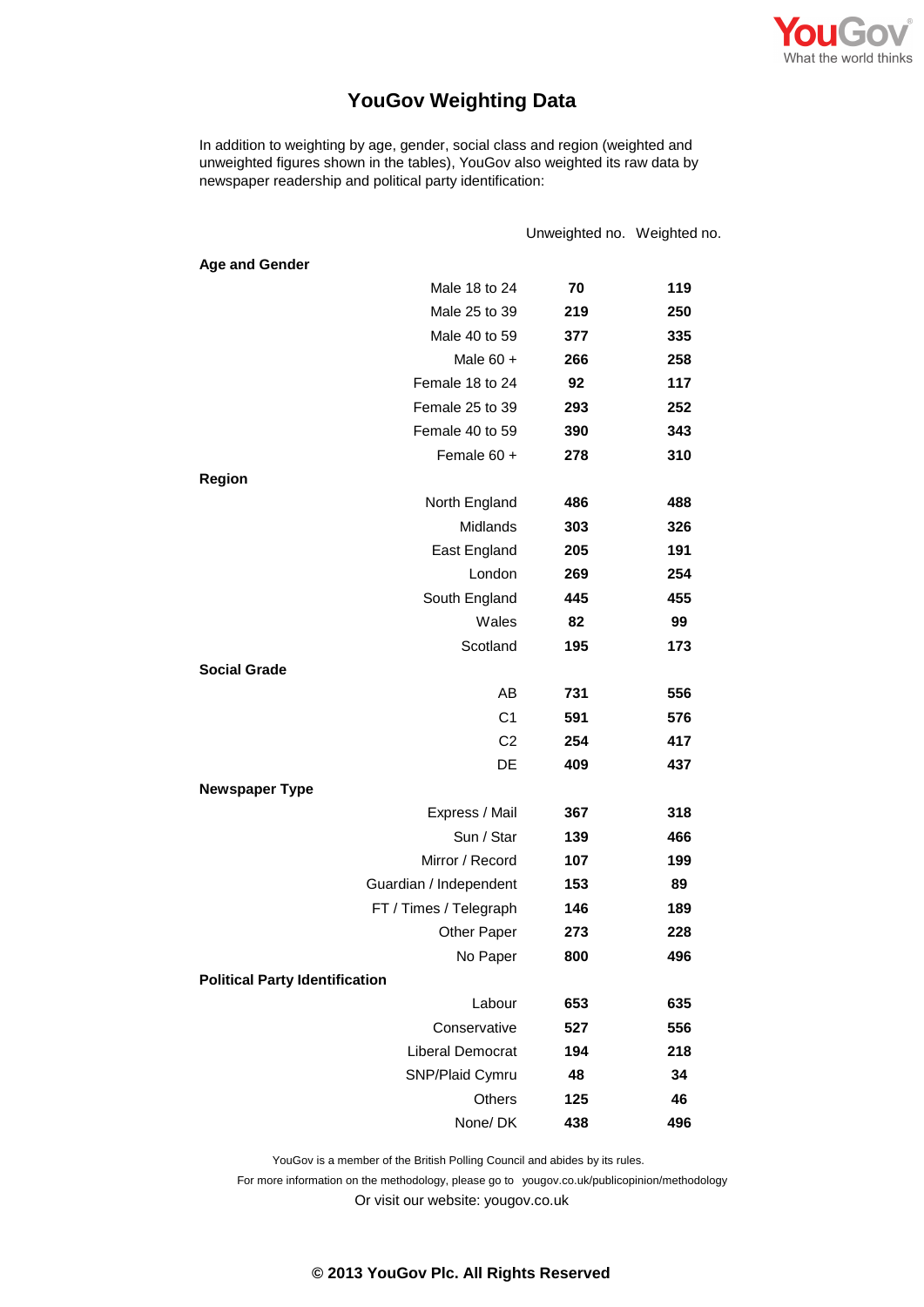|                        |       |     | <b>Voting intention</b> |            |             |     | 2010 Vote |            |      | Gender       |     |             | Age |       |           | <b>Social Grade</b> | Newspaper<br>Readership             |
|------------------------|-------|-----|-------------------------|------------|-------------|-----|-----------|------------|------|--------------|-----|-------------|-----|-------|-----------|---------------------|-------------------------------------|
|                        | Total | Con | Lab                     | Lib<br>Dem | <b>UKIP</b> | Con | Lab       | Lib<br>Dem | Male | Female 18-24 |     | 25-39 40-59 |     | $60+$ | ABC1 C2DE |                     | Daily Mail / Scottish<br>Daily Mail |
| <b>Weighted Sample</b> | 1985  | 532 | 612                     | 168        | 201         | 635 | 485       | 418        | 963  | 1022         | 236 | 502         | 679 | 568   | 1131      | 854                 | 273                                 |
| Unweighted Sample      | 1985  | 512 | 622                     | 153        | 217         | 604 | 483       | 463        | 932  | 053          | 162 | 512         | 767 | 544   | 1322      | 663                 | 316                                 |
|                        | %     | %   | %                       | %          | %           | %   | %         | %          | %    | %            | %   | %           | %   | %     | %         | %                   | %                                   |

**This week the Daily Mail published an article about Ed Miliband's father Ralph Miliband, who died in 1994**

**Ralph Miliband was a well-known Marxist professor. He came to Britain as a refugee in the second world war, fought in the Royal Navy, then became a British citizen and worked as a university professor. He had strong left-wing views.**

**Ed Miliband has spoken about his father in speeches and told of how his family taught him to be interested in politics, but has said that he has taken a different political path and that his father wouldn't have approved of everything he has done.**

**In principle, do you think it was acceptable or unacceptable for the Daily Mail to write about and criticise Ralph Miliband's views and what influence he may have had on Ed Miliband?**

| unacceptable for the Daily Mail to write about<br>and criticise Ralph Miliband's views and what<br>influence he may have had on Ed Miliband?                                                                                                                                                                                                                                                    |               |          |          |          |               |               |               |               |               |                |                |                |               |               |               |                |          |
|-------------------------------------------------------------------------------------------------------------------------------------------------------------------------------------------------------------------------------------------------------------------------------------------------------------------------------------------------------------------------------------------------|---------------|----------|----------|----------|---------------|---------------|---------------|---------------|---------------|----------------|----------------|----------------|---------------|---------------|---------------|----------------|----------|
| Acceptable<br>Unacceptable<br>Don't know                                                                                                                                                                                                                                                                                                                                                        | 26<br>65<br>9 | 44<br>49 | 10<br>83 | 24<br>69 | 38<br>55<br>6 | 41<br>50<br>9 | 13<br>81<br>6 | 17<br>75<br>8 | 29<br>65<br>6 | 23<br>65<br>12 | 21<br>62<br>16 | 26<br>62<br>11 | 24<br>68<br>8 | 29<br>64<br>7 | 28<br>63<br>8 | 23<br>67<br>11 | 42<br>50 |
| More specifically, the Daily Mail article described<br>Ralph Miliband as a "man who hated Britain"<br>and as having left an "evil legacy" because he<br>was a Marxist who opposed such institutions as<br>the monarchy, the Church of England and the<br>army. Do you think it was acceptable or<br>unacceptable for the Daily Mail to use this sort<br>of language about Ed Miliband's father? |               |          |          |          |               |               |               |               |               |                |                |                |               |               |               |                |          |
| Acceptable                                                                                                                                                                                                                                                                                                                                                                                      | 17            | 30       | 5        | 8        | 34            | 31            |               | 8             | 19            | 14             | 10             | 13             | 17            | 22            | 16            | 17             | 29       |
| Unacceptable                                                                                                                                                                                                                                                                                                                                                                                    | 72            | 58       | 90       | 84       | 57            | 56            | 88            | 85            | 73            | 72             | 74             | 74             | 75            | 68            | 74            | 70             | 60       |
| Don't know                                                                                                                                                                                                                                                                                                                                                                                      | 11            | 12       | 5        | 9        | 10            | 13            | 6             |               | 8             | 14             | 16             | 13             | 8             | 10            | 9             | 13             | 11       |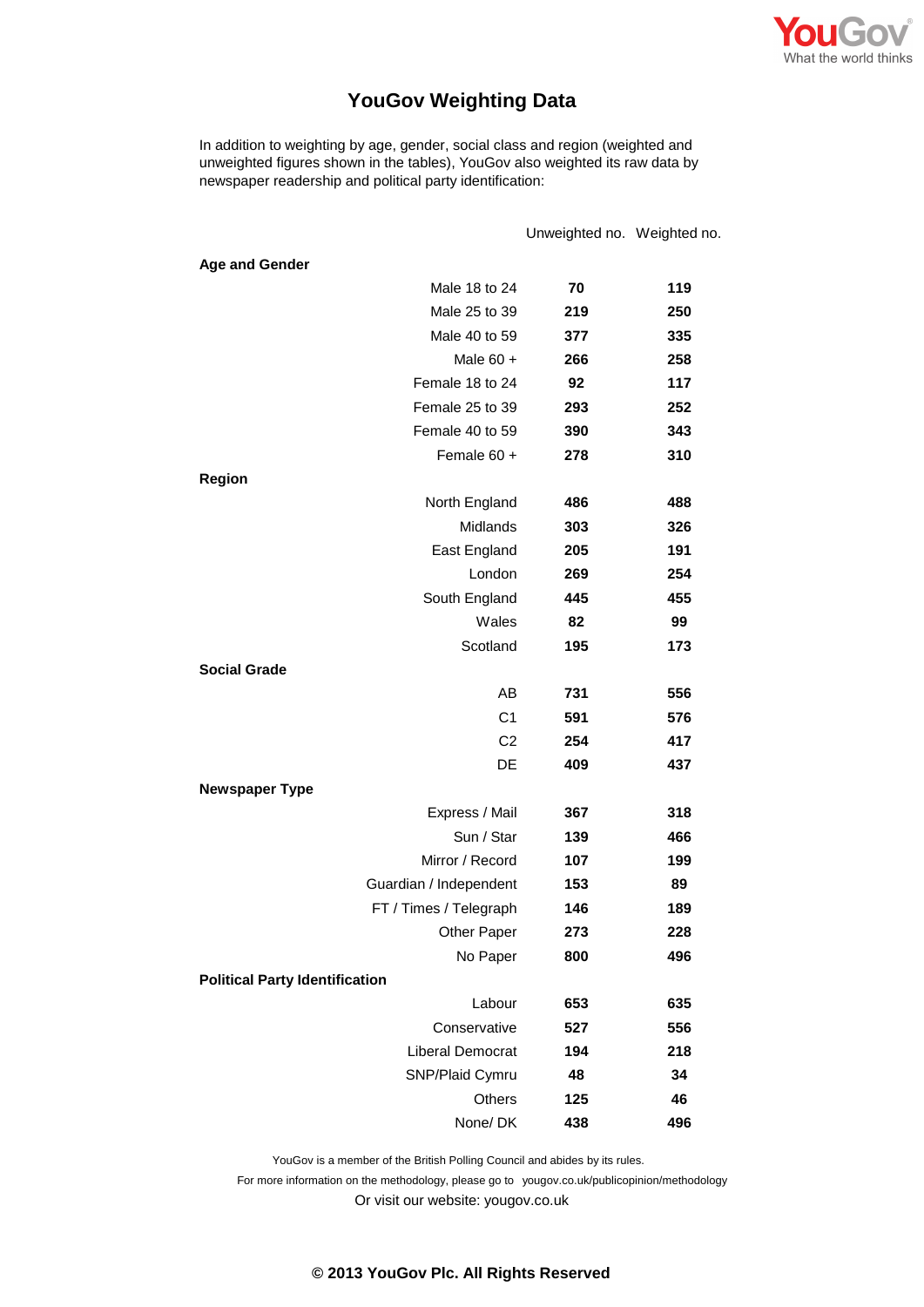|                        |              |        |                    | Region              |              |          |
|------------------------|--------------|--------|--------------------|---------------------|--------------|----------|
|                        | <b>Total</b> | London | Rest of I<br>South | Midlands /<br>Wales | <b>North</b> | Scotland |
| <b>Weighted Sample</b> | 1985         | 254    | 645                | 425                 | 488          | 173      |
| Unweighted Sample      | 1985         | 269    | 650                | 385                 | 486          | 195      |
|                        | %            | %      | %                  | %                   | %            | $\%$     |

**This week the Daily Mail published an article about Ed Miliband's father Ralph Miliband, who died in 1994**

**Ralph Miliband was a well-known Marxist professor. He came to Britain as a refugee in the second world war, fought in the Royal Navy, then became a British citizen and worked as a university professor. He had strong left-wing views.**

**Ed Miliband has spoken about his father in speeches and told of how his family taught him to be interested in politics, but has said that he has taken a different political path and that his father wouldn't have approved of everything he has done.**

**In principle, do you think it was acceptable or unacceptable for the Daily Mail to write about and criticise Ralph Miliband's views and what influence he may have had on Ed Miliband?**

> Acceptable **26** Unacceptable **65** Don't know

**More specifically, the Daily Mail article described Ralph Miliband as a "man who hated Britain"**  and as having left an "evil legacy" because h **was a Marxist who opposed such institutions as the monarchy, the Church of England and the army. Do you think it was acceptable or**  unacceptable for the Daily Mail to use this so **of language about Ed Miliband's father?**

|  | <b>26</b> 31 28 26 22 21<br><b>65</b> 58 61 66 69 73<br><b>9</b> 11 11 8 9 6 |  |
|--|------------------------------------------------------------------------------|--|
|  |                                                                              |  |

| ecause he<br>stitutions as<br>າd and the<br>e or<br>se this sort<br>her? |    |    |    |    |    |    |
|--------------------------------------------------------------------------|----|----|----|----|----|----|
| Acceptable                                                               | 17 | 18 | 20 | 18 | 14 | 8  |
| Unacceptable                                                             | 72 | 71 | 66 | 73 | 77 | 82 |
| Don't know                                                               | 11 | 11 | 14 | 9  | 9  | 10 |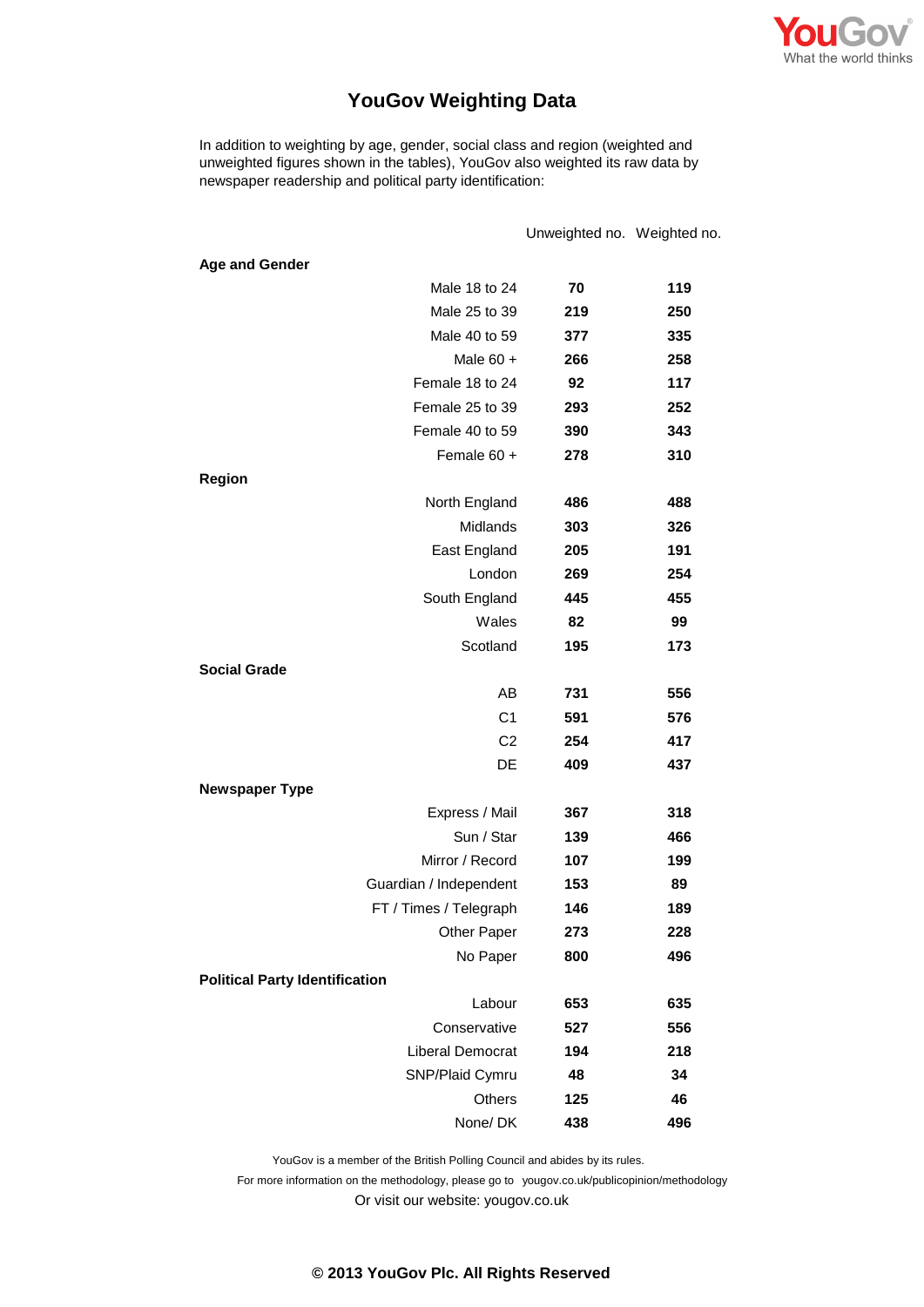|                                                                                                                                                                                                                              |                |                |               | <b>Voting intention</b>                   |                |                | <b>2010 Vote</b> |                           |               | Gender         |                |                | Age                         |                | <b>Social Grade</b> |                   | Newspaper<br>Readership                    |
|------------------------------------------------------------------------------------------------------------------------------------------------------------------------------------------------------------------------------|----------------|----------------|---------------|-------------------------------------------|----------------|----------------|------------------|---------------------------|---------------|----------------|----------------|----------------|-----------------------------|----------------|---------------------|-------------------|--------------------------------------------|
|                                                                                                                                                                                                                              | Total          | Con            | Lab           | Lib<br>Dem                                | <b>UKIP</b>    | Con            | Lab              | Lib<br>Dem                | Male          | Female         | 18-24          | 25-39          | 40-59                       | $60+$          | ABC1                | C <sub>2</sub> DE | Daily Mail / Scottish<br><b>Daily Mail</b> |
| <b>Weighted Sample</b>                                                                                                                                                                                                       | 1985           | 532            | 612           | 168                                       | 201            | 635            | 485              | 418                       | 963           | 1022           | 236            | 502            | 679                         | 568            | 1131                | 854               | 273                                        |
| Unweighted Sample                                                                                                                                                                                                            | 1985           | 512            | 622           | 153                                       | 217            | 604            | 483              | 463                       | 932           | 1053           | 162            | 512            | 767                         | 544            | 132                 | 663               | 316                                        |
|                                                                                                                                                                                                                              | $\%$           | %              | $\frac{0}{0}$ | $\%$                                      | $\%$           | $\%$           | $\%$             | %                         | %             | %              | $\%$           | $\%$           | $\%$                        | %              | %                   | $\%$              | $\%$                                       |
| have read or heard about Ralph<br>Miliband over the last few days<br>ur party conference, do you think<br>vn politics are or are not similar<br>ather?                                                                       |                |                |               |                                           |                |                |                  |                           |               |                |                |                |                             |                |                     |                   |                                            |
| ugh Ed Miliband's political views are<br>very similar to those of his father                                                                                                                                                 | 15             | 35             | 3             | $\overline{7}$                            | 27             | 34             | 4                | 5                         | 19            | 12             | 13             | 12             | 12                          | 23             | 19                  | 11                | 31                                         |
| ugh Ed Miliband's political views are                                                                                                                                                                                        | 50             | 34             | 74            | 59                                        | 34             | 32             | 68               | 65                        | 53            | 47             | 48             | 47             | 54                          | 48             | 50                  | 50                | 41                                         |
| ways different to those of his father<br>Don't know                                                                                                                                                                          | 35             | 30             | 22            | 34                                        | 39             | 34             | 28               | 30                        | 28            | 41             | 39             | 40             | 34                          | 29             | 31                  | 39                | 28                                         |
|                                                                                                                                                                                                                              |                |                |               |                                           |                |                |                  |                           |               |                |                |                |                             |                |                     |                   |                                            |
| Miliband was right or wrong to<br>Daily Mail about their treatment<br>d to demand a right of reply?<br>Ed Miliband was right to complain<br>Ed Miliband was wrong to complain<br>Don't know<br>he Daily Mail's claims about: | 78<br>11<br>11 | 74<br>18<br>9  | 90<br>5<br>6  | 87<br>$\boldsymbol{7}$<br>$6\phantom{1}6$ | 67<br>23<br>10 | 70<br>19<br>11 | 88<br>6<br>6     | 90<br>$\overline{4}$<br>6 | 79<br>13<br>9 | 78<br>10<br>12 | 74<br>10<br>16 | 77<br>11<br>12 | 82<br>$\boldsymbol{9}$<br>9 | 77<br>14<br>9  | 79<br>11<br>10      | 78<br>11<br>11    | 71<br>19<br>10                             |
| and how Ed Miliband has<br>em, has this made you view Ed<br>ositively, more negatively, or<br>lifference?                                                                                                                    |                |                |               |                                           |                |                |                  |                           |               |                |                |                |                             |                |                     |                   |                                            |
| ne view Ed Miliband more positively                                                                                                                                                                                          | 26             | $\overline{7}$ | 49            | 31                                        | 14             | 12             | 43               | 33                        | 27            | 24             | 27             | 27             | 28                          | 21             | 27                  | 24                | 15                                         |
| e view Ed Miliband more negatively                                                                                                                                                                                           | 5              | 10             | 2             | $\overline{4}$                            | 5              | $\overline{7}$ | $\overline{2}$   | $\overline{2}$            | 6             | 3              | $\overline{7}$ | 5              | $\overline{4}$              | $\overline{4}$ | 6                   | 3                 | $\overline{7}$                             |
| erence - I had a positive view of Ed<br>Miliband and still do                                                                                                                                                                | 16             | 6              | 32            | 12                                        | 5              | 4              | 33               | 15                        | 14            | 17             | 15             | 15             | 16                          | 17             | 14                  | 18                | 10                                         |
| difference - I did not have a positive<br>view of Ed Miliband and still don't                                                                                                                                                | 42             | 71             | 8             | 46                                        | 70             | 72             | 13               | 38                        | 44            | 39             | 23             | 36             | 42                          | 54             | 43                  | 40                | 59                                         |
| Don't know                                                                                                                                                                                                                   | 12             | 6              | 9             | $\overline{7}$                            | 6              | 6              | 9                | 12                        | 9             | 16             | 28             | 17             | 10                          | 4              | 10                  | 15                | 8                                          |
| Daily Mail should or should not<br>e language they used about                                                                                                                                                                |                |                |               |                                           |                |                |                  |                           |               |                |                |                |                             |                |                     |                   |                                            |
| Should apologise                                                                                                                                                                                                             | 69             | 55             | 89            | 78                                        | 52             | 54             | 86               | 82                        | 70            | 69             | 67             | 68             | 74                          | 65             | 68                  | 71                | 57                                         |
| Should not apologise                                                                                                                                                                                                         | 19             | 32             | 6             | 16                                        | 34             | 32             | 9                | 9                         | 21            | 17             | 15             | 18             | 17                          | 22             | 19                  | 18                | 31                                         |
| Don't know                                                                                                                                                                                                                   | 12             | 13             | 5             | 6                                         | 14             | 14             | 6                | 9                         | 10            | 14             | 18             | 13             | 8                           | 13             | 13                  | 11                | 12                                         |

From what you have read or hear **Miliband and Ed Miliband over the last few days** and at the Labour party conferen **Ed Miliband's own politics are or to those of his father?**

It sounds as though Ed Miliband's political very similar to the very similar to the political views and very similar to the metal views of  $\frac{1}{2}$ It sounds as though Ed Miliband's in many ways different to the

**Do you think Ed Miliband was right** complain to the Daily Mail about of his father, and to demand a rig

**Thinking about the Daily Mail's class Ralph Miliband and how Ed Miliband** responded to them, has this mad **Miliband more positively, more negatively has it made no difference?**

Has made me view Ed Milibar Has made me view Ed Miliband Has made no difference - I had a p Has made no difference - I did not<br>view of Ed Milib

**Do you think the Daily Mail should** apologise for the language they **u Ralph Miliband?**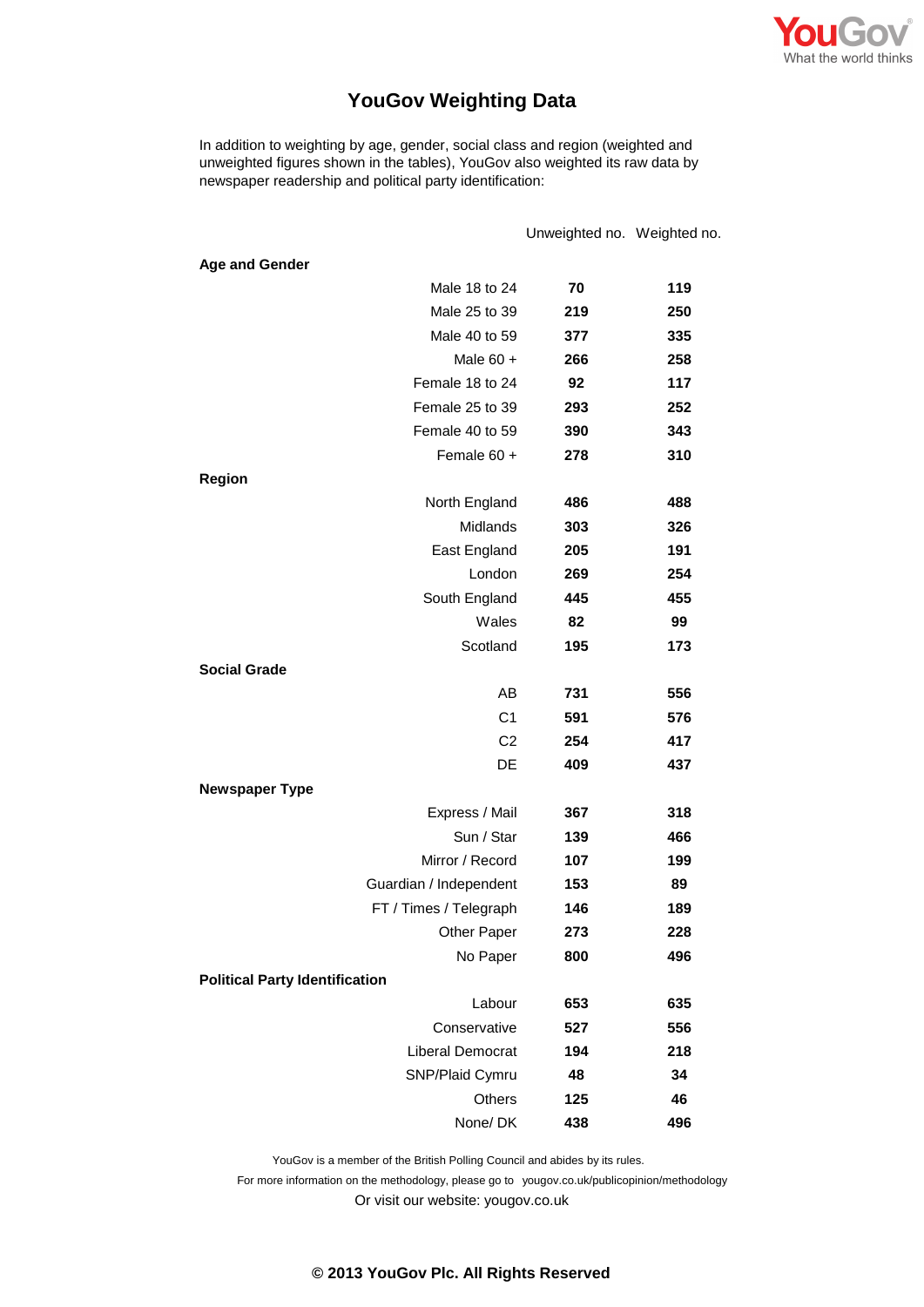|                        |              |        |                    | Region              |              |          |
|------------------------|--------------|--------|--------------------|---------------------|--------------|----------|
|                        | <b>Total</b> | London | Rest of I<br>South | Midlands /<br>Wales | <b>North</b> | Scotland |
| <b>Weighted Sample</b> | 1985         | 254    | 645                | 425                 | 488          | 173      |
| Unweighted Sample      | 1985         | 269    | 650                | 385                 | 486          | 195      |
|                        | %            | %      | %                  | $\%$                | $\%$         | $\%$     |

14 18 16 13 12 52 44 50 54 57 35 38 33 33 31

 19 24 31 36 5 6 5 2 4 14 14 21 14 44 46 36 38 17 11 11 8

**From what you have read or heard about Ralph Miliband and Ed Miliband over the last few days and at the Labour party conference, do you think Ed Miliband's own politics are or are not similar to those of his father?**

It sounds as though Ed Miliband's political views are very similar to those of his father **<sup>15</sup>** It sounds as though Ed Miliband's political views are is as though Ed Millbarto Spoilted Views are<br>in many ways different to those of his father<br>Don't know 35 Don't know

**Do you think Ed Miliband was right or wrong to complain to the Daily Mail about their treatment of his father, and to demand a right of reply?**

| Ed Miliband was right to complain             | 78 | 79 | 71 |    | 85 | 87             |
|-----------------------------------------------|----|----|----|----|----|----------------|
| Ed Miliband was wrong to complain             | 11 | 12 | 16 | 12 | 6  | $\overline{7}$ |
| Don't know                                    | 11 | 9  | 13 | 11 | 9  |                |
| Thinking about the Daily Mail's claims about  |    |    |    |    |    |                |
| Ralph Miliband and how Ed Miliband has        |    |    |    |    |    |                |
| responded to them, has this made you view Ed  |    |    |    |    |    |                |
| Miliband more positively, more negatively, or |    |    |    |    |    |                |

#### **has it made no difference?**

Has made me view Ed Miliband more positively **26** Has made me view Ed Miliband more negatively **5** Has made no difference - I had a positive view of Ed Miliband and still do **<sup>16</sup>** Has made no difference - I did not have a positive view of Ed Miliband and still don't **<sup>42</sup>** Don't know **12**

#### **Do you think the Daily Mail should or should not apologise for the language they used about Ralph Miliband?**

| Should apologise     | 69 | 68 |  |  |
|----------------------|----|----|--|--|
| Should not apologise | 19 | 18 |  |  |
| Don't know           |    | 14 |  |  |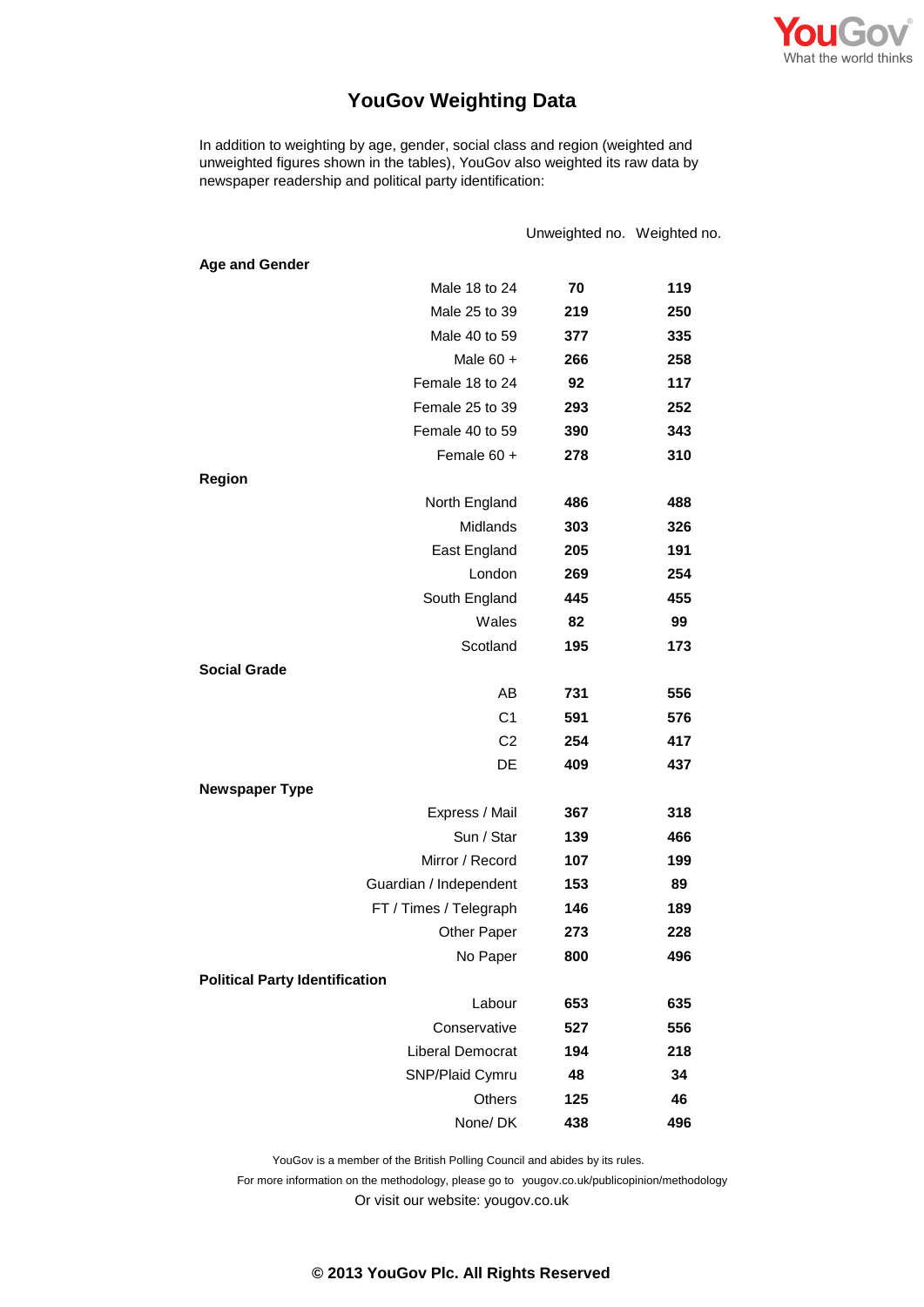|                                                                                                                             |              |     | <b>Voting intention</b> |            |             |     | 2010 Vote |            |      | Gender        |                   | Age |     |       | <b>Social Grade</b> |     | Newspaper<br>Readership             |
|-----------------------------------------------------------------------------------------------------------------------------|--------------|-----|-------------------------|------------|-------------|-----|-----------|------------|------|---------------|-------------------|-----|-----|-------|---------------------|-----|-------------------------------------|
|                                                                                                                             | <b>Total</b> | Con | Lab                     | Lib<br>Dem | <b>UKIP</b> | Con | Lab       | Lib<br>Dem | Male | <b>Female</b> | 18-24 25-39 40-59 |     |     | $60+$ | ABC1 C2DE           |     | Daily Mail / Scottish<br>Daily Mail |
| <b>Weighted Sample</b>                                                                                                      | 1985         | 532 | 612                     | 168        | 201         | 635 | 485       | 418        | 963  | 1022          | 236               | 502 | 679 | 568   | 1131                | 854 | 273                                 |
| <b>Unweighted Sample</b>                                                                                                    | 1985         | 512 | 622                     | 53         | 21          | 604 | 483       | 463        | 932  | 1053          |                   |     | 767 | 544   | 322                 | 663 | 316                                 |
|                                                                                                                             | %            | %   | %                       | $\%$       | %           | %   | %         | %          | %    | %             | %                 | %   | %   | $\%$  | %                   | %   | %                                   |
| Which of the following best reflects your view?                                                                             |              |     |                         |            |             |     |           |            |      |               |                   |     |     |       |                     |     |                                     |
| The Daily Mail's attack on Ed Miliband's father is an<br>example of why the press needs stricter controls<br>and regulation | 31           | 18  | 48                      | 40         | 18          | 17  | 46        | 40         | 32   | 29            | 33                | 33  | 31  | 28    | 29                  | 33  | 22                                  |
| The Daily Mail's attack on Ed Miliband's father may<br>have been unacceptable, but it shouldn't be used as                  | 50           | 64  | 42                      | 43         | 63          | 62  | 41        | 46         | 51   | 49            | 40                | 49  | 51  | 54    | 54                  | 46  | 59                                  |
| an excuse to restrict the freedom of the press                                                                              |              |     |                         |            |             |     |           |            |      |               |                   |     |     |       |                     |     |                                     |
| Neither                                                                                                                     | 10           | 14  | 6                       | 8          | 12          | 15  |           | 8          | 12   | 8             | 9                 | 7   | 12  | 12    | 11                  | 10  | 12                                  |
| Don't know                                                                                                                  | 9            |     | 4                       | 10         | ⇁           | 6   | 6         | 6          | 5    | 13            | 18                | 11  |     | 6     | $\overline{ }$      | 12  |                                     |